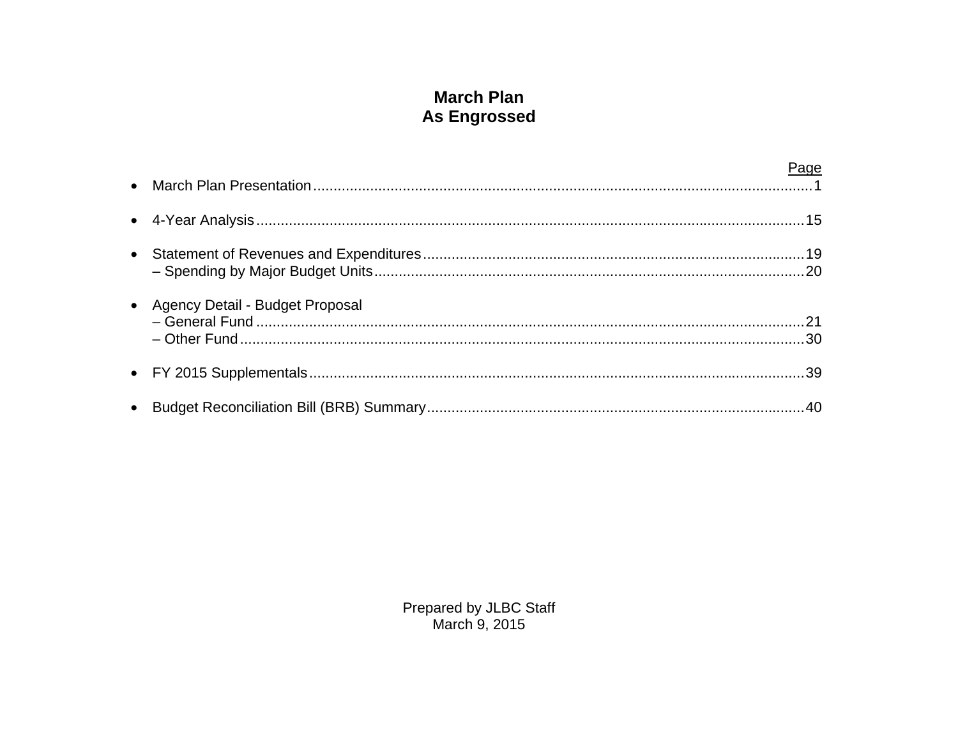## **March Plan As Engrossed**

|                                   | Page |
|-----------------------------------|------|
|                                   |      |
|                                   |      |
| • Agency Detail - Budget Proposal |      |
|                                   |      |
|                                   |      |

Prepared by JLBC Staff<br>March 9, 2015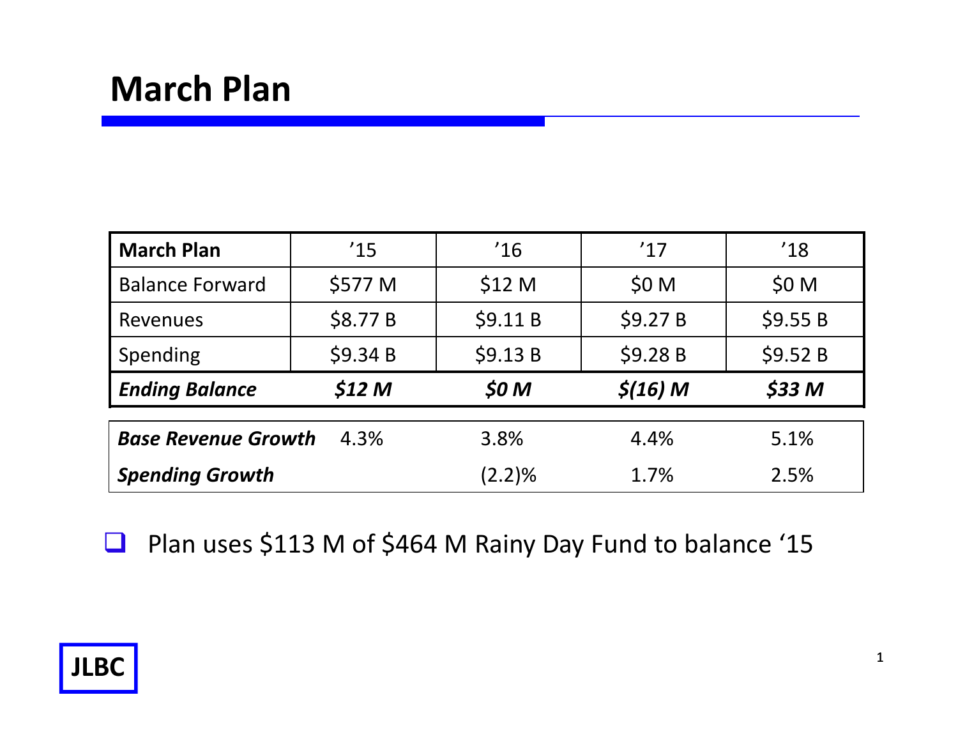| <b>March Plan</b>          | '15               | '16               | '17                 | '18              |
|----------------------------|-------------------|-------------------|---------------------|------------------|
| <b>Balance Forward</b>     | \$577 M           | \$12 <sub>M</sub> | \$0 M               | \$0 <sub>M</sub> |
| Revenues                   | \$8.77 B          | \$9.11 B          | \$9.27B             | \$9.55B          |
| Spending                   | \$9.34 B          | \$9.13B           | \$9.28 B            | \$9.52B          |
| <b>Ending Balance</b>      | \$12 <sub>M</sub> | \$0 <sub>M</sub>  | $\frac{\xi(16)}{M}$ | $$33$ M          |
|                            |                   |                   |                     |                  |
| <b>Base Revenue Growth</b> | 4.3%              | 3.8%              | 4.4%                | 5.1%             |
| <b>Spending Growth</b>     |                   | $(2.2)\%$         | 1.7%                | 2.5%             |

 $\Box$ Plan uses \$113 M of \$464 M Rainy Day Fund to balance '15

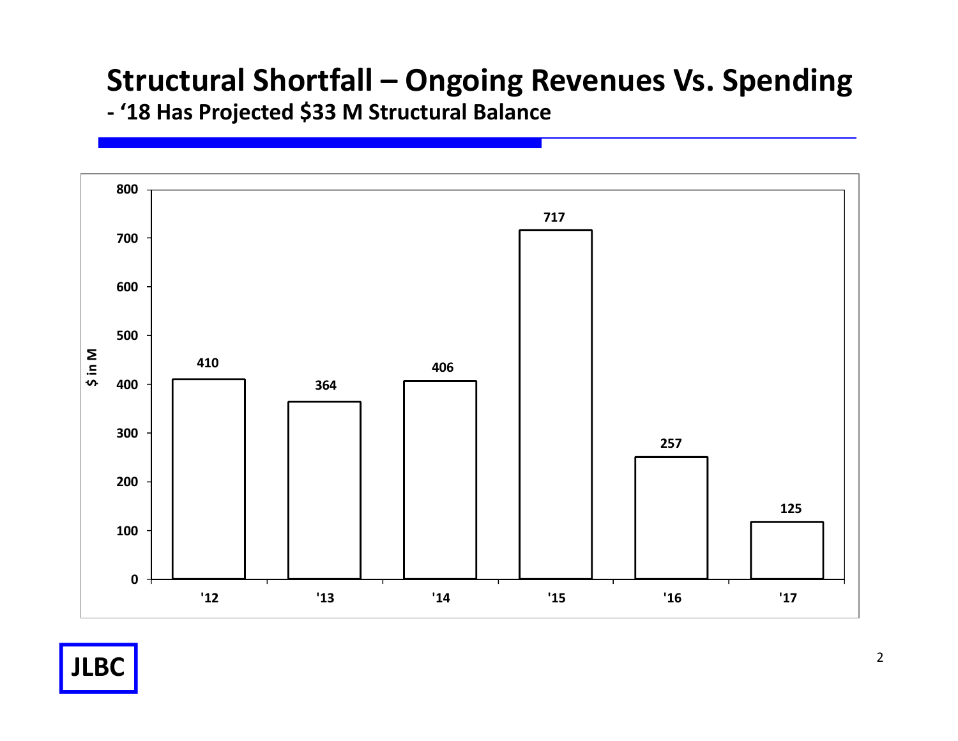# **Structural Shortfall – Ongoing Revenues Vs. Spending**

**- '18 Has Projected \$33 M Structural Balance**

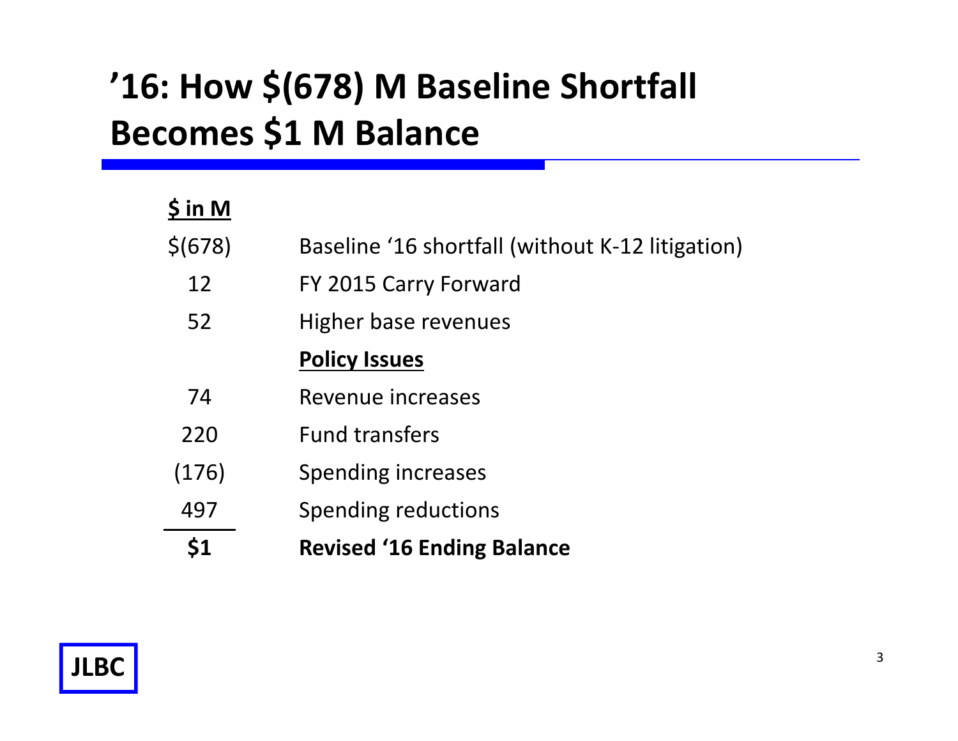# **'16: How \$(678) M Baseline Shortfall Becomes \$1 M Balance**

| \$ in M |                                                  |
|---------|--------------------------------------------------|
| \$(678) | Baseline '16 shortfall (without K-12 litigation) |
| 12      | FY 2015 Carry Forward                            |
| 52      | Higher base revenues                             |
|         | <b>Policy Issues</b>                             |
| 74      | Revenue increases                                |
| 220     | <b>Fund transfers</b>                            |
| (176)   | Spending increases                               |
| 497     | Spending reductions                              |
|         | <b>Revised '16 Ending Balance</b>                |

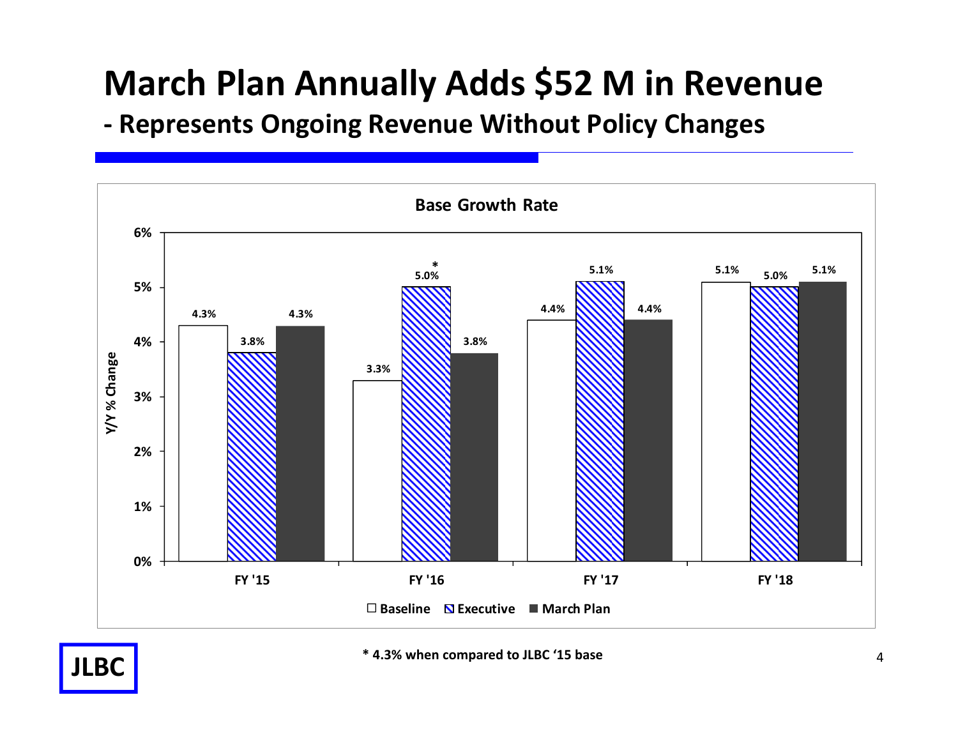## **March Plan Annually Adds \$52 M in Revenue**

**- Represents Ongoing Revenue Without Policy Changes**



**\* 4.3% when compared to JLBC '15 base**

**JLBC**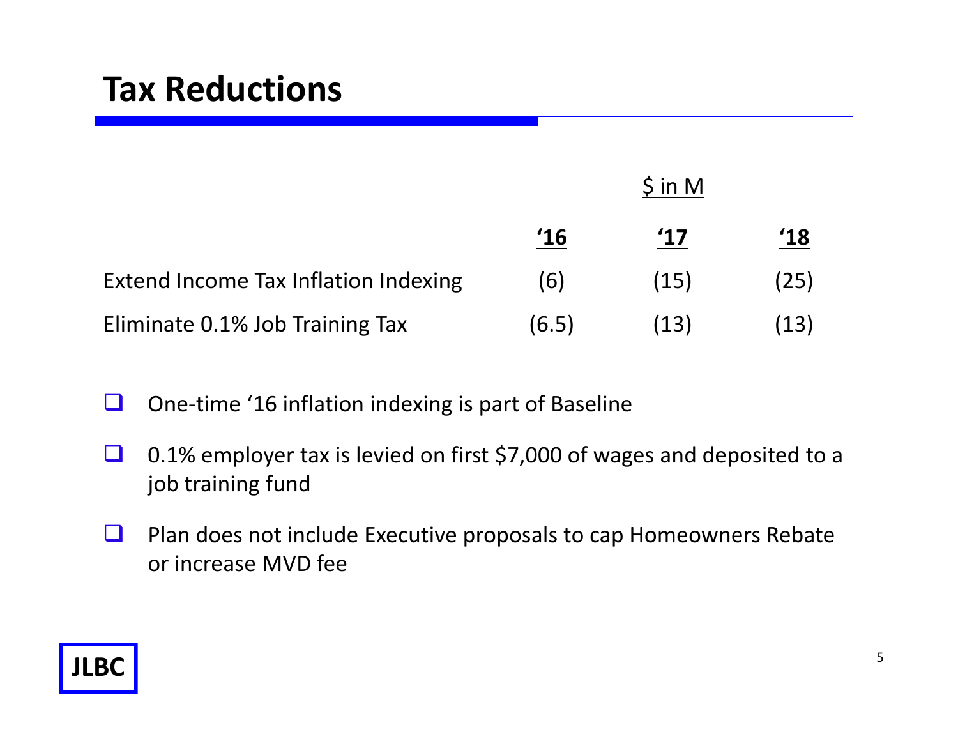## **Tax Reductions**

|                                      | $\sin M$ |               |               |
|--------------------------------------|----------|---------------|---------------|
|                                      | '16      | $^{\prime}17$ | $^{\prime}18$ |
| Extend Income Tax Inflation Indexing | (6)      | (15)          | (25)          |
| Eliminate 0.1% Job Training Tax      | (6.5)    | (13)          | (13)          |

- $\Box$ One-time '16 inflation indexing is part of Baseline
- $\Box$  0.1% employer tax is levied on first \$7,000 of wages and deposited to a job training fund
- $\Box$  Plan does not include Executive proposals to cap Homeowners Rebate or increase MVD fee

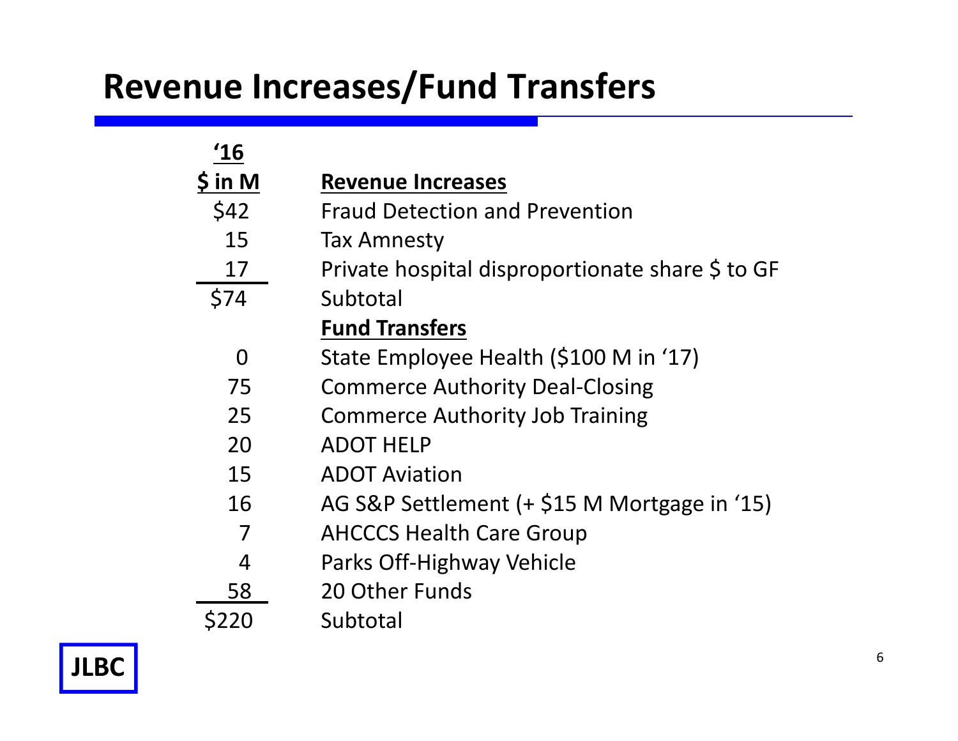## **Revenue Increases/Fund Transfers**

| 16            |                                                  |
|---------------|--------------------------------------------------|
| <u>S in</u> M | <b>Revenue Increases</b>                         |
| \$42          | <b>Fraud Detection and Prevention</b>            |
| 15            | Tax Amnesty                                      |
| 17            | Private hospital disproportionate share \$ to GF |
| \$74          | Subtotal                                         |
|               | <b>Fund Transfers</b>                            |
| O             | State Employee Health (\$100 M in '17)           |
| 75            | <b>Commerce Authority Deal-Closing</b>           |
| 25            | <b>Commerce Authority Job Training</b>           |
| 20            | <b>ADOT HELP</b>                                 |
| 15            | <b>ADOT Aviation</b>                             |
| 16            | AG S&P Settlement (+ \$15 M Mortgage in '15)     |
| 7             | <b>AHCCCS Health Care Group</b>                  |
| 4             | Parks Off-Highway Vehicle                        |
| 58            | 20 Other Funds                                   |
| S220          | Subtotal                                         |

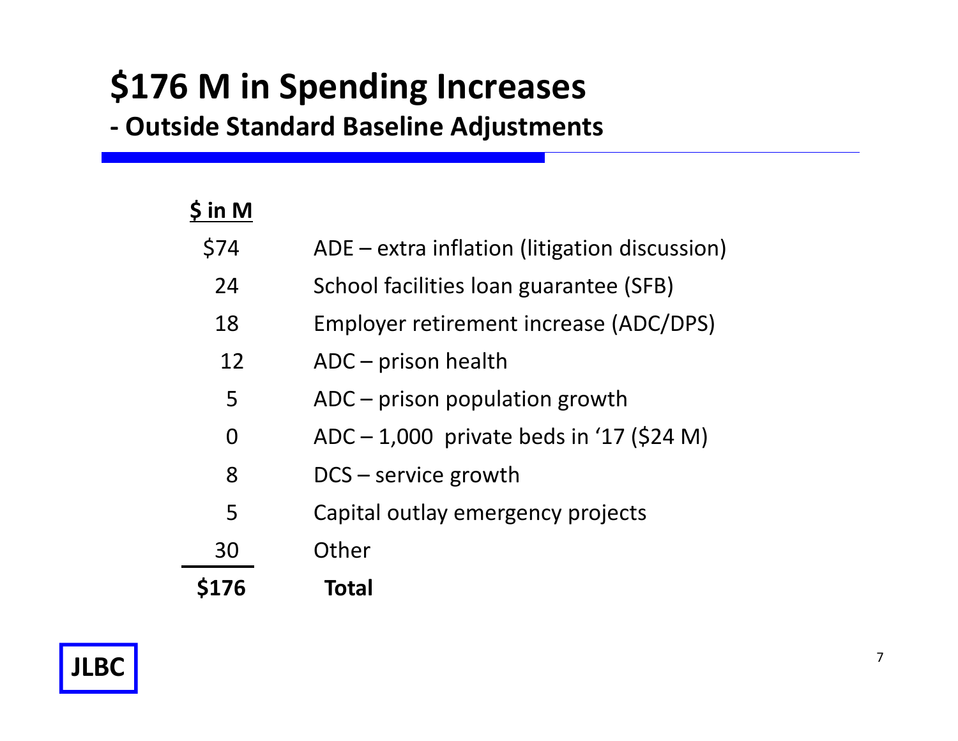# **\$176 M in Spending Increases**

**- Outside Standard Baseline Adjustments**

| $\sin M$    |                                               |
|-------------|-----------------------------------------------|
| \$74        | ADE - extra inflation (litigation discussion) |
| 24          | School facilities loan guarantee (SFB)        |
| 18          | Employer retirement increase (ADC/DPS)        |
| 12          | $ADC$ – prison health                         |
| 5           | ADC - prison population growth                |
| 0           | $ADC - 1,000$ private beds in '17 (\$24 M)    |
| 8           | $DCS$ – service growth                        |
| 5           | Capital outlay emergency projects             |
| 30          | Other                                         |
| <b>S176</b> | <b>Total</b>                                  |

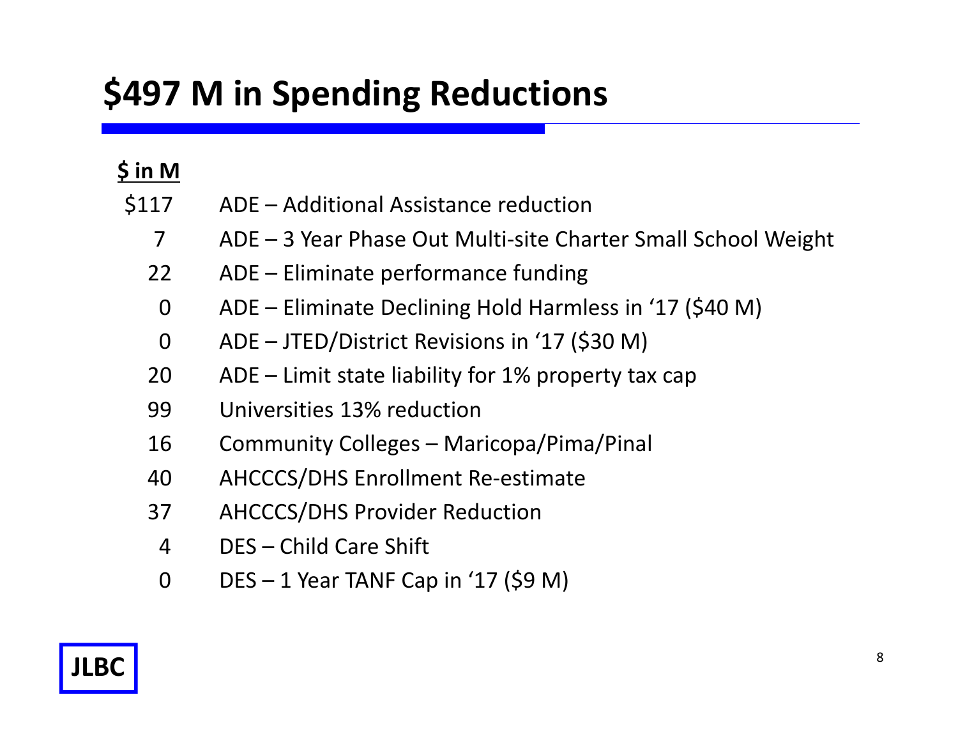# **\$497 M in Spending Reductions**

| $\sin M$ |                                                               |
|----------|---------------------------------------------------------------|
| \$117    | ADE - Additional Assistance reduction                         |
| 7        | ADE – 3 Year Phase Out Multi-site Charter Small School Weight |
| 22       | ADE – Eliminate performance funding                           |
| $\Omega$ | ADE – Eliminate Declining Hold Harmless in '17 (\$40 M)       |
| $\Omega$ | ADE - JTED/District Revisions in '17 (\$30 M)                 |
| 20       | $ADE$ – Limit state liability for 1% property tax cap         |
| 99       | Universities 13% reduction                                    |
| 16       | Community Colleges – Maricopa/Pima/Pinal                      |
| 40       | <b>AHCCCS/DHS Enrollment Re-estimate</b>                      |
| 37       | <b>AHCCCS/DHS Provider Reduction</b>                          |
| 4        | DES – Child Care Shift                                        |
| 0        | $DES - 1$ Year TANF Cap in '17 (\$9 M)                        |

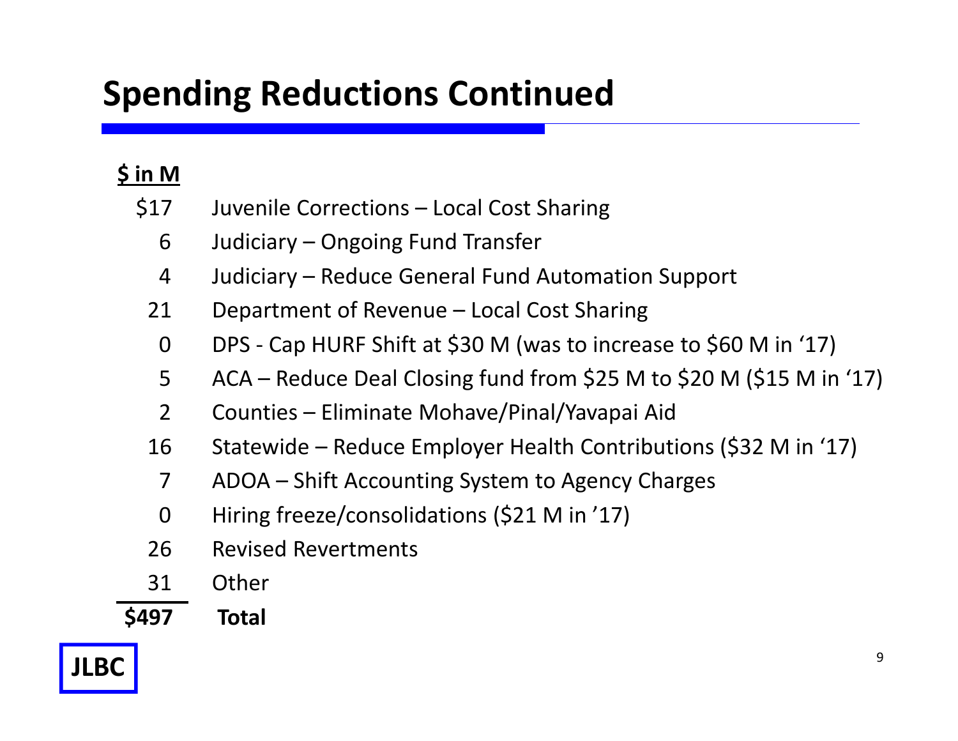# **Spending Reductions Continued**

## **\$ in M**

- Juvenile Corrections Local Cost Sharing \$17
	- Judiciary Ongoing Fund Transfer 6
	- Judiciary Reduce General Fund Automation Support 4
	- Department of Revenue Local Cost Sharing 21
	- DPS Cap HURF Shift at \$30 M (was to increase to \$60 M in '17)  $\Omega$
	- ACA Reduce Deal Closing fund from \$25 M to \$20 M (\$15 M in '17) 5
	- Counties Eliminate Mohave/Pinal/Yavapai Aid  $\mathcal{P}$
	- Statewide Reduce Employer Health Contributions (\$32 M in '17) 16
	- ADOA Shift Accounting System to Agency Charges 7
	- Hiring freeze/consolidations (\$21 M in '17) 0
	- Revised Revertments26
	- **Other** 31

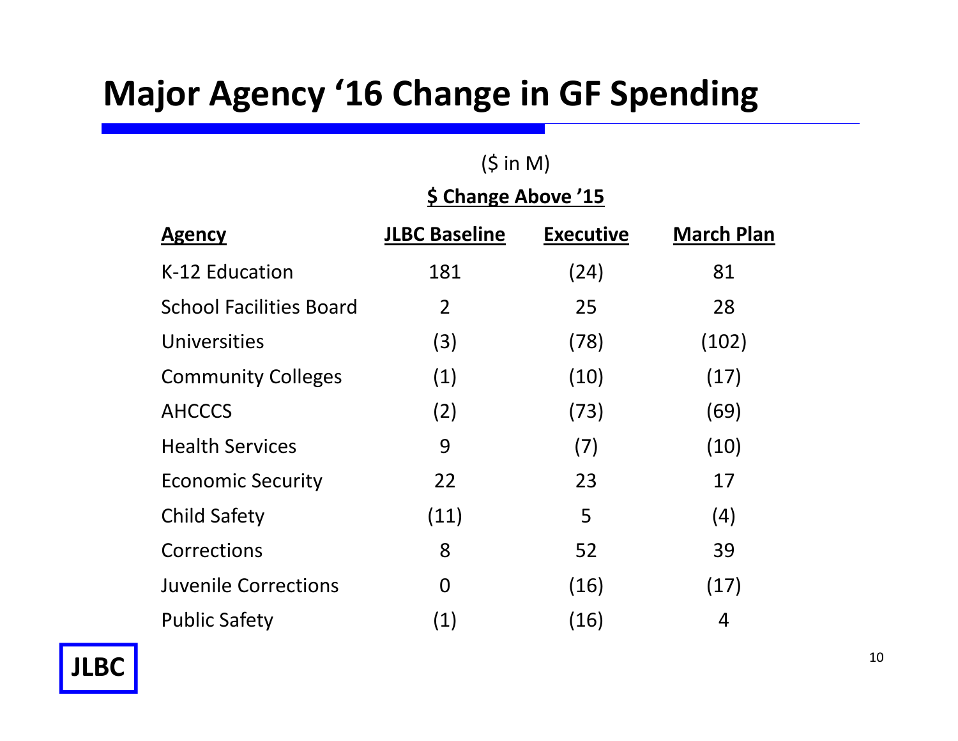## **Major Agency '16 Change in GF Spending**

## $(5 in M)$

## **\$ Change Above '15**

| <b>Agency</b>                  | <b>JLBC Baseline</b> | <b>Executive</b> | <b>March Plan</b> |
|--------------------------------|----------------------|------------------|-------------------|
| K-12 Education                 | 181                  | (24)             | 81                |
| <b>School Facilities Board</b> | 2                    | 25               | 28                |
| Universities                   | (3)                  | (78)             | (102)             |
| <b>Community Colleges</b>      | (1)                  | (10)             | (17)              |
| <b>AHCCCS</b>                  | (2)                  | (73)             | (69)              |
| <b>Health Services</b>         | 9                    | (7)              | (10)              |
| <b>Economic Security</b>       | 22                   | 23               | 17                |
| <b>Child Safety</b>            | (11)                 | 5                | (4)               |
| Corrections                    | 8                    | 52               | 39                |
| <b>Juvenile Corrections</b>    | $\overline{0}$       | (16)             | (17)              |
| <b>Public Safety</b>           | (1)                  | (16)             | 4                 |

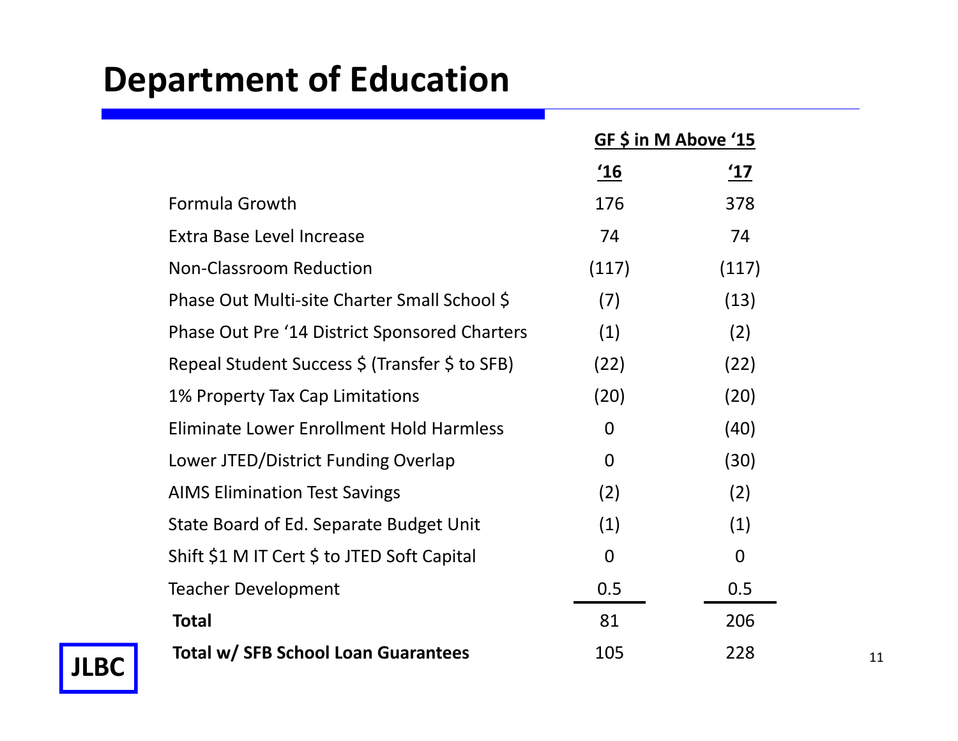# **Department of Education**

|                                                 |                  | GF \$ in M Above '15 |    |
|-------------------------------------------------|------------------|----------------------|----|
|                                                 | <u>'16</u>       | <u>'17</u>           |    |
| Formula Growth                                  | 176              | 378                  |    |
| Extra Base Level Increase                       | 74               | 74                   |    |
| <b>Non-Classroom Reduction</b>                  | (117)            | (117)                |    |
| Phase Out Multi-site Charter Small School \$    | (7)              | (13)                 |    |
| Phase Out Pre '14 District Sponsored Charters   | (1)              | (2)                  |    |
| Repeal Student Success \$ (Transfer \$ to SFB)  | (22)             | (22)                 |    |
| 1% Property Tax Cap Limitations                 | (20)             | (20)                 |    |
| <b>Eliminate Lower Enrollment Hold Harmless</b> | $\overline{0}$   | (40)                 |    |
| Lower JTED/District Funding Overlap             | $\boldsymbol{0}$ | (30)                 |    |
| <b>AIMS Elimination Test Savings</b>            | (2)              | (2)                  |    |
| State Board of Ed. Separate Budget Unit         | (1)              | (1)                  |    |
| Shift \$1 M IT Cert \$ to JTED Soft Capital     | $\overline{0}$   | $\overline{0}$       |    |
| <b>Teacher Development</b>                      | 0.5              | 0.5                  |    |
| <b>Total</b>                                    | 81               | 206                  |    |
| Total w/ SFB School Loan Guarantees             | 105              | 228                  | 11 |

**JLBC**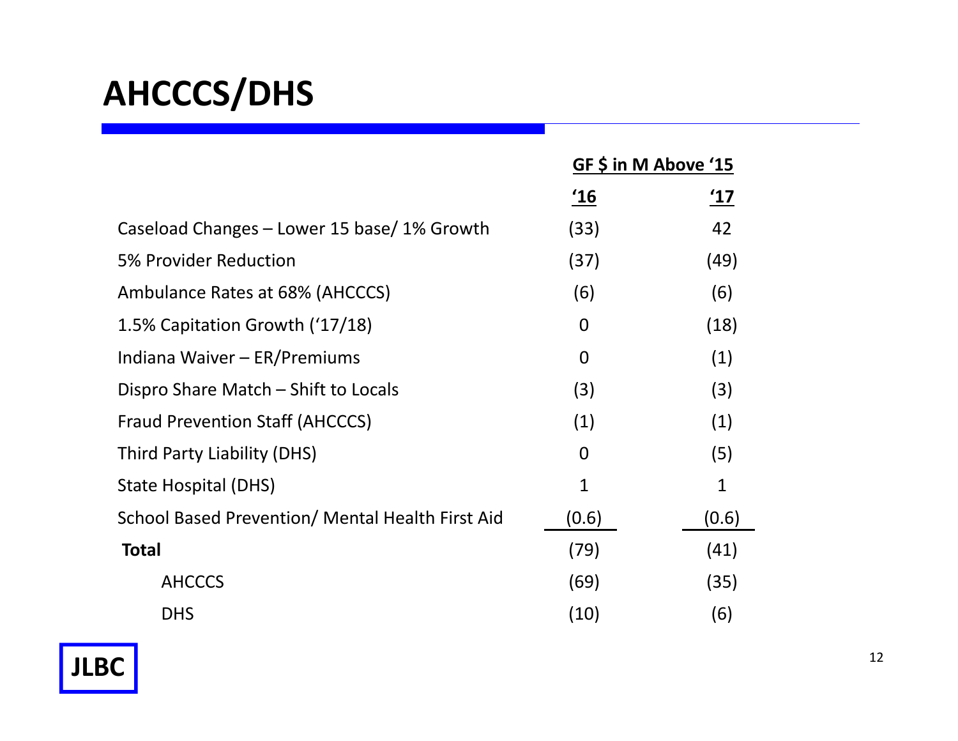# **AHCCCS/DHS**

|                                                  | GF \$ in M Above '15 |               |
|--------------------------------------------------|----------------------|---------------|
|                                                  | <u>'16</u>           | $^{\prime}17$ |
| Caseload Changes – Lower 15 base/ 1% Growth      | (33)                 | 42            |
| 5% Provider Reduction                            | (37)                 | (49)          |
| Ambulance Rates at 68% (AHCCCS)                  | (6)                  | (6)           |
| 1.5% Capitation Growth ('17/18)                  | $\overline{0}$       | (18)          |
| Indiana Waiver - ER/Premiums                     | $\overline{0}$       | (1)           |
| Dispro Share Match – Shift to Locals             | (3)                  | (3)           |
| <b>Fraud Prevention Staff (AHCCCS)</b>           | (1)                  | (1)           |
| Third Party Liability (DHS)                      | $\Omega$             | (5)           |
| State Hospital (DHS)                             | $\mathbf{1}$         | $\mathbf{1}$  |
| School Based Prevention/ Mental Health First Aid | (0.6)                | (0.6)         |
| <b>Total</b>                                     | (79)                 | (41)          |
| <b>AHCCCS</b>                                    | (69)                 | (35)          |
| <b>DHS</b>                                       | (10)                 | (6)           |



-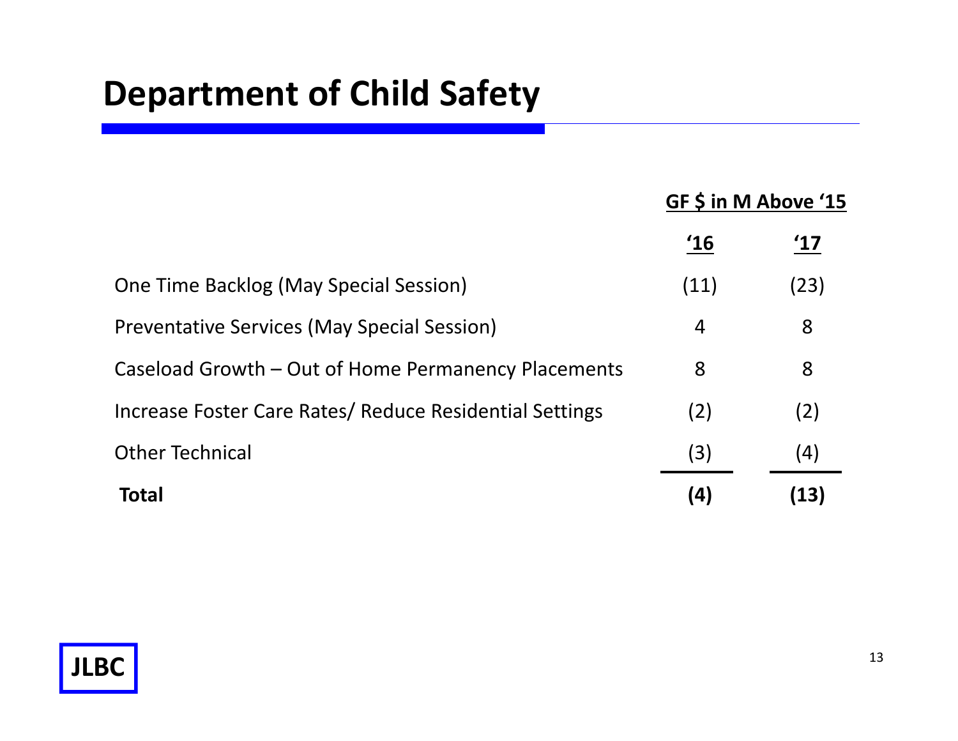## **Department of Child Safety**

## **GF \$ in M Above '15**

|                                                         | '16  |      |
|---------------------------------------------------------|------|------|
| <b>One Time Backlog (May Special Session)</b>           | (11) | (23) |
| <b>Preventative Services (May Special Session)</b>      | 4    | 8    |
| Caseload Growth – Out of Home Permanency Placements     | 8    | 8    |
| Increase Foster Care Rates/ Reduce Residential Settings | (2)  | (2)  |
| <b>Other Technical</b>                                  | (3)  | (4)  |
| Total                                                   | (4)  | (13) |

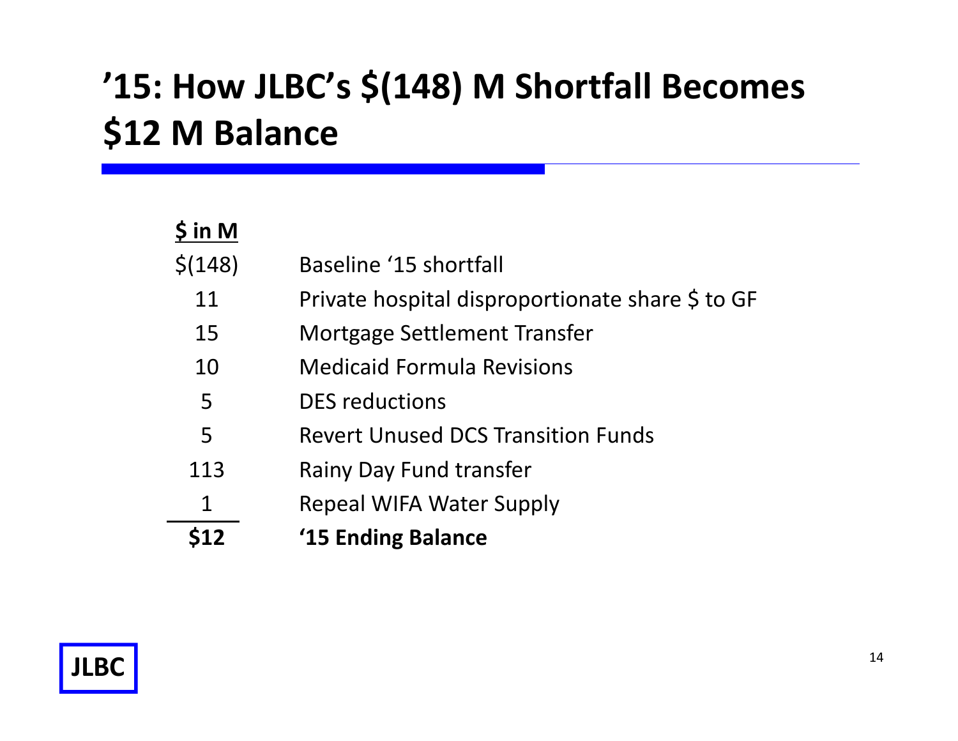# **'15: How JLBC's \$(148) M Shortfall Becomes \$12 M Balance**

| $\sin M$ |                                                  |
|----------|--------------------------------------------------|
| \$(148)  | Baseline '15 shortfall                           |
| 11       | Private hospital disproportionate share \$ to GF |
| 15       | Mortgage Settlement Transfer                     |
| 10       | <b>Medicaid Formula Revisions</b>                |
| 5        | <b>DES</b> reductions                            |
| 5        | <b>Revert Unused DCS Transition Funds</b>        |
| 113      | <b>Rainy Day Fund transfer</b>                   |
| 1        | <b>Repeal WIFA Water Supply</b>                  |
| 512      | '15 Ending Balance                               |

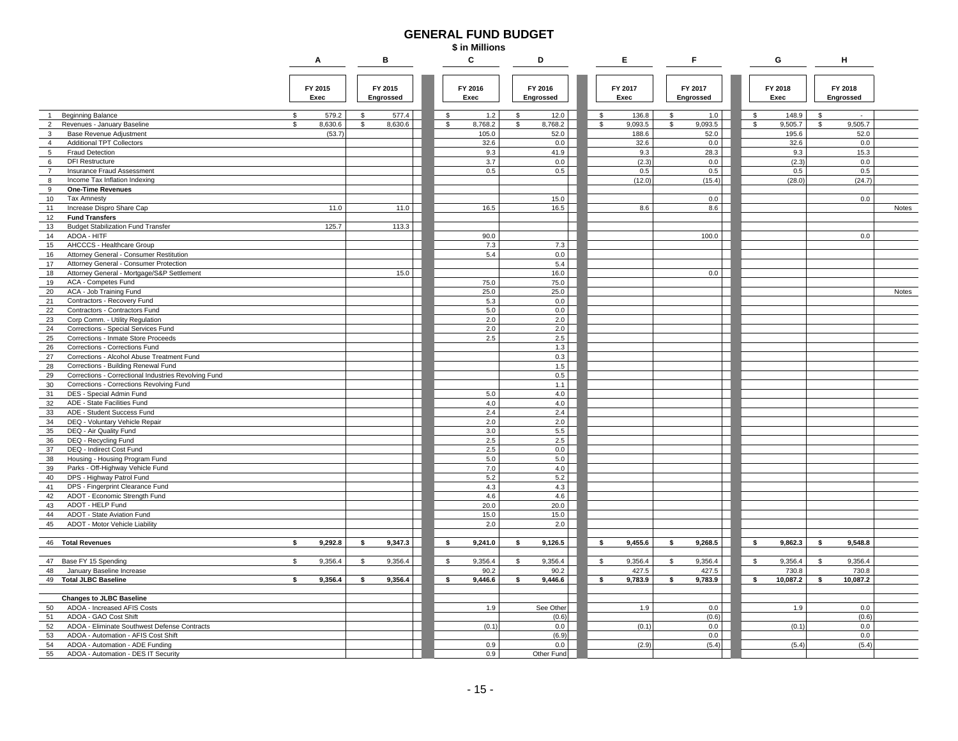#### **GENERAL FUND BUDGET**

**\$ in Millions**

|                                                                                 | Α               |               | в                    | C               |            | D                    |              | E.              | F                    |    | G               |    | н                    |       |
|---------------------------------------------------------------------------------|-----------------|---------------|----------------------|-----------------|------------|----------------------|--------------|-----------------|----------------------|----|-----------------|----|----------------------|-------|
|                                                                                 | FY 2015<br>Exec |               | FY 2015<br>Engrossed | FY 2016<br>Exec |            | FY 2016<br>Engrossed |              | FY 2017<br>Exec | FY 2017<br>Engrossed |    | FY 2018<br>Exec |    | FY 2018<br>Engrossed |       |
| <b>Beginning Balance</b><br>$\overline{1}$                                      | 579.2<br>s.     | <sup>\$</sup> | 577.4                | \$              | 1.2        | \$<br>12.0           | $\mathbb{S}$ | 136.8           | \$<br>1.0            | \$ | 148.9           | s  |                      |       |
| $\overline{2}$<br>Revenues - January Baseline                                   | 8,630.6<br>\$   | \$            | 8,630.6              | \$              | 8,768.2    | \$<br>8,768.2        | \$           | 9,093.5         | \$<br>9,093.5        | \$ | 9,505.7         | s. | 9,505.7              |       |
| 3<br>Base Revenue Adjustment                                                    | (53.7)          |               |                      |                 | 105.0      | 52.0                 |              | 188.6           | 52.0                 |    | 195.6           |    | 52.0                 |       |
| <b>Additional TPT Collectors</b><br>$\overline{4}$                              |                 |               |                      |                 | 32.6       | 0.0                  |              | 32.6            | 0.0                  |    | 32.6            |    | 0.0                  |       |
| <b>Fraud Detection</b><br>$5\overline{5}$                                       |                 |               |                      |                 | 9.3        | 41.9                 |              | 9.3             | 28.3                 |    | 9.3             |    | 15.3                 |       |
| <b>DFI Restructure</b><br>6                                                     |                 |               |                      |                 | 3.7        | 0.0                  |              | (2.3)           | 0.0                  |    | (2.3)           |    | $0.0\,$              |       |
| $\overline{7}$<br>Insurance Fraud Assessment                                    |                 |               |                      |                 | 0.5        | 0.5                  |              | 0.5             | 0.5                  |    | 0.5             |    | 0.5                  |       |
| Income Tax Inflation Indexing<br>8                                              |                 |               |                      |                 |            |                      |              | (12.0)          | (15.4)               |    | (28.0)          |    | (24.7)               |       |
| 9<br><b>One-Time Revenues</b>                                                   |                 |               |                      |                 |            |                      |              |                 |                      |    |                 |    |                      |       |
| 10<br><b>Tax Amnesty</b>                                                        | 11.0            |               | 11.0                 |                 | 16.5       | 15.0<br>16.5         |              | 8.6             | 0.0<br>8.6           |    |                 |    | 0.0                  |       |
| 11<br>Increase Dispro Share Cap<br>12<br><b>Fund Transfers</b>                  |                 |               |                      |                 |            |                      |              |                 |                      |    |                 |    |                      | Notes |
| 13<br><b>Budget Stabilization Fund Transfer</b>                                 | 125.7           |               | 113.3                |                 |            |                      |              |                 |                      |    |                 |    |                      |       |
| 14<br>ADOA - HITF                                                               |                 |               |                      |                 | 90.0       |                      |              |                 | 100.0                |    |                 |    | 0.0                  |       |
| 15<br>AHCCCS - Healthcare Group                                                 |                 |               |                      |                 | 7.3        | 7.3                  |              |                 |                      |    |                 |    |                      |       |
| 16<br>Attorney General - Consumer Restitution                                   |                 |               |                      |                 | 5.4        | 0.0                  |              |                 |                      |    |                 |    |                      |       |
| 17<br>Attorney General - Consumer Protection                                    |                 |               |                      |                 |            | 5.4                  |              |                 |                      |    |                 |    |                      |       |
| 18<br>Attorney General - Mortgage/S&P Settlement                                |                 |               | 15.0                 |                 |            | 16.0                 |              |                 | 0.0                  |    |                 |    |                      |       |
| 19<br>ACA - Competes Fund                                                       |                 |               |                      |                 | 75.0       | 75.0                 |              |                 |                      |    |                 |    |                      |       |
| ACA - Job Training Fund<br>20                                                   |                 |               |                      |                 | 25.0       | 25.0                 |              |                 |                      |    |                 |    |                      | Notes |
| 21<br>Contractors - Recovery Fund                                               |                 |               |                      |                 | 5.3        | 0.0                  |              |                 |                      |    |                 |    |                      |       |
| 22<br>Contractors - Contractors Fund                                            |                 |               |                      |                 | 5.0        | 0.0                  |              |                 |                      |    |                 |    |                      |       |
| 23<br>Corp Comm. - Utility Regulation                                           |                 |               |                      |                 | 2.0        | 2.0                  |              |                 |                      |    |                 |    |                      |       |
| 24<br>Corrections - Special Services Fund<br>25                                 |                 |               |                      |                 | 2.0<br>2.5 | 2.0<br>2.5           |              |                 |                      |    |                 |    |                      |       |
| Corrections - Inmate Store Proceeds<br>$26\,$<br>Corrections - Corrections Fund |                 |               |                      |                 |            | 1.3                  |              |                 |                      |    |                 |    |                      |       |
| 27<br>Corrections - Alcohol Abuse Treatment Fund                                |                 |               |                      |                 |            | 0.3                  |              |                 |                      |    |                 |    |                      |       |
| 28<br>Corrections - Building Renewal Fund                                       |                 |               |                      |                 |            | $1.5\,$              |              |                 |                      |    |                 |    |                      |       |
| 29<br>Corrections - Correctional Industries Revolving Fund                      |                 |               |                      |                 |            | 0.5                  |              |                 |                      |    |                 |    |                      |       |
| 30<br>Corrections - Corrections Revolving Fund                                  |                 |               |                      |                 |            | 1.1                  |              |                 |                      |    |                 |    |                      |       |
| 31<br>DES - Special Admin Fund                                                  |                 |               |                      |                 | $5.0$      | 4.0                  |              |                 |                      |    |                 |    |                      |       |
| 32<br>ADE - State Facilities Fund                                               |                 |               |                      |                 | 4.0        | 4.0                  |              |                 |                      |    |                 |    |                      |       |
| 33<br>ADE - Student Success Fund                                                |                 |               |                      |                 | 2.4        | 2.4                  |              |                 |                      |    |                 |    |                      |       |
| 34<br>DEQ - Voluntary Vehicle Repair                                            |                 |               |                      |                 | $2.0\,$    | 2.0                  |              |                 |                      |    |                 |    |                      |       |
| 35<br>DEQ - Air Quality Fund                                                    |                 |               |                      |                 | 3.0        | 5.5                  |              |                 |                      |    |                 |    |                      |       |
| 36<br>DEQ - Recycling Fund                                                      |                 |               |                      |                 | 2.5        | 2.5                  |              |                 |                      |    |                 |    |                      |       |
| DEQ - Indirect Cost Fund<br>37                                                  |                 |               |                      |                 | 2.5        | 0.0                  |              |                 |                      |    |                 |    |                      |       |
| 38<br>Housing - Housing Program Fund                                            |                 |               |                      |                 | 5.0        | 5.0                  |              |                 |                      |    |                 |    |                      |       |
| Parks - Off-Highway Vehicle Fund<br>39<br>40<br>DPS - Highway Patrol Fund       |                 |               |                      |                 | 7.0<br>5.2 | 4.0<br>5.2           |              |                 |                      |    |                 |    |                      |       |
| 41<br>DPS - Fingerprint Clearance Fund                                          |                 |               |                      |                 | 4.3        | 4.3                  |              |                 |                      |    |                 |    |                      |       |
| 42<br>ADOT - Economic Strength Fund                                             |                 |               |                      |                 | 4.6        | 4.6                  |              |                 |                      |    |                 |    |                      |       |
| 43<br>ADOT - HELP Fund                                                          |                 |               |                      |                 | 20.0       | 20.0                 |              |                 |                      |    |                 |    |                      |       |
| 44<br>ADOT - State Aviation Fund                                                |                 |               |                      |                 | 15.0       | 15.0                 |              |                 |                      |    |                 |    |                      |       |
| 45<br>ADOT - Motor Vehicle Liability                                            |                 |               |                      |                 | 2.0        | 2.0                  |              |                 |                      |    |                 |    |                      |       |
|                                                                                 |                 |               |                      |                 |            |                      |              |                 |                      |    |                 |    |                      |       |
| 46 Total Revenues                                                               | 9,292.8<br>\$   | \$            | 9,347.3              | \$              | 9,241.0    | \$<br>9,126.5        | \$           | 9,455.6         | \$<br>9,268.5        | \$ | 9,862.3         | \$ | 9,548.8              |       |
|                                                                                 |                 |               |                      |                 |            |                      |              |                 |                      |    |                 |    |                      |       |
| 47 Base FY 15 Spending                                                          | 9,356.4<br>\$.  | \$            | 9,356.4              | \$              | 9,356.4    | \$<br>9,356.4        | \$           | 9,356.4         | \$<br>9,356.4        | \$ | 9,356.4         | \$ | 9,356.4              |       |
| 48<br>January Baseline Increase                                                 |                 |               |                      |                 | 90.2       | 90.2                 |              | 427.5           | 427.5                |    | 730.8           |    | 730.8                |       |
| 49 Total JLBC Baseline                                                          | 9,356.4<br>s.   | s.            | 9,356.4              | \$              | 9,446.6    | \$<br>9,446.6        | \$           | 9,783.9         | \$<br>9,783.9        | \$ | 10,087.2        | s  | 10,087.2             |       |
|                                                                                 |                 |               |                      |                 |            |                      |              |                 |                      |    |                 |    |                      |       |
| <b>Changes to JLBC Baseline</b><br>50<br>ADOA - Increased AFIS Costs            |                 |               |                      |                 | 1.9        | See Other            |              | 1.9             | 0.0                  |    | 1.9             |    | 0.0                  |       |
| 51<br>ADOA - GAO Cost Shift                                                     |                 |               |                      |                 |            | (0.6)                |              |                 | (0.6)                |    |                 |    | (0.6)                |       |
| 52<br>ADOA - Eliminate Southwest Defense Contracts                              |                 |               |                      |                 | (0.1)      | 0.0                  |              | (0.1)           | 0.0                  |    | (0.1)           |    | 0.0                  |       |
| 53<br>ADOA - Automation - AFIS Cost Shift                                       |                 |               |                      |                 |            | (6.9)                |              |                 | 0.0                  |    |                 |    | 0.0                  |       |
| 54<br>ADOA - Automation - ADE Funding                                           |                 |               |                      |                 | 0.9        | 0.0                  |              | (2.9)           | (5.4)                |    | (5.4)           |    | (5.4)                |       |
| 55<br>ADOA - Automation - DES IT Security                                       |                 |               |                      |                 | 0.9        | Other Fund           |              |                 |                      |    |                 |    |                      |       |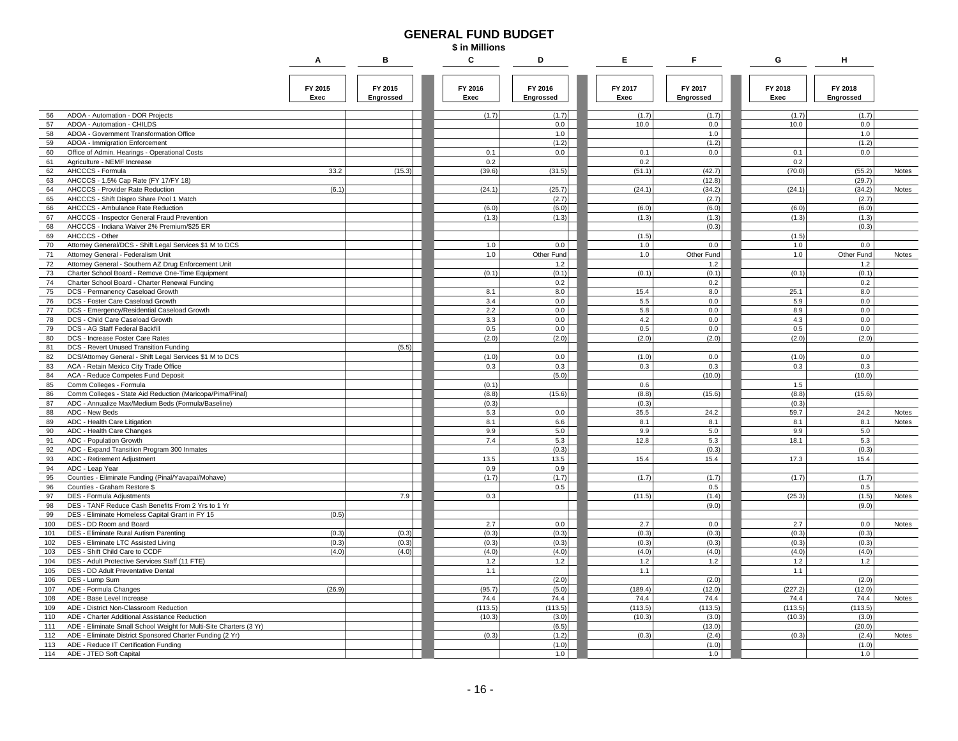#### **GENERAL FUND BUDGET**

**\$ in Millions**

|     |                                                                    | Α               | в                    | C               | D                    | Е               | F                    | G               | н                    |       |
|-----|--------------------------------------------------------------------|-----------------|----------------------|-----------------|----------------------|-----------------|----------------------|-----------------|----------------------|-------|
|     |                                                                    | FY 2015<br>Exec | FY 2015<br>Engrossed | FY 2016<br>Exec | FY 2016<br>Engrossed | FY 2017<br>Exec | FY 2017<br>Engrossed | FY 2018<br>Exec | FY 2018<br>Engrossed |       |
| 56  | ADOA - Automation - DOR Projects                                   |                 |                      | (1.7)           | (1.7)                | (1.7)           | (1.7)                | (1.7)           | (1.7)                |       |
| 57  | ADOA - Automation - CHILDS                                         |                 |                      |                 | 0.0                  | 10.0            | 0.0                  | 10.0            | 0.0                  |       |
| 58  | ADOA - Government Transformation Office                            |                 |                      |                 | 1.0                  |                 | 1.0                  |                 | 1.0                  |       |
| 59  | ADOA - Immigration Enforcement                                     |                 |                      |                 | (1.2)                |                 | (1.2)                |                 | (1.2)                |       |
| 60  | Office of Admin. Hearings - Operational Costs                      |                 |                      | 0.1             | 0.0                  | 0.1             | 0.0                  | 0.1             | 0.0                  |       |
| 61  | Agriculture - NEMF Increase                                        |                 |                      | 0.2             |                      | 0.2             |                      | 0.2             |                      |       |
| 62  | AHCCCS - Formula                                                   | 33.2            | (15.3)               | (39.6)          | (31.5)               | (51.1)          | (42.7)               | (70.0)          | (55.2)               | Notes |
| 63  | AHCCCS - 1.5% Cap Rate (FY 17/FY 18)                               |                 |                      |                 |                      |                 | (12.8)               |                 | (29.7)               |       |
| 64  | AHCCCS - Provider Rate Reduction                                   | (6.1)           |                      | (24.1)          | (25.7)               | (24.1)          | (34.2)               | (24.1)          | (34.2)               | Notes |
| 65  | AHCCCS - Shift Dispro Share Pool 1 Match                           |                 |                      |                 | (2.7)                |                 | (2.7)                |                 | (2.7)                |       |
| 66  | AHCCCS - Ambulance Rate Reduction                                  |                 |                      | (6.0)           | (6.0)                | (6.0)           | (6.0)                | (6.0)           | (6.0)                |       |
| 67  | AHCCCS - Inspector General Fraud Prevention                        |                 |                      | (1.3)           | (1.3)                | (1.3)           | (1.3)                | (1.3)           | (1.3)                |       |
| 68  | AHCCCS - Indiana Waiver 2% Premium/\$25 ER                         |                 |                      |                 |                      |                 | (0.3)                |                 | (0.3)                |       |
| 69  | AHCCCS - Other                                                     |                 |                      |                 |                      | (1.5)           |                      | (1.5)           |                      |       |
| 70  | Attorney General/DCS - Shift Legal Services \$1 M to DCS           |                 |                      | 1.0             | 0.0                  | 1.0             | 0.0                  | 1.0             | 0.0                  |       |
| 71  | Attorney General - Federalism Unit                                 |                 |                      | 1.0             | Other Fund           | 1.0             | Other Fund           | 1.0             | Other Fund           | Notes |
| 72  | Attorney General - Southern AZ Drug Enforcement Unit               |                 |                      |                 | 1.2                  |                 | 1.2                  |                 | 1.2                  |       |
| 73  | Charter School Board - Remove One-Time Equipment                   |                 |                      | (0.1)           | (0.1)                | (0.1)           | (0.1)                | (0.1)           | (0.1)                |       |
| 74  | Charter School Board - Charter Renewal Funding                     |                 |                      |                 | 0.2                  |                 | 0.2                  |                 | 0.2                  |       |
| 75  | DCS - Permanency Caseload Growth                                   |                 |                      | 8.1             | 8.0                  | 15.4            | 8.0                  | 25.1            | 8.0                  |       |
| 76  | DCS - Foster Care Caseload Growth                                  |                 |                      | 3.4             | 0.0                  | 5.5             | 0.0                  | 5.9             | 0.0                  |       |
| 77  | DCS - Emergency/Residential Caseload Growth                        |                 |                      | 2.2             | 0.0                  | 5.8             | 0.0                  | 8.9             | 0.0                  |       |
| 78  | DCS - Child Care Caseload Growth                                   |                 |                      | 3.3             | 0.0                  | 4.2             | 0.0                  | 4.3             | 0.0                  |       |
| 79  | DCS - AG Staff Federal Backfill                                    |                 |                      | 0.5             | 0.0                  | 0.5             | 0.0                  | 0.5             | 0.0                  |       |
| 80  | DCS - Increase Foster Care Rates                                   |                 |                      | (2.0)           | (2.0)                | (2.0)           | (2.0)                | (2.0)           | (2.0)                |       |
| 81  | DCS - Revert Unused Transition Funding                             |                 | (5.5)                |                 |                      |                 |                      |                 |                      |       |
| 82  | DCS/Attorney General - Shift Legal Services \$1 M to DCS           |                 |                      | (1.0)           | 0.0                  | (1.0)           | 0.0                  | (1.0)           | 0.0                  |       |
| 83  | ACA - Retain Mexico City Trade Office                              |                 |                      | 0.3             | 0.3                  | 0.3             | 0.3                  | 0.3             | 0.3                  |       |
| 84  | ACA - Reduce Competes Fund Deposit                                 |                 |                      |                 | (5.0)                |                 | (10.0)               |                 | (10.0)               |       |
| 85  | Comm Colleges - Formula                                            |                 |                      | (0.1)           |                      | 0.6             |                      | 1.5             |                      |       |
| 86  | Comm Colleges - State Aid Reduction (Maricopa/Pima/Pinal)          |                 |                      | (8.8)           | (15.6)               | (8.8)           | (15.6)               | (8.8)           | (15.6)               |       |
| 87  | ADC - Annualize Max/Medium Beds (Formula/Baseline)                 |                 |                      | (0.3)           |                      | (0.3)           |                      | (0.3)           |                      |       |
| 88  | ADC - New Beds                                                     |                 |                      | 5.3             | 0.0                  | 35.5            | 24.2                 | 59.7            | 24.2                 | Notes |
| 89  | ADC - Health Care Litigation                                       |                 |                      | 8.1             | 6.6                  | 8.1             | 8.1                  | 8.1             | 8.1                  | Notes |
| 90  | ADC - Health Care Changes                                          |                 |                      | 9.9             | 5.0                  | 9.9             | 5.0                  | 9.9             | 5.0                  |       |
| 91  | ADC - Population Growth                                            |                 |                      | 7.4             | 5.3                  | 12.8            | 5.3                  | 18.1            | 5.3                  |       |
| 92  | ADC - Expand Transition Program 300 Inmates                        |                 |                      |                 | (0.3)                |                 | (0.3)                |                 | (0.3)                |       |
| 93  | ADC - Retirement Adjustment                                        |                 |                      | 13.5            | 13.5                 | 15.4            | 15.4                 | 17.3            | 15.4                 |       |
| 94  | ADC - Leap Year                                                    |                 |                      | 0.9             | 0.9                  |                 |                      |                 |                      |       |
| 95  | Counties - Eliminate Funding (Pinal/Yavapai/Mohave)                |                 |                      | (1.7)           | (1.7)                | (1.7)           | (1.7)                | (1.7)           | (1.7)                |       |
| 96  | Counties - Graham Restore \$                                       |                 |                      |                 | 0.5                  |                 | 0.5                  |                 | 0.5                  |       |
| 97  | DES - Formula Adjustments                                          |                 | 7.9                  | 0.3             |                      | (11.5)          | (1.4)                | (25.3)          | (1.5)                | Notes |
| 98  | DES - TANF Reduce Cash Benefits From 2 Yrs to 1 Yr                 |                 |                      |                 |                      |                 | (9.0)                |                 | (9.0)                |       |
| 99  | DES - Eliminate Homeless Capital Grant in FY 15                    | (0.5)           |                      |                 |                      |                 |                      |                 |                      |       |
| 100 | DES - DD Room and Board                                            |                 |                      | 2.7             | 0.0                  | 2.7             | 0.0                  | 2.7             | 0.0                  | Notes |
| 101 | DES - Eliminate Rural Autism Parenting                             | (0.3)           | (0.3)                | (0.3)           | (0.3)                | (0.3)           | (0.3)                | (0.3)           | (0.3)                |       |
| 102 | DES - Eliminate LTC Assisted Living                                | (0.3)           | (0.3)                | (0.3)           | (0.3)                | (0.3)           | (0.3)                | (0.3)           | (0.3)                |       |
| 103 | DES - Shift Child Care to CCDF                                     | (4.0)           | (4.0)                | (4.0)           | (4.0)                | (4.0)           | (4.0)                | (4.0)           | (4.0)                |       |
| 104 | DES - Adult Protective Services Staff (11 FTE)                     |                 |                      | $1.2$           | 1.2                  | $1.2$           | $1.2$                | 1.2             | 1.2                  |       |
| 105 | DES - DD Adult Preventative Dental                                 |                 |                      | 1.1             |                      | 1.1             |                      | 1.1             |                      |       |
| 106 | DES - Lump Sum                                                     |                 |                      |                 | (2.0)                |                 | (2.0)                |                 | (2.0)                |       |
| 107 | ADE - Formula Changes                                              | (26.9)          |                      | (95.7)          | (5.0)                | (189.4)         | (12.0)               | (227.2)         | (12.0)               |       |
| 108 | ADE - Base Level Increase                                          |                 |                      | 74.4            | 74.4                 | 74.4            | 74.4                 | 74.4            | 74.4                 | Notes |
| 109 | ADE - District Non-Classroom Reduction                             |                 |                      | (113.5)         | (113.5)              | (113.5)         | (113.5)              | (113.5)         | (113.5)              |       |
| 110 | ADE - Charter Additional Assistance Reduction                      |                 |                      | (10.3)          | (3.0)                | (10.3)          | (3.0)                | (10.3)          | (3.0)                |       |
| 111 | ADE - Eliminate Small School Weight for Multi-Site Charters (3 Yr) |                 |                      |                 | (6.5)                |                 | (13.0)               |                 | (20.0)               |       |
| 112 | ADE - Eliminate District Sponsored Charter Funding (2 Yr)          |                 |                      | (0.3)           | (1.2)                | (0.3)           | (2.4)                | (0.3)           | (2.4)                | Notes |
| 113 | ADE - Reduce IT Certification Funding                              |                 |                      |                 | (1.0)                |                 | (1.0)                |                 | (1.0)                |       |
| 114 | ADE - JTED Soft Capital                                            |                 |                      |                 | 1.0                  |                 | 1.0                  |                 | 1.0                  |       |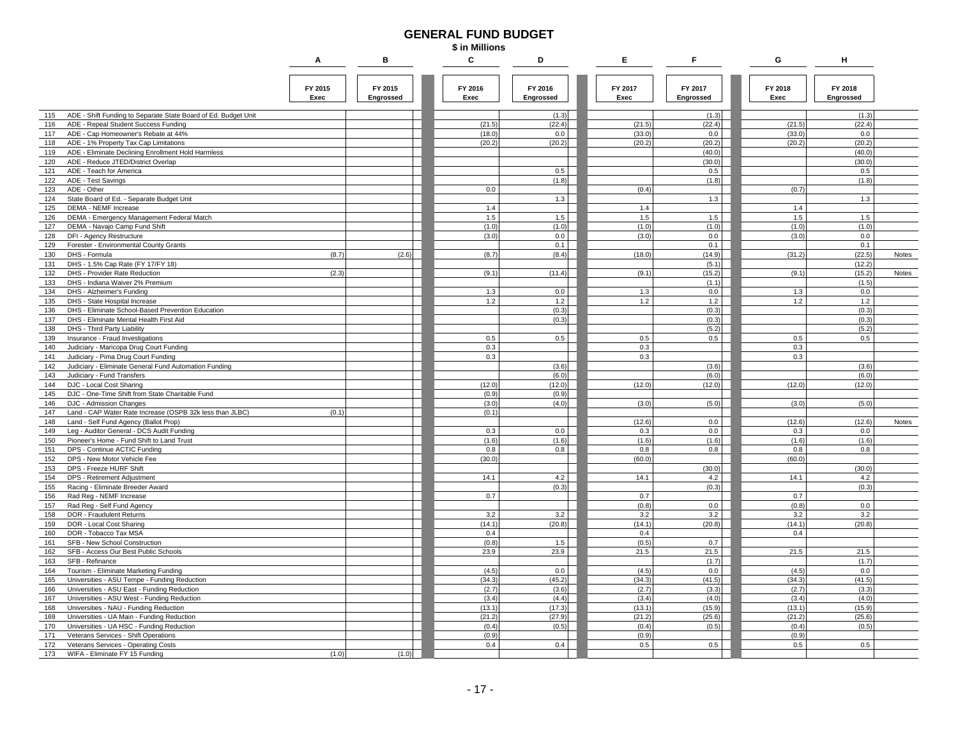#### **GENERAL FUND BUDGET**

|                                                                                                            | \$ in Millions  |                      |                 |                      |  |                 |                      |                 |                      |       |  |
|------------------------------------------------------------------------------------------------------------|-----------------|----------------------|-----------------|----------------------|--|-----------------|----------------------|-----------------|----------------------|-------|--|
|                                                                                                            | Α               | в                    | С               | D                    |  | Е               | F                    | G               | н                    |       |  |
|                                                                                                            | FY 2015<br>Exec | FY 2015<br>Engrossed | FY 2016<br>Exec | FY 2016<br>Engrossed |  | FY 2017<br>Exec | FY 2017<br>Engrossed | FY 2018<br>Exec | FY 2018<br>Engrossed |       |  |
| ADE - Shift Funding to Separate State Board of Ed. Budget Unit<br>115                                      |                 |                      |                 | (1.3)                |  |                 | (1.3)                |                 | (1.3)                |       |  |
| ADE - Repeal Student Success Funding<br>116                                                                |                 |                      | (21.5)          | (22.4)               |  | (21.5)          | (22.4)               | (21.5)          | (22.4)               |       |  |
| ADE - Cap Homeowner's Rebate at 44%<br>117                                                                 |                 |                      | (18.0)          | 0.0                  |  | (33.0)          | 0.0                  | (33.0)          | 0.0                  |       |  |
| 118<br>ADE - 1% Property Tax Cap Limitations                                                               |                 |                      | (20.2)          | (20.2)               |  | (20.2)          | (20.2)               | (20.2)          | (20.2)               |       |  |
| ADE - Eliminate Declining Enrollment Hold Harmless<br>119                                                  |                 |                      |                 |                      |  |                 | (40.0)               |                 | (40.0)               |       |  |
| ADE - Reduce JTED/District Overlap<br>120                                                                  |                 |                      |                 |                      |  |                 | (30.0)               |                 | (30.0)               |       |  |
| ADE - Teach for America<br>121                                                                             |                 |                      |                 | 0.5                  |  |                 | 0.5                  |                 | 0.5                  |       |  |
| 122<br>ADE - Test Savings<br>123<br>ADE - Other                                                            |                 |                      | 0.0             | (1.8)                |  | (0.4)           | (1.8)                | (0.7)           | (1.8)                |       |  |
| State Board of Ed. - Separate Budget Unit<br>124                                                           |                 |                      |                 | 1.3                  |  |                 | 1.3                  |                 | 1.3                  |       |  |
| 125<br>DEMA - NEMF Increase                                                                                |                 |                      | 1.4             |                      |  | 1.4             |                      | 1.4             |                      |       |  |
| 126<br>DEMA - Emergency Management Federal Match                                                           |                 |                      | 1.5             | 1.5                  |  | 1.5             | 1.5                  | 1.5             | 1.5                  |       |  |
| DEMA - Navajo Camp Fund Shift<br>127                                                                       |                 |                      | (1.0)           | (1.0)                |  | (1.0)           | (1.0)                | (1.0)           | (1.0)                |       |  |
| 128<br>DFI - Agency Restructure                                                                            |                 |                      | (3.0)           | 0.0                  |  | (3.0)           | 0.0                  | (3.0)           | 0.0                  |       |  |
| 129<br>Forester - Environmental County Grants                                                              |                 |                      |                 | 0.1                  |  |                 | 0.1                  |                 | 0.1                  |       |  |
| 130<br>DHS - Formula                                                                                       | (8.7)           | (2.6)                | (8.7)           | (8.4)                |  | (18.0)          | (14.9)               | (31.2)          | (22.5)               | Notes |  |
| DHS - 1.5% Cap Rate (FY 17/FY 18)<br>131                                                                   |                 |                      |                 |                      |  |                 | (5.1)                |                 | (12.2)               |       |  |
| 132<br><b>DHS - Provider Rate Reduction</b>                                                                | (2.3)           |                      | (9.1)           | (11.4)               |  | (9.1)           | (15.2)               | (9.1)           | (15.2)               | Notes |  |
| 133<br>DHS - Indiana Waiver 2% Premium                                                                     |                 |                      |                 |                      |  |                 | (1.1)                |                 | (1.5)                |       |  |
| 134<br>DHS - Alzheimer's Funding                                                                           |                 |                      | 1.3             | 0.0                  |  | 1.3             | 0.0                  | 1.3             | 0.0                  |       |  |
| 135<br>DHS - State Hospital Increase                                                                       |                 |                      | 1.2             | 1.2                  |  | 1.2             | 1.2                  | 1.2             | 1.2                  |       |  |
| DHS - Eliminate School-Based Prevention Education<br>136<br>137<br>DHS - Eliminate Mental Health First Aid |                 |                      |                 | (0.3)<br>(0.3)       |  |                 | (0.3)<br>(0.3)       |                 | (0.3)<br>(0.3)       |       |  |
| 138<br>DHS - Third Party Liability                                                                         |                 |                      |                 |                      |  |                 | (5.2)                |                 | (5.2)                |       |  |
| Insurance - Fraud Investigations<br>139                                                                    |                 |                      | 0.5             | 0.5                  |  | 0.5             | 0.5                  | 0.5             | 0.5                  |       |  |
| Judiciary - Maricopa Drug Court Funding<br>140                                                             |                 |                      | 0.3             |                      |  | 0.3             |                      | 0.3             |                      |       |  |
| 141<br>Judiciary - Pima Drug Court Funding                                                                 |                 |                      | 0.3             |                      |  | 0.3             |                      | 0.3             |                      |       |  |
| 142<br>Judiciary - Eliminate General Fund Automation Funding                                               |                 |                      |                 | (3.6)                |  |                 | (3.6)                |                 | (3.6)                |       |  |
| 143<br>Judiciary - Fund Transfers                                                                          |                 |                      |                 | (6.0)                |  |                 | (6.0)                |                 | (6.0)                |       |  |
| 144<br>DJC - Local Cost Sharing                                                                            |                 |                      | (12.0)          | (12.0)               |  | (12.0)          | (12.0)               | (12.0)          | (12.0)               |       |  |
| DJC - One-Time Shift from State Charitable Fund<br>145                                                     |                 |                      | (0.9)           | (0.9)                |  |                 |                      |                 |                      |       |  |
| 146<br>DJC - Admission Changes                                                                             |                 |                      | (3.0)           | (4.0)                |  | (3.0)           | (5.0)                | (3.0)           | (5.0)                |       |  |
| 147<br>Land - CAP Water Rate Increase (OSPB 32k less than JLBC)                                            | (0.1)           |                      | (0.1)           |                      |  |                 |                      |                 |                      |       |  |
| 148<br>Land - Self Fund Agency (Ballot Prop)                                                               |                 |                      |                 |                      |  | (12.6)          | 0.0                  | (12.6)          | (12.6)               | Notes |  |
| Leg - Auditor General - DCS Audit Funding<br>149                                                           |                 |                      | 0.3<br>(1.6)    | 0.0<br>(1.6)         |  | 0.3<br>(1.6)    | 0.0                  | 0.3<br>(1.6)    | 0.0<br>(1.6)         |       |  |
| 150<br>Pioneer's Home - Fund Shift to Land Trust<br>151<br>DPS - Continue ACTIC Funding                    |                 |                      | 0.8             | 0.8                  |  | 0.8             | (1.6)<br>0.8         | 0.8             | 0.8                  |       |  |
| 152<br>DPS - New Motor Vehicle Fee                                                                         |                 |                      | (30.0)          |                      |  | (60.0)          |                      | (60.0)          |                      |       |  |
| 153<br>DPS - Freeze HURF Shift                                                                             |                 |                      |                 |                      |  |                 | (30.0)               |                 | (30.0)               |       |  |
| 154<br>DPS - Retirement Adjustment                                                                         |                 |                      | 14.1            | 4.2                  |  | 14.1            | 4.2                  | 14.1            | 4.2                  |       |  |
| Racing - Eliminate Breeder Award<br>155                                                                    |                 |                      |                 | (0.3)                |  |                 | (0.3)                |                 | (0.3)                |       |  |
| Rad Reg - NEMF Increase<br>156                                                                             |                 |                      | 0.7             |                      |  | 0.7             |                      | 0.7             |                      |       |  |
| 157<br>Rad Reg - Self Fund Agency                                                                          |                 |                      |                 |                      |  | (0.8)           | 0.0                  | (0.8)           | 0.0                  |       |  |
| 158<br>DOR - Fraudulent Returns                                                                            |                 |                      | 3.2             | 3.2                  |  | 3.2             | 3.2                  | 3.2             | 3.2                  |       |  |
| 159<br>DOR - Local Cost Sharing                                                                            |                 |                      | (14.1)          | (20.8)               |  | (14.1)          | (20.8)               | (14.1)          | (20.8)               |       |  |
| 160<br>DOR - Tobacco Tax MSA                                                                               |                 |                      | 0.4             |                      |  | 0.4             |                      | 0.4             |                      |       |  |
| SFB - New School Construction<br>161                                                                       |                 |                      | (0.8)           | 1.5                  |  | (0.5)           | 0.7                  |                 |                      |       |  |
| 162<br>SFB - Access Our Best Public Schools                                                                |                 |                      | 23.9            | 23.9                 |  | 21.5            | 21.5                 | 21.5            | 21.5                 |       |  |
| 163<br>SFB - Refinance<br>Tourism - Eliminate Marketing Funding                                            |                 |                      | (4.5)           | 0.0                  |  | (4.5)           | (1.7)<br>0.0         | (4.5)           | (1.7)<br>0.0         |       |  |
| 164<br>Universities - ASU Tempe - Funding Reduction<br>165                                                 |                 |                      | (34.3)          | (45.2)               |  | (34.3)          | (41.5)               | (34.3)          | (41.5)               |       |  |
| 166<br>Universities - ASU East - Funding Reduction                                                         |                 |                      | (2.7)           | (3.6)                |  | (2.7)           | (3.3)                | (2.7)           | (3.3)                |       |  |
| Universities - ASU West - Funding Reduction<br>167                                                         |                 |                      | (3.4)           | (4.4)                |  | (3.4)           | (4.0)                | (3.4)           | (4.0)                |       |  |
| 168<br>Universities - NAU - Funding Reduction                                                              |                 |                      | (13.1)          | (17.3)               |  | (13.1)          | (15.9)               | (13.1)          | (15.9)               |       |  |
| 169<br>Universities - UA Main - Funding Reduction                                                          |                 |                      | (21.2)          | (27.9)               |  | (21.2)          | (25.6)               | (21.2)          | (25.6)               |       |  |
| Universities - UA HSC - Funding Reduction<br>170                                                           |                 |                      | (0.4)           | (0.5)                |  | (0.4)           | (0.5)                | (0.4)           | (0.5)                |       |  |
| Veterans Services - Shift Operations<br>171                                                                |                 |                      | (0.9)           |                      |  | (0.9)           |                      | (0.9)           |                      |       |  |

Veterans Services - Operating Costs 0.4 0.4 0.5 0.5 0.5 0.5

171 Veterans Services - Shift Operations (0.9) (0.9) (0.9) (0.9) (0.9) (0.9) (0.9) (0.9) (0.9) (0.9) (0.9) (0.9) (0.9) (0.9) (0.9) (0.9) (0.9) (0.9) (0.9) (0.9) (0.9) (0.9) (0.9) (0.9) (0.9) (0.9) (0.9) (0.9) (0.9) (0.9) (

WIFA - Eliminate FY 15 Funding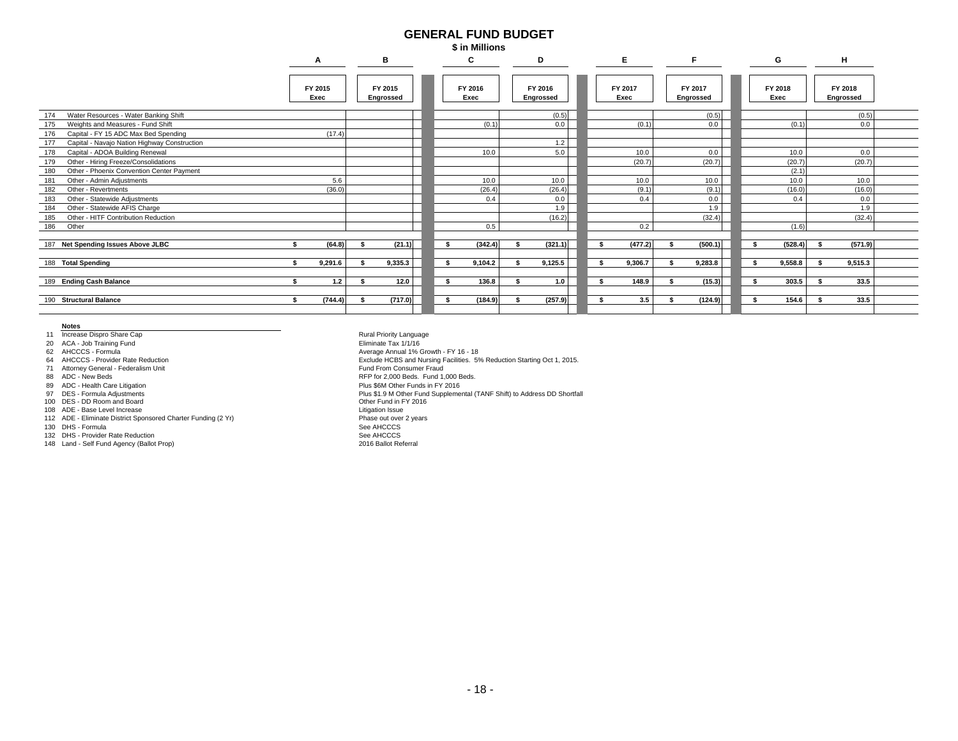#### **GENERAL FUND BUDGET\$ in Millions**

|                                                     |                 |                      |      | .               |                      |  |                 |                      |      |                 |                      |  |
|-----------------------------------------------------|-----------------|----------------------|------|-----------------|----------------------|--|-----------------|----------------------|------|-----------------|----------------------|--|
|                                                     | A               | в                    |      | C               | D                    |  | Е.              |                      |      | G               | н                    |  |
|                                                     | FY 2015<br>Exec | FY 2015<br>Engrossed |      | FY 2016<br>Exec | FY 2016<br>Engrossed |  | FY 2017<br>Exec | FY 2017<br>Engrossed |      | FY 2018<br>Exec | FY 2018<br>Engrossed |  |
| Water Resources - Water Banking Shift<br>174        |                 |                      |      |                 | (0.5)                |  |                 | (0.5)                |      |                 | (0.5)                |  |
| Weights and Measures - Fund Shift<br>175            |                 |                      |      | (0.1)           | 0.0                  |  | (0.1)           | 0.0                  |      | (0.1)           | 0.0                  |  |
| Capital - FY 15 ADC Max Bed Spending<br>176         | (17.4)          |                      |      |                 |                      |  |                 |                      |      |                 |                      |  |
| Capital - Navajo Nation Highway Construction<br>177 |                 |                      |      |                 | 1.2                  |  |                 |                      |      |                 |                      |  |
| 178<br>Capital - ADOA Building Renewal              |                 |                      |      | 10.0            | 5.0                  |  | 10.0            | 0.0                  |      | 10.0            | 0.0                  |  |
| 179<br>Other - Hiring Freeze/Consolidations         |                 |                      |      |                 |                      |  | (20.7)          | (20.7)               |      | (20.7)          | (20.7)               |  |
| 180<br>Other - Phoenix Convention Center Payment    |                 |                      |      |                 |                      |  |                 |                      |      | (2.1)           |                      |  |
| Other - Admin Adiustments<br>181                    | 5.6             |                      |      | 10.0            | 10.0                 |  | 10.0            | 10.0                 |      | 10.0            | 10.0                 |  |
| 182<br>Other - Revertments                          | (36.0)          |                      |      | (26.4)          | (26.4)               |  | (9.1)           | (9.1)                |      | (16.0)          | (16.0)               |  |
| 183<br>Other - Statewide Adiustments                |                 |                      |      | 0.4             | 0.0                  |  | 0.4             | 0.0                  |      | 0.4             | 0.0                  |  |
| 184<br>Other - Statewide AFIS Charge                |                 |                      |      |                 | 1.9                  |  |                 | 1.9                  |      |                 | 1.9                  |  |
| Other - HITF Contribution Reduction<br>185          |                 |                      |      |                 | (16.2)               |  |                 | (32.4)               |      |                 | (32.4)               |  |
| 186<br>Other                                        |                 |                      |      | 0.5             |                      |  | 0.2             |                      |      | (1.6)           |                      |  |
| 187 Net Spending Issues Above JLBC                  | (64.8)          | (21.1)               | s.   | (342.4)         | (321.1)              |  | (477.2)         | (500.1)              |      | (528.4)         | (571.9)              |  |
| 188 Total Spending                                  | 9,291.6         | 9,335.3              | -\$  | 9,104.2         | 9,125.5              |  | 9,306.7         | 9,283.8              | ¢    | 9,558.8         | 9,515.3              |  |
| 189 Ending Cash Balance                             | 1.2             | 12.0                 | - \$ | 136.8           | 1.0                  |  | 148.9           | (15.3)               | - \$ | 303.5           | 33.5                 |  |
|                                                     |                 |                      |      |                 |                      |  |                 |                      |      |                 |                      |  |
| 190 Structural Balance                              | (744.4)         | (717.0)              | - \$ | (184.9)         | (257.9)              |  | 3.5             | (124.9)              |      | 154.6           | 33.5                 |  |
|                                                     |                 |                      |      |                 |                      |  |                 |                      |      |                 |                      |  |

**Notes**

11 Increase Dispro Share Cap

20 ACA - Job Training Fund

62 AHCCCS - Formula

64 AHCCCS - Provider Rate Reduction

71 Attorney General - Federalism Unit

88 ADC - New Beds

89 ADC - Health Care Litigation

97 DES - Formula Adjustments 100 DES - DD Room and Board

108 ADE - Base Level Increase

112 ADE - Eliminate District Sponsored Charter Funding (2 Yr)

130 DHS - Formula

132 DHS - Provider Rate Reduction

148 Land - Self Fund Agency (Ballot Prop)

See AHCCCS 2016 Ballot Referral Phase out over 2 years See AHCCCSPlus \$1.9 M Other Fund Supplemental (TANF Shift) to Address DD Shortfall Other Fund in FY 2016Litigation Issue RFP for 2,000 Beds. Fund 1,000 Beds. Plus \$6M Other Funds in FY 2016 Average Annual 1% Growth - FY 16 - 18 Fund From Consumer FraudEliminate Tax 1/1/16Exclude HCBS and Nursing Facilities. 5% Reduction Starting Oct 1, 2015. Rural Priority Language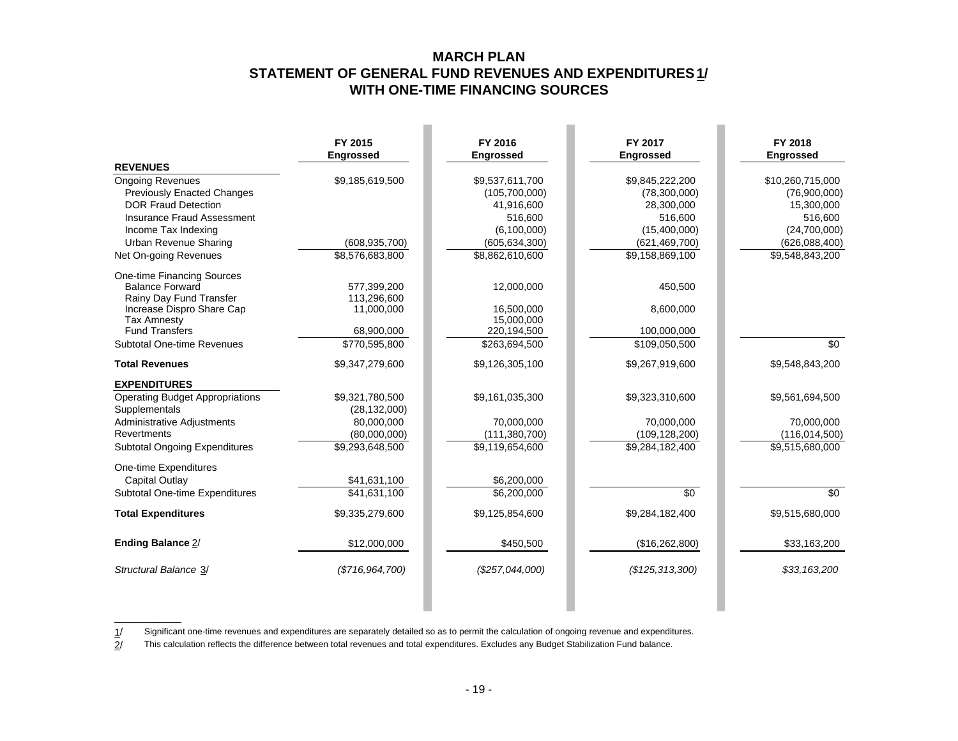### **MARCH PLAN STATEMENT OF GENERAL FUND REVENUES AND EXPENDITURES 1/ WITH ONE-TIME FINANCING SOURCES**

|                                        | FY 2015<br><b>Engrossed</b> | FY 2016<br><b>Engrossed</b> | FY 2017<br><b>Engrossed</b> | FY 2018<br><b>Engrossed</b> |
|----------------------------------------|-----------------------------|-----------------------------|-----------------------------|-----------------------------|
| <b>REVENUES</b>                        |                             |                             |                             |                             |
| <b>Ongoing Revenues</b>                | \$9,185,619,500             | \$9,537,611,700             | \$9,845,222,200             | \$10,260,715,000            |
| <b>Previously Enacted Changes</b>      |                             | (105,700,000)               | (78,300,000)                | (76,900,000)                |
| <b>DOR Fraud Detection</b>             |                             | 41,916,600                  | 28,300,000                  | 15,300,000                  |
| <b>Insurance Fraud Assessment</b>      |                             | 516,600                     | 516,600                     | 516,600                     |
| Income Tax Indexing                    |                             | (6, 100, 000)               | (15,400,000)                | (24,700,000)                |
| <b>Urban Revenue Sharing</b>           | (608, 935, 700)             | (605, 634, 300)             | (621, 469, 700)             | (626,088,400)               |
| Net On-going Revenues                  | \$8,576,683,800             | \$8,862,610,600             | \$9,158,869,100             | \$9,548,843,200             |
| One-time Financing Sources             |                             |                             |                             |                             |
| <b>Balance Forward</b>                 | 577,399,200                 | 12,000,000                  | 450.500                     |                             |
| Rainy Day Fund Transfer                | 113,296,600                 |                             |                             |                             |
| Increase Dispro Share Cap              | 11,000,000                  | 16.500.000                  | 8,600,000                   |                             |
| <b>Tax Amnesty</b>                     |                             | 15,000,000                  |                             |                             |
| <b>Fund Transfers</b>                  | 68,900,000                  | 220,194,500                 | 100,000,000                 |                             |
| <b>Subtotal One-time Revenues</b>      | $\overline{$770,595,800}$   | \$263,694,500               | \$109,050,500               | \$0                         |
| <b>Total Revenues</b>                  | \$9,347,279,600             | \$9,126,305,100             | \$9,267,919,600             | \$9,548,843,200             |
| <b>EXPENDITURES</b>                    |                             |                             |                             |                             |
| <b>Operating Budget Appropriations</b> | \$9,321,780,500             | \$9,161,035,300             | \$9,323,310,600             | \$9,561,694,500             |
| Supplementals                          | (28, 132, 000)              |                             |                             |                             |
| <b>Administrative Adjustments</b>      | 80.000.000                  | 70.000.000                  | 70.000.000                  | 70,000,000                  |
| <b>Revertments</b>                     | (80,000,000)                | (111, 380, 700)             | (109, 128, 200)             | (116, 014, 500)             |
| <b>Subtotal Ongoing Expenditures</b>   | \$9,293,648,500             | \$9,119,654,600             | \$9,284,182,400             | \$9,515,680,000             |
| One-time Expenditures                  |                             |                             |                             |                             |
| <b>Capital Outlay</b>                  | \$41,631,100                | \$6,200,000                 |                             |                             |
| Subtotal One-time Expenditures         | \$41,631,100                | \$6,200,000                 | \$0                         | \$0                         |
| <b>Total Expenditures</b>              | \$9,335,279,600             | \$9,125,854,600             | \$9,284,182,400             | \$9,515,680,000             |
| Ending Balance 2/                      | \$12,000,000                | \$450,500                   | (\$16,262,800)              | \$33,163,200                |
| Structural Balance 3/                  | (\$716,964,700)             | (\$257,044,000)             | (\$125,313,300)             | \$33,163,200                |
|                                        |                             |                             |                             |                             |

Significant one-time revenues and expenditures are separately detailed so as to permit the calculation of ongoing revenue and expenditures.

1/ 2/ This calculation reflects the difference between total revenues and total expenditures. Excludes any Budget Stabilization Fund balance.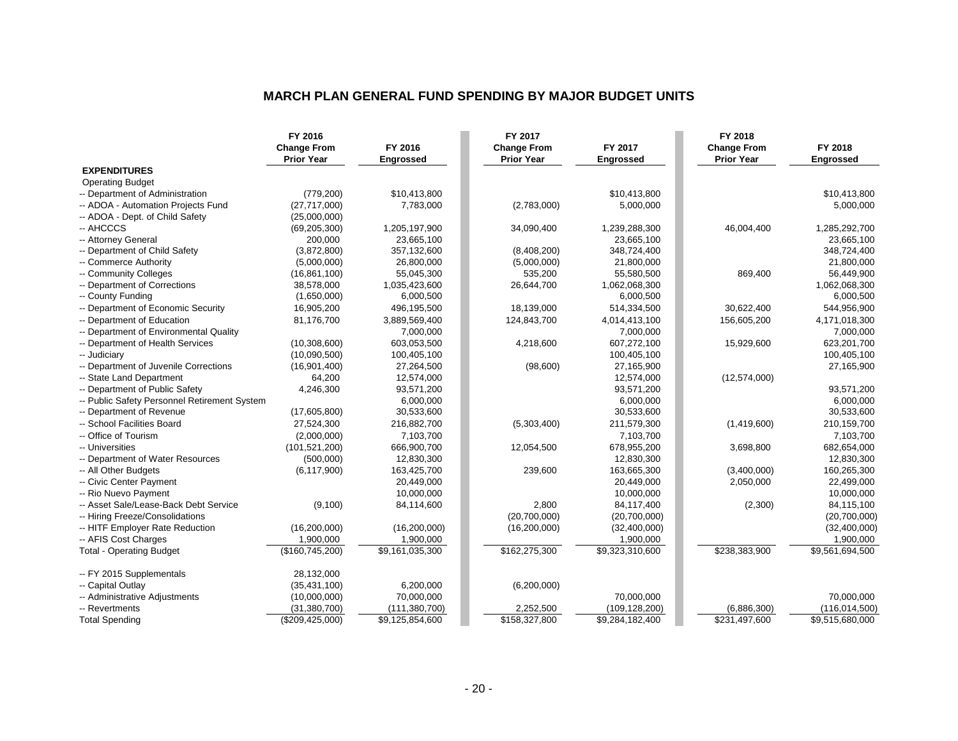#### **MARCH PLAN GENERAL FUND SPENDING BY MAJOR BUDGET UNITS**

|                                              | FY 2016            |                  | FY 2017            |                  | FY 2018            |                  |
|----------------------------------------------|--------------------|------------------|--------------------|------------------|--------------------|------------------|
|                                              | <b>Change From</b> | FY 2016          | <b>Change From</b> | FY 2017          | <b>Change From</b> | FY 2018          |
|                                              | <b>Prior Year</b>  | <b>Engrossed</b> | <b>Prior Year</b>  | <b>Engrossed</b> | <b>Prior Year</b>  | <b>Engrossed</b> |
| <b>EXPENDITURES</b>                          |                    |                  |                    |                  |                    |                  |
| <b>Operating Budget</b>                      |                    |                  |                    |                  |                    |                  |
| -- Department of Administration              | (779, 200)         | \$10,413,800     |                    | \$10,413,800     |                    | \$10,413,800     |
| -- ADOA - Automation Projects Fund           | (27, 717, 000)     | 7,783,000        | (2,783,000)        | 5,000,000        |                    | 5,000,000        |
| -- ADOA - Dept. of Child Safety              | (25,000,000)       |                  |                    |                  |                    |                  |
| -- AHCCCS                                    | (69, 205, 300)     | 1,205,197,900    | 34,090,400         | 1,239,288,300    | 46,004,400         | 1,285,292,700    |
| -- Attorney General                          | 200,000            | 23,665,100       |                    | 23,665,100       |                    | 23,665,100       |
| -- Department of Child Safety                | (3,872,800)        | 357,132,600      | (8,408,200)        | 348,724,400      |                    | 348,724,400      |
| -- Commerce Authority                        | (5,000,000)        | 26,800,000       | (5,000,000)        | 21,800,000       |                    | 21,800,000       |
| -- Community Colleges                        | (16, 861, 100)     | 55,045,300       | 535,200            | 55,580,500       | 869,400            | 56,449,900       |
| -- Department of Corrections                 | 38,578,000         | 1,035,423,600    | 26,644,700         | 1,062,068,300    |                    | 1,062,068,300    |
| -- County Funding                            | (1,650,000)        | 6,000,500        |                    | 6,000,500        |                    | 6,000,500        |
| -- Department of Economic Security           | 16,905,200         | 496,195,500      | 18,139,000         | 514,334,500      | 30,622,400         | 544,956,900      |
| -- Department of Education                   | 81,176,700         | 3,889,569,400    | 124,843,700        | 4,014,413,100    | 156,605,200        | 4,171,018,300    |
| -- Department of Environmental Quality       |                    | 7,000,000        |                    | 7,000,000        |                    | 7,000,000        |
| -- Department of Health Services             | (10, 308, 600)     | 603,053,500      | 4,218,600          | 607,272,100      | 15,929,600         | 623,201,700      |
| -- Judiciary                                 | (10,090,500)       | 100,405,100      |                    | 100,405,100      |                    | 100,405,100      |
| -- Department of Juvenile Corrections        | (16, 901, 400)     | 27,264,500       | (98,600)           | 27,165,900       |                    | 27,165,900       |
| -- State Land Department                     | 64,200             | 12,574,000       |                    | 12,574,000       | (12,574,000)       |                  |
| -- Department of Public Safety               | 4,246,300          | 93,571,200       |                    | 93,571,200       |                    | 93,571,200       |
| -- Public Safety Personnel Retirement System |                    | 6,000,000        |                    | 6,000,000        |                    | 6,000,000        |
| -- Department of Revenue                     | (17,605,800)       | 30,533,600       |                    | 30,533,600       |                    | 30,533,600       |
| -- School Facilities Board                   | 27,524,300         | 216,882,700      | (5,303,400)        | 211,579,300      | (1,419,600)        | 210,159,700      |
| -- Office of Tourism                         | (2,000,000)        | 7,103,700        |                    | 7,103,700        |                    | 7,103,700        |
| -- Universities                              | (101, 521, 200)    | 666,900,700      | 12,054,500         | 678,955,200      | 3,698,800          | 682,654,000      |
| -- Department of Water Resources             | (500,000)          | 12,830,300       |                    | 12,830,300       |                    | 12,830,300       |
| -- All Other Budgets                         | (6, 117, 900)      | 163,425,700      | 239,600            | 163,665,300      | (3,400,000)        | 160,265,300      |
| -- Civic Center Payment                      |                    | 20,449,000       |                    | 20,449,000       | 2,050,000          | 22,499,000       |
| -- Rio Nuevo Payment                         |                    | 10,000,000       |                    | 10,000,000       |                    | 10,000,000       |
| -- Asset Sale/Lease-Back Debt Service        | (9,100)            | 84,114,600       | 2,800              | 84,117,400       | (2,300)            | 84,115,100       |
| -- Hiring Freeze/Consolidations              |                    |                  | (20,700,000)       | (20,700,000)     |                    | (20,700,000)     |
| -- HITF Employer Rate Reduction              | (16, 200, 000)     | (16, 200, 000)   | (16, 200, 000)     | (32,400,000)     |                    | (32,400,000)     |
| -- AFIS Cost Charges                         | 1,900,000          | 1,900,000        |                    | 1,900,000        |                    | 1,900,000        |
| <b>Total - Operating Budget</b>              | (\$160, 745, 200)  | \$9,161,035,300  | \$162,275,300      | \$9,323,310,600  | \$238,383,900      | \$9,561,694,500  |
| -- FY 2015 Supplementals                     | 28,132,000         |                  |                    |                  |                    |                  |
| -- Capital Outlay                            | (35, 431, 100)     | 6,200,000        | (6,200,000)        |                  |                    |                  |
| -- Administrative Adjustments                | (10,000,000)       | 70,000,000       |                    | 70,000,000       |                    | 70,000,000       |
| -- Revertments                               | (31, 380, 700)     | (111, 380, 700)  | 2,252,500          | (109, 128, 200)  | (6,886,300)        | (116, 014, 500)  |
| <b>Total Spending</b>                        | (\$209,425,000)    | \$9,125,854,600  | \$158,327,800      | \$9,284,182,400  | \$231,497,600      | \$9,515,680,000  |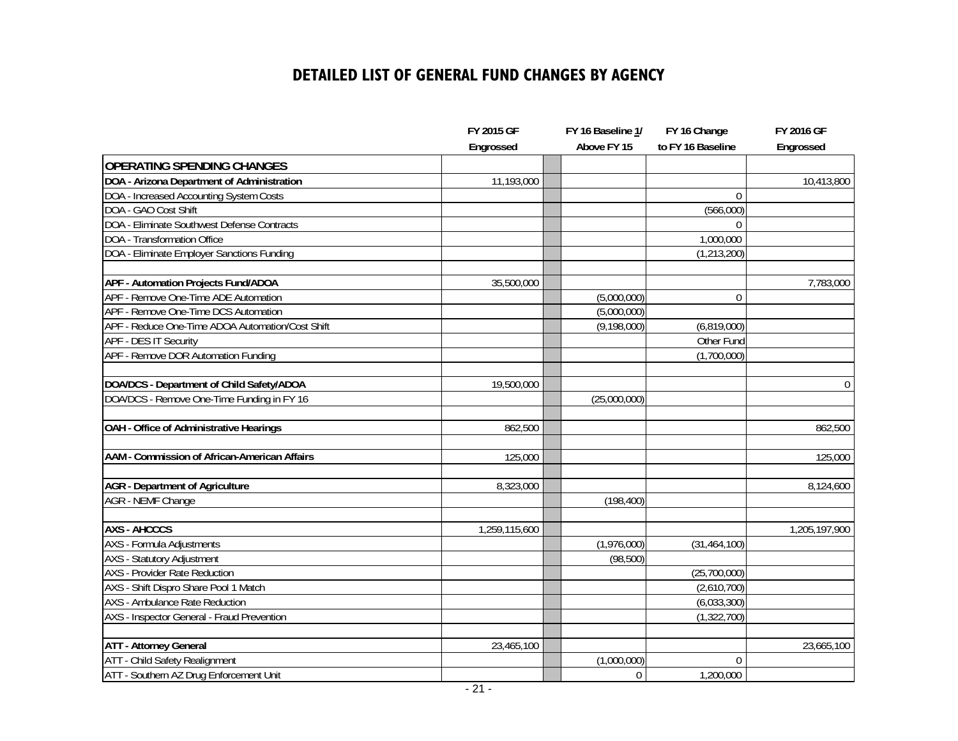### **DETAILED LIST OF GENERAL FUND CHANGES BY AGENCY**

|                                                  | FY 2015 GF    | FY 16 Baseline 1/ | FY 16 Change      | FY 2016 GF    |
|--------------------------------------------------|---------------|-------------------|-------------------|---------------|
|                                                  | Engrossed     | Above FY 15       | to FY 16 Baseline | Engrossed     |
| <b>OPERATING SPENDING CHANGES</b>                |               |                   |                   |               |
| DOA - Arizona Department of Administration       | 11,193,000    |                   |                   | 10,413,800    |
| DOA - Increased Accounting System Costs          |               |                   | $\theta$          |               |
| DOA - GAO Cost Shift                             |               |                   | (566,000)         |               |
| DOA - Eliminate Southwest Defense Contracts      |               |                   | $\Omega$          |               |
| DOA - Transformation Office                      |               |                   | 1,000,000         |               |
| DOA - Eliminate Employer Sanctions Funding       |               |                   | (1, 213, 200)     |               |
| <b>APF - Automation Projects Fund/ADOA</b>       | 35,500,000    |                   |                   | 7,783,000     |
| APF - Remove One-Time ADE Automation             |               | (5,000,000)       | 0                 |               |
| APF - Remove One-Time DCS Automation             |               | (5,000,000)       |                   |               |
| APF - Reduce One-Time ADOA Automation/Cost Shift |               | (9, 198, 000)     | (6,819,000)       |               |
| APF - DES IT Security                            |               |                   | Other Fund        |               |
| APF - Remove DOR Automation Funding              |               |                   | (1,700,000)       |               |
| DOA/DCS - Department of Child Safety/ADOA        | 19,500,000    |                   |                   | $\mathbf 0$   |
| DOA/DCS - Remove One-Time Funding in FY 16       |               | (25,000,000)      |                   |               |
| OAH - Office of Administrative Hearings          | 862,500       |                   |                   | 862,500       |
|                                                  |               |                   |                   |               |
| AAM - Commission of African-American Affairs     | 125,000       |                   |                   | 125,000       |
| <b>AGR</b> - Department of Agriculture           | 8,323,000     |                   |                   | 8,124,600     |
| <b>AGR - NEMF Change</b>                         |               | (198, 400)        |                   |               |
| <b>AXS - AHCCCS</b>                              | 1,259,115,600 |                   |                   | 1,205,197,900 |
| <b>AXS</b> - Formula Adjustments                 |               | (1,976,000)       | (31, 464, 100)    |               |
| <b>AXS</b> - Statutory Adjustment                |               | (98, 500)         |                   |               |
| <b>AXS</b> - Provider Rate Reduction             |               |                   | (25,700,000)      |               |
| AXS - Shift Dispro Share Pool 1 Match            |               |                   | (2,610,700)       |               |
| <b>AXS</b> - Ambulance Rate Reduction            |               |                   | (6,033,300)       |               |
| AXS - Inspector General - Fraud Prevention       |               |                   | (1, 322, 700)     |               |
|                                                  |               |                   |                   |               |
| <b>ATT - Attorney General</b>                    | 23,465,100    |                   |                   | 23,665,100    |
| ATT - Child Safety Realignment                   |               | (1,000,000)       | $\mathbf{0}$      |               |
| ATT - Southern AZ Drug Enforcement Unit          |               | $\mathbf{0}$      | 1,200,000         |               |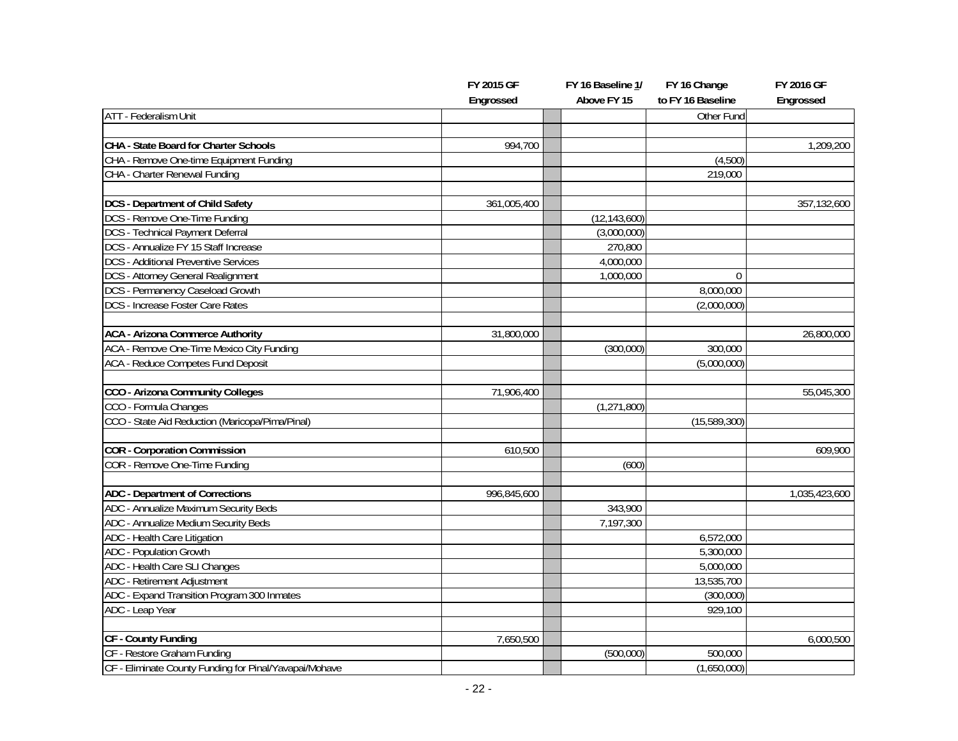|                                                        | FY 2015 GF  | FY 16 Baseline 1/ | FY 16 Change      | FY 2016 GF    |
|--------------------------------------------------------|-------------|-------------------|-------------------|---------------|
|                                                        | Engrossed   | Above FY 15       | to FY 16 Baseline | Engrossed     |
| <b>ATT</b> - Federalism Unit                           |             |                   | Other Fund        |               |
|                                                        |             |                   |                   |               |
| CHA - State Board for Charter Schools                  | 994,700     |                   |                   | 1,209,200     |
| CHA - Remove One-time Equipment Funding                |             |                   | (4,500)           |               |
| CHA - Charter Renewal Funding                          |             |                   | 219,000           |               |
| <b>DCS</b> - Department of Child Safety                | 361,005,400 |                   |                   | 357,132,600   |
| DCS - Remove One-Time Funding                          |             | (12, 143, 600)    |                   |               |
| <b>DCS</b> - Technical Payment Deferral                |             | (3,000,000)       |                   |               |
| DCS - Annualize FY 15 Staff Increase                   |             | 270,800           |                   |               |
| <b>DCS</b> - Additional Preventive Services            |             | 4,000,000         |                   |               |
| <b>DCS</b> - Attorney General Realignment              |             | 1,000,000         | $\Omega$          |               |
| DCS - Permanency Caseload Growth                       |             |                   | 8,000,000         |               |
| <b>DCS</b> - Increase Foster Care Rates                |             |                   | (2,000,000)       |               |
|                                                        |             |                   |                   |               |
| <b>ACA - Arizona Commerce Authority</b>                | 31,800,000  |                   |                   | 26,800,000    |
| ACA - Remove One-Time Mexico City Funding              |             | (300,000)         | 300,000           |               |
| <b>ACA - Reduce Competes Fund Deposit</b>              |             |                   | (5,000,000)       |               |
|                                                        |             |                   |                   |               |
| CCO - Arizona Community Colleges                       | 71,906,400  |                   |                   | 55,045,300    |
| CCO - Formula Changes                                  |             | (1, 271, 800)     |                   |               |
| CCO - State Aid Reduction (Maricopa/Pima/Pinal)        |             |                   | (15, 589, 300)    |               |
| <b>COR</b> - Corporation Commission                    | 610,500     |                   |                   | 609,900       |
| COR - Remove One-Time Funding                          |             | (600)             |                   |               |
| <b>ADC</b> - Department of Corrections                 | 996,845,600 |                   |                   | 1,035,423,600 |
| ADC - Annualize Maximum Security Beds                  |             | 343,900           |                   |               |
| ADC - Annualize Medium Security Beds                   |             | 7,197,300         |                   |               |
| ADC - Health Care Litigation                           |             |                   | 6,572,000         |               |
| <b>ADC</b> - Population Growth                         |             |                   | 5,300,000         |               |
| ADC - Health Care SLI Changes                          |             |                   | 5,000,000         |               |
| ADC - Retirement Adjustment                            |             |                   | 13,535,700        |               |
| ADC - Expand Transition Program 300 Inmates            |             |                   | (300,000)         |               |
| ADC - Leap Year                                        |             |                   | 929,100           |               |
|                                                        |             |                   |                   |               |
| CF - County Funding                                    | 7,650,500   |                   |                   | 6,000,500     |
| CF - Restore Graham Funding                            |             | (500,000)         | 500,000           |               |
| CF - Eliminate County Funding for Pinal/Yavapai/Mohave |             |                   | (1,650,000)       |               |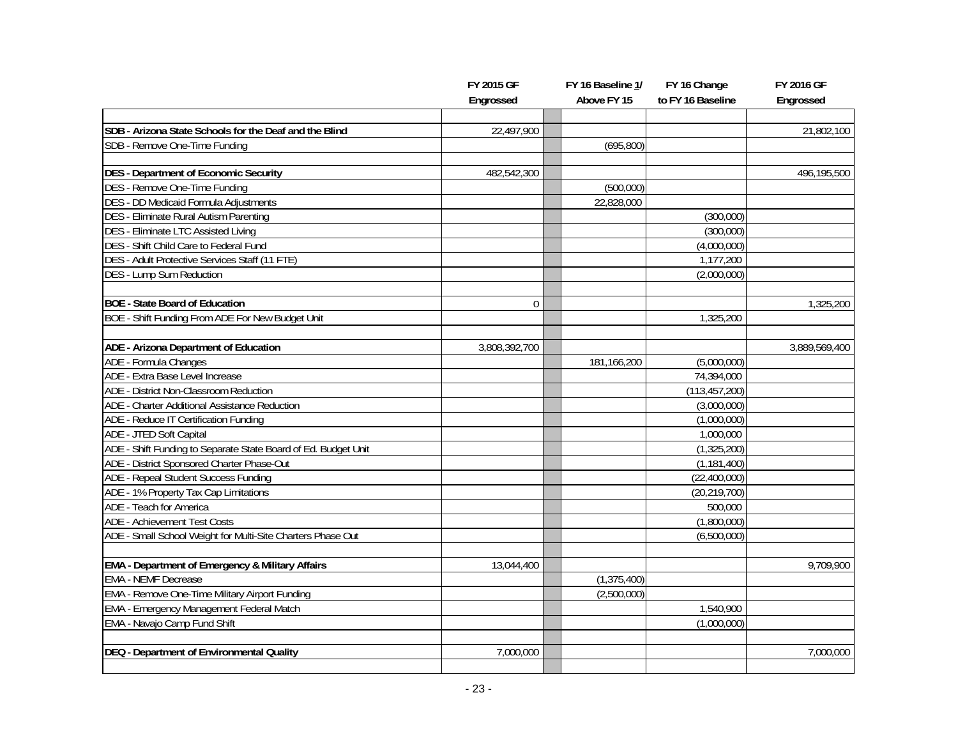|                                                                | FY 2015 GF    | FY 16 Baseline 1/ | FY 16 Change      | FY 2016 GF    |
|----------------------------------------------------------------|---------------|-------------------|-------------------|---------------|
|                                                                | Engrossed     | Above FY 15       | to FY 16 Baseline | Engrossed     |
|                                                                |               |                   |                   |               |
| SDB - Arizona State Schools for the Deaf and the Blind         | 22,497,900    |                   |                   | 21,802,100    |
| SDB - Remove One-Time Funding                                  |               | (695, 800)        |                   |               |
|                                                                |               |                   |                   |               |
| <b>DES</b> - Department of Economic Security                   | 482,542,300   |                   |                   | 496,195,500   |
| <b>DES</b> - Remove One-Time Funding                           |               | (500,000)         |                   |               |
| DES - DD Medicaid Formula Adjustments                          |               | 22,828,000        |                   |               |
| DES - Eliminate Rural Autism Parenting                         |               |                   | (300,000)         |               |
| <b>DES - Eliminate LTC Assisted Living</b>                     |               |                   | (300,000)         |               |
| DES - Shift Child Care to Federal Fund                         |               |                   | (4,000,000)       |               |
| DES - Adult Protective Services Staff (11 FTE)                 |               |                   | 1,177,200         |               |
| <b>DES - Lump Sum Reduction</b>                                |               |                   | (2,000,000)       |               |
|                                                                |               |                   |                   |               |
| <b>BOE - State Board of Education</b>                          | $\mathbf{0}$  |                   |                   | 1,325,200     |
| BOE - Shift Funding From ADE For New Budget Unit               |               |                   | 1,325,200         |               |
| ADE - Arizona Department of Education                          | 3,808,392,700 |                   |                   | 3,889,569,400 |
| ADE - Formula Changes                                          |               | 181,166,200       | (5,000,000)       |               |
| ADE - Extra Base Level Increase                                |               |                   | 74,394,000        |               |
| ADE - District Non-Classroom Reduction                         |               |                   | (113, 457, 200)   |               |
| ADE - Charter Additional Assistance Reduction                  |               |                   | (3,000,000)       |               |
| ADE - Reduce IT Certification Funding                          |               |                   | (1,000,000)       |               |
| ADE - JTED Soft Capital                                        |               |                   | 1,000,000         |               |
| ADE - Shift Funding to Separate State Board of Ed. Budget Unit |               |                   | (1, 325, 200)     |               |
| ADE - District Sponsored Charter Phase-Out                     |               |                   | (1, 181, 400)     |               |
| ADE - Repeal Student Success Funding                           |               |                   | (22, 400, 000)    |               |
| ADE - 1% Property Tax Cap Limitations                          |               |                   | (20, 219, 700)    |               |
| ADE - Teach for America                                        |               |                   | 500,000           |               |
| <b>ADE - Achievement Test Costs</b>                            |               |                   | (1,800,000)       |               |
| ADE - Small School Weight for Multi-Site Charters Phase Out    |               |                   | (6,500,000)       |               |
|                                                                |               |                   |                   |               |
| <b>EMA - Department of Emergency &amp; Military Affairs</b>    | 13,044,400    |                   |                   | 9,709,900     |
| <b>EMA - NEMF Decrease</b>                                     |               | (1, 375, 400)     |                   |               |
| <b>EMA - Remove One-Time Military Airport Funding</b>          |               | (2,500,000)       |                   |               |
| EMA - Emergency Management Federal Match                       |               |                   | 1,540,900         |               |
| EMA - Navajo Camp Fund Shift                                   |               |                   | (1,000,000)       |               |
|                                                                |               |                   |                   |               |
| DEQ - Department of Environmental Quality                      | 7,000,000     |                   |                   | 7,000,000     |
|                                                                |               |                   |                   |               |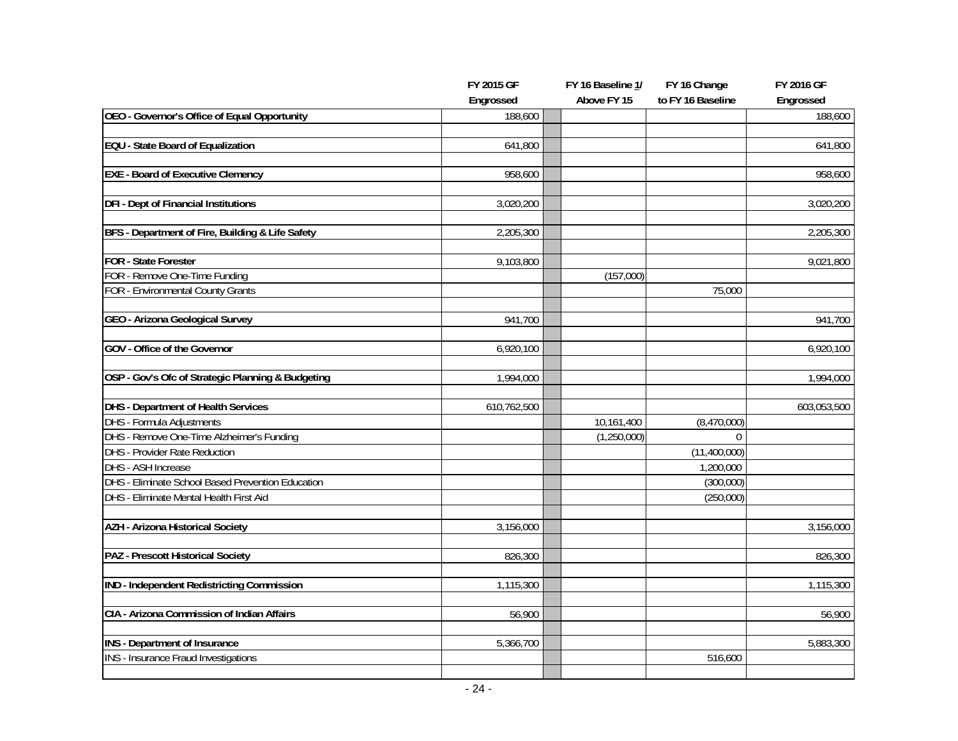|                                                   | FY 2015 GF  | FY 16 Baseline 1/ | FY 16 Change      | FY 2016 GF  |
|---------------------------------------------------|-------------|-------------------|-------------------|-------------|
|                                                   | Engrossed   | Above FY 15       | to FY 16 Baseline | Engrossed   |
| OEO - Governor's Office of Equal Opportunity      | 188,600     |                   |                   | 188,600     |
|                                                   |             |                   |                   |             |
| <b>EQU</b> - State Board of Equalization          | 641,800     |                   |                   | 641,800     |
|                                                   |             |                   |                   |             |
| <b>EXE - Board of Executive Clemency</b>          | 958,600     |                   |                   | 958,600     |
| <b>DFI - Dept of Financial Institutions</b>       |             |                   |                   |             |
|                                                   | 3,020,200   |                   |                   | 3,020,200   |
| BFS - Department of Fire, Building & Life Safety  | 2,205,300   |                   |                   | 2,205,300   |
|                                                   |             |                   |                   |             |
| <b>FOR - State Forester</b>                       | 9,103,800   |                   |                   | 9,021,800   |
| FOR - Remove One-Time Funding                     |             | (157,000)         |                   |             |
| FOR - Environmental County Grants                 |             |                   | 75,000            |             |
|                                                   |             |                   |                   |             |
| GEO - Arizona Geological Survey                   | 941,700     |                   |                   | 941,700     |
|                                                   |             |                   |                   |             |
| <b>GOV</b> - Office of the Governor               | 6,920,100   |                   |                   | 6,920,100   |
| OSP - Gov's Ofc of Strategic Planning & Budgeting | 1,994,000   |                   |                   | 1,994,000   |
|                                                   |             |                   |                   |             |
| <b>DHS</b> - Department of Health Services        | 610,762,500 |                   |                   | 603,053,500 |
| <b>DHS</b> - Formula Adjustments                  |             | 10,161,400        | (8,470,000)       |             |
| DHS - Remove One-Time Alzheimer's Funding         |             | (1,250,000)       | $\Omega$          |             |
| <b>DHS</b> - Provider Rate Reduction              |             |                   | (11,400,000)      |             |
| DHS - ASH Increase                                |             |                   | 1,200,000         |             |
| DHS - Eliminate School Based Prevention Education |             |                   | (300,000)         |             |
| DHS - Eliminate Mental Health First Aid           |             |                   | (250,000)         |             |
|                                                   |             |                   |                   |             |
| <b>AZH - Arizona Historical Society</b>           | 3,156,000   |                   |                   | 3,156,000   |
|                                                   |             |                   |                   |             |
| PAZ - Prescott Historical Society                 | 826,300     |                   |                   | 826,300     |
| IND - Independent Redistricting Commission        | 1,115,300   |                   |                   | 1,115,300   |
|                                                   |             |                   |                   |             |
| CIA - Arizona Commission of Indian Affairs        | 56,900      |                   |                   | 56,900      |
|                                                   |             |                   |                   |             |
| <b>INS</b> - Department of Insurance              | 5,366,700   |                   |                   | 5,883,300   |
| <b>INS</b> - Insurance Fraud Investigations       |             |                   | 516,600           |             |
|                                                   |             |                   |                   |             |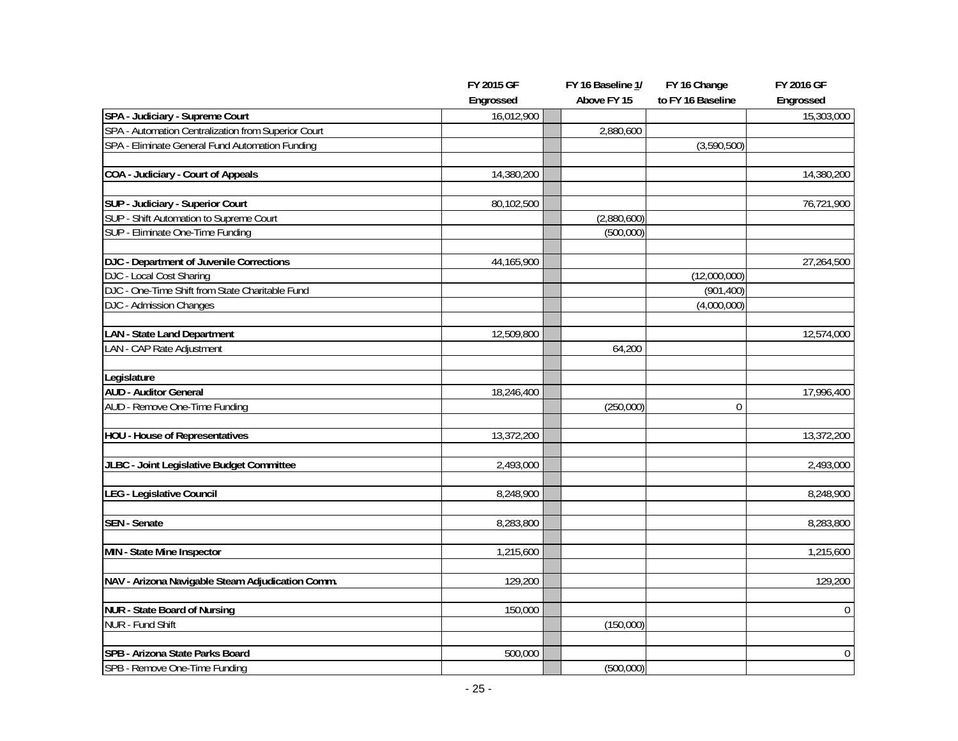|                                                                             | FY 2015 GF | FY 16 Baseline 1/ | FY 16 Change      | FY 2016 GF       |
|-----------------------------------------------------------------------------|------------|-------------------|-------------------|------------------|
|                                                                             | Engrossed  | Above FY 15       | to FY 16 Baseline | Engrossed        |
| SPA - Judiciary - Supreme Court                                             | 16,012,900 |                   |                   | 15,303,000       |
| SPA - Automation Centralization from Superior Court                         |            | 2,880,600         |                   |                  |
| SPA - Eliminate General Fund Automation Funding                             |            |                   | (3,590,500)       |                  |
|                                                                             |            |                   |                   |                  |
| COA - Judiciary - Court of Appeals                                          | 14,380,200 |                   |                   | 14,380,200       |
|                                                                             |            |                   |                   |                  |
| SUP - Judiciary - Superior Court<br>SUP - Shift Automation to Supreme Court | 80,102,500 |                   |                   | 76,721,900       |
|                                                                             |            | (2,880,600)       |                   |                  |
| SUP - Eliminate One-Time Funding                                            |            | (500,000)         |                   |                  |
| DJC - Department of Juvenile Corrections                                    | 44,165,900 |                   |                   | 27,264,500       |
| DJC - Local Cost Sharing                                                    |            |                   | (12,000,000)      |                  |
| DJC - One-Time Shift from State Charitable Fund                             |            |                   | (901, 400)        |                  |
| DJC - Admission Changes                                                     |            |                   | (4,000,000)       |                  |
|                                                                             |            |                   |                   |                  |
| <b>LAN</b> - State Land Department                                          | 12,509,800 |                   |                   | 12,574,000       |
| LAN - CAP Rate Adjustment                                                   |            | 64,200            |                   |                  |
|                                                                             |            |                   |                   |                  |
| Legislature                                                                 |            |                   |                   |                  |
| <b>AUD - Auditor General</b>                                                | 18,246,400 |                   |                   | 17,996,400       |
| AUD - Remove One-Time Funding                                               |            | (250,000)         | $\mathbf{0}$      |                  |
| <b>HOU - House of Representatives</b>                                       | 13,372,200 |                   |                   | 13,372,200       |
|                                                                             |            |                   |                   |                  |
| JLBC - Joint Legislative Budget Committee                                   | 2,493,000  |                   |                   | 2,493,000        |
|                                                                             |            |                   |                   |                  |
| LEG - Legislative Council                                                   | 8,248,900  |                   |                   | 8,248,900        |
|                                                                             |            |                   |                   |                  |
| <b>SEN</b> - Senate                                                         | 8,283,800  |                   |                   | 8,283,800        |
| MIN - State Mine Inspector                                                  | 1,215,600  |                   |                   | 1,215,600        |
|                                                                             |            |                   |                   |                  |
| NAV - Arizona Navigable Steam Adjudication Comm.                            | 129,200    |                   |                   | 129,200          |
|                                                                             |            |                   |                   |                  |
| <b>NUR - State Board of Nursing</b>                                         | 150,000    |                   |                   | $\mathbf{0}$     |
| <b>NUR - Fund Shift</b>                                                     |            | (150,000)         |                   |                  |
|                                                                             |            |                   |                   |                  |
| SPB - Arizona State Parks Board                                             | 500,000    |                   |                   | $\boldsymbol{0}$ |
| SPB - Remove One-Time Funding                                               |            | (500,000)         |                   |                  |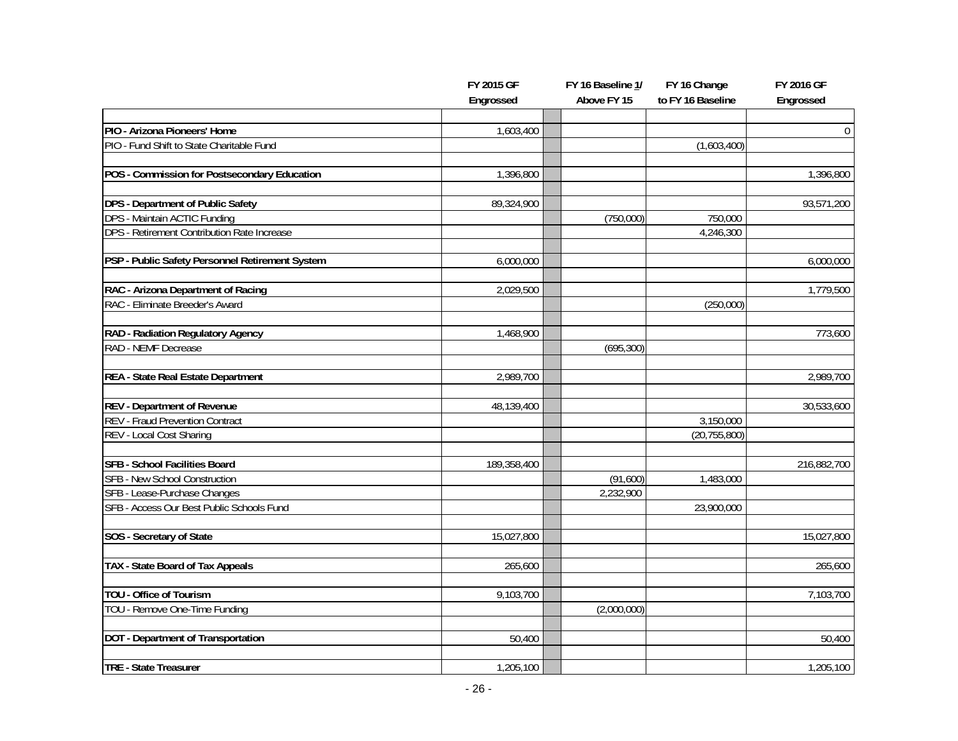|                                                          | FY 2015 GF  | FY 16 Baseline 1/ | FY 16 Change      | FY 2016 GF  |
|----------------------------------------------------------|-------------|-------------------|-------------------|-------------|
|                                                          | Engrossed   | Above FY 15       | to FY 16 Baseline | Engrossed   |
|                                                          |             |                   |                   |             |
| PIO - Arizona Pioneers' Home                             | 1,603,400   |                   |                   | $\mathbf 0$ |
| PIO - Fund Shift to State Charitable Fund                |             |                   | (1,603,400)       |             |
| POS - Commission for Postsecondary Education             | 1,396,800   |                   |                   | 1,396,800   |
|                                                          |             |                   |                   |             |
| DPS - Department of Public Safety                        | 89,324,900  |                   |                   | 93,571,200  |
| DPS - Maintain ACTIC Funding                             |             | (750,000)         | 750,000           |             |
| DPS - Retirement Contribution Rate Increase              |             |                   | 4,246,300         |             |
|                                                          |             |                   |                   |             |
| PSP - Public Safety Personnel Retirement System          | 6,000,000   |                   |                   | 6,000,000   |
|                                                          |             |                   |                   |             |
| RAC - Arizona Department of Racing                       | 2,029,500   |                   |                   | 1,779,500   |
| RAC - Eliminate Breeder's Award                          |             |                   | (250,000)         |             |
|                                                          | 1,468,900   |                   |                   | 773,600     |
| RAD - Radiation Regulatory Agency<br>RAD - NEMF Decrease |             | (695, 300)        |                   |             |
|                                                          |             |                   |                   |             |
| REA - State Real Estate Department                       | 2,989,700   |                   |                   | 2,989,700   |
|                                                          |             |                   |                   |             |
| <b>REV - Department of Revenue</b>                       | 48,139,400  |                   |                   | 30,533,600  |
| <b>REV - Fraud Prevention Contract</b>                   |             |                   | 3,150,000         |             |
| REV - Local Cost Sharing                                 |             |                   | (20, 755, 800)    |             |
|                                                          |             |                   |                   |             |
| <b>SFB - School Facilities Board</b>                     | 189,358,400 |                   |                   | 216,882,700 |
| <b>SFB - New School Construction</b>                     |             | (91,600)          | 1,483,000         |             |
| SFB - Lease-Purchase Changes                             |             | 2,232,900         |                   |             |
| SFB - Access Our Best Public Schools Fund                |             |                   | 23,900,000        |             |
| SOS - Secretary of State                                 | 15,027,800  |                   |                   | 15,027,800  |
|                                                          |             |                   |                   |             |
| TAX - State Board of Tax Appeals                         | 265,600     |                   |                   | 265,600     |
|                                                          |             |                   |                   |             |
| TOU - Office of Tourism                                  | 9,103,700   |                   |                   | 7,103,700   |
| TOU - Remove One-Time Funding                            |             | (2,000,000)       |                   |             |
|                                                          |             |                   |                   |             |
| <b>DOT</b> - Department of Transportation                | 50,400      |                   |                   | 50,400      |
|                                                          |             |                   |                   |             |
| TRE - State Treasurer                                    | 1,205,100   |                   |                   | 1,205,100   |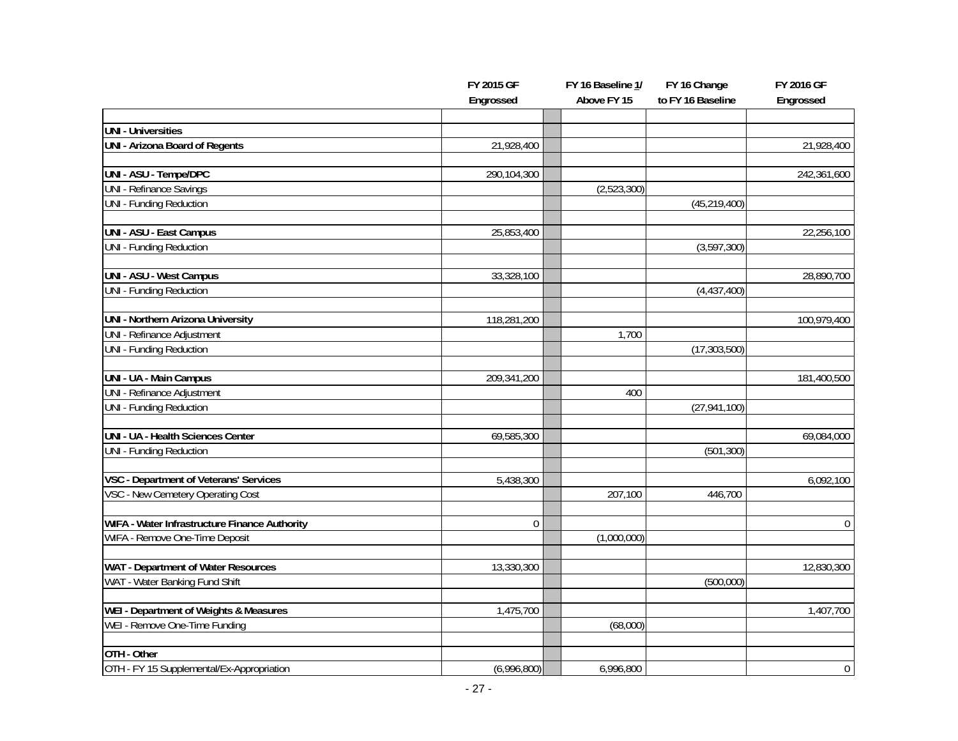|                                               | FY 2015 GF       | FY 16 Baseline 1/ | FY 16 Change      | FY 2016 GF       |
|-----------------------------------------------|------------------|-------------------|-------------------|------------------|
|                                               | Engrossed        | Above FY 15       | to FY 16 Baseline | Engrossed        |
|                                               |                  |                   |                   |                  |
| <b>UNI - Universities</b>                     |                  |                   |                   |                  |
| <b>UNI - Arizona Board of Regents</b>         | 21,928,400       |                   |                   | 21,928,400       |
| UNI - ASU - Tempe/DPC                         | 290,104,300      |                   |                   | 242,361,600      |
| <b>UNI - Refinance Savings</b>                |                  | (2,523,300)       |                   |                  |
| <b>UNI - Funding Reduction</b>                |                  |                   | (45, 219, 400)    |                  |
|                                               |                  |                   |                   |                  |
| UNI - ASU - East Campus                       | 25,853,400       |                   |                   | 22,256,100       |
| UNI - Funding Reduction                       |                  |                   | (3,597,300)       |                  |
| <b>UNI - ASU - West Campus</b>                | 33,328,100       |                   |                   | 28,890,700       |
| UNI - Funding Reduction                       |                  |                   | (4, 437, 400)     |                  |
|                                               |                  |                   |                   |                  |
| <b>UNI - Northern Arizona University</b>      | 118,281,200      |                   |                   | 100,979,400      |
| UNI - Refinance Adjustment                    |                  | 1,700             |                   |                  |
| UNI - Funding Reduction                       |                  |                   | (17, 303, 500)    |                  |
| UNI - UA - Main Campus                        | 209,341,200      |                   |                   | 181,400,500      |
| <b>UNI - Refinance Adjustment</b>             |                  | 400               |                   |                  |
| UNI - Funding Reduction                       |                  |                   | (27, 941, 100)    |                  |
|                                               |                  |                   |                   |                  |
| UNI - UA - Health Sciences Center             | 69,585,300       |                   |                   | 69,084,000       |
| UNI - Funding Reduction                       |                  |                   | (501, 300)        |                  |
| VSC - Department of Veterans' Services        | 5,438,300        |                   |                   | 6,092,100        |
| VSC - New Cemetery Operating Cost             |                  | 207,100           | 446,700           |                  |
|                                               |                  |                   |                   |                  |
| WIFA - Water Infrastructure Finance Authority | $\boldsymbol{0}$ |                   |                   | $\mathbf 0$      |
| WIFA - Remove One-Time Deposit                |                  | (1,000,000)       |                   |                  |
| WAT - Department of Water Resources           | 13,330,300       |                   |                   | 12,830,300       |
| WAT - Water Banking Fund Shift                |                  |                   | (500,000)         |                  |
| <b>WEI</b> - Department of Weights & Measures | 1,475,700        |                   |                   | 1,407,700        |
|                                               |                  |                   |                   |                  |
| WEI - Remove One-Time Funding                 |                  | (68,000)          |                   |                  |
| OTH - Other                                   |                  |                   |                   |                  |
| OTH - FY 15 Supplemental/Ex-Appropriation     | (6,996,800)      | 6,996,800         |                   | $\boldsymbol{0}$ |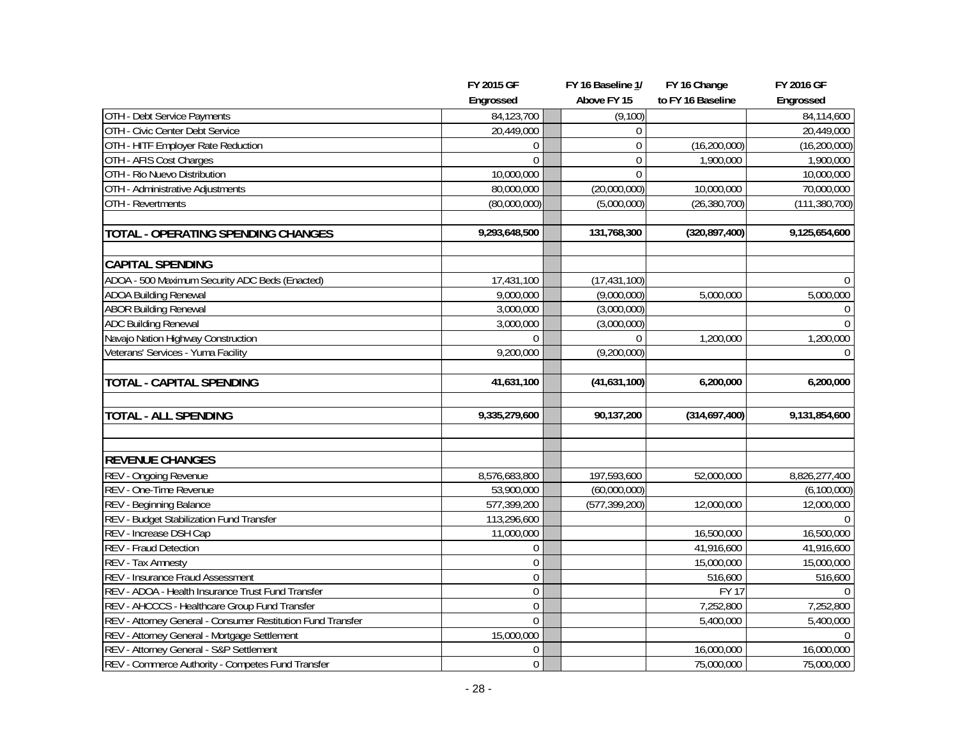|                                                             | FY 2015 GF       | FY 16 Baseline 1/ | FY 16 Change       | FY 2016 GF      |
|-------------------------------------------------------------|------------------|-------------------|--------------------|-----------------|
|                                                             | Engrossed        | Above FY 15       | to FY 16 Baseline  | Engrossed       |
| OTH - Debt Service Payments                                 | 84,123,700       | (9,100)           |                    | 84,114,600      |
| OTH - Civic Center Debt Service                             | 20,449,000       | $\Omega$          |                    | 20,449,000      |
| OTH - HITF Employer Rate Reduction                          | $\theta$         | $\Omega$          | (16, 200, 000)     | (16, 200, 000)  |
| OTH - AFIS Cost Charges                                     | $\Omega$         | $\mathbf{0}$      | 1,900,000          | 1,900,000       |
| OTH - Rio Nuevo Distribution                                | 10,000,000       | $\mathbf{0}$      |                    | 10,000,000      |
| OTH - Administrative Adjustments                            | 80,000,000       | (20,000,000)      | 10,000,000         | 70,000,000      |
| OTH - Revertments                                           | (80,000,000)     | (5,000,000)       | (26, 380, 700)     | (111, 380, 700) |
| TOTAL - OPERATING SPENDING CHANGES                          | 9,293,648,500    | 131,768,300       | (320, 897, 400)    | 9,125,654,600   |
| <b>CAPITAL SPENDING</b>                                     |                  |                   |                    |                 |
| ADOA - 500 Maximum Security ADC Beds (Enacted)              | 17,431,100       | (17, 431, 100)    |                    | $\Omega$        |
| <b>ADOA Building Renewal</b>                                | 9,000,000        | (9,000,000)       | 5,000,000          | 5,000,000       |
| <b>ABOR Building Renewal</b>                                | 3,000,000        | (3,000,000)       |                    | $\Omega$        |
| <b>ADC Building Renewal</b>                                 | 3,000,000        | (3,000,000)       |                    | $\mathbf 0$     |
| Navajo Nation Highway Construction                          | $\Omega$         | $\Omega$          | 1,200,000          | 1,200,000       |
| Veterans' Services - Yuma Facility                          | 9,200,000        | (9,200,000)       |                    | $\Omega$        |
| <b>TOTAL - CAPITAL SPENDING</b>                             | 41,631,100       | (41,631,100)      | 6,200,000          | 6,200,000       |
| <b>TOTAL - ALL SPENDING</b>                                 | 9,335,279,600    | 90,137,200        | (314,697,400)      | 9,131,854,600   |
| <b>REVENUE CHANGES</b>                                      |                  |                   |                    |                 |
| REV - Ongoing Revenue                                       | 8,576,683,800    | 197,593,600       | 52,000,000         | 8,826,277,400   |
| REV - One-Time Revenue                                      | 53,900,000       | (60,000,000)      |                    | (6, 100, 000)   |
| REV - Beginning Balance                                     | 577,399,200      | (577, 399, 200)   | 12,000,000         | 12,000,000      |
| REV - Budget Stabilization Fund Transfer                    | 113,296,600      |                   |                    | $\Omega$        |
| REV - Increase DSH Cap                                      | 11,000,000       |                   | 16,500,000         | 16,500,000      |
| REV - Fraud Detection                                       | $\mathbf 0$      |                   | 41,916,600         | 41,916,600      |
| REV - Tax Amnesty                                           | $\Omega$         |                   | 15,000,000         | 15,000,000      |
| REV - Insurance Fraud Assessment                            | $\Omega$         |                   | 516,600            | 516,600         |
| REV - ADOA - Health Insurance Trust Fund Transfer           | $\mathbf{0}$     |                   | $\overline{FY}$ 17 | $\Omega$        |
| REV - AHCCCS - Healthcare Group Fund Transfer               | $\Omega$         |                   | 7,252,800          | 7,252,800       |
| REV - Attorney General - Consumer Restitution Fund Transfer | $\mathbf{0}$     |                   | 5,400,000          | 5,400,000       |
| REV - Attorney General - Mortgage Settlement                | 15,000,000       |                   |                    | $\Omega$        |
| REV - Attorney General - S&P Settlement                     | 0                |                   | 16,000,000         | 16,000,000      |
| REV - Commerce Authority - Competes Fund Transfer           | $\boldsymbol{0}$ |                   | 75,000,000         | 75,000,000      |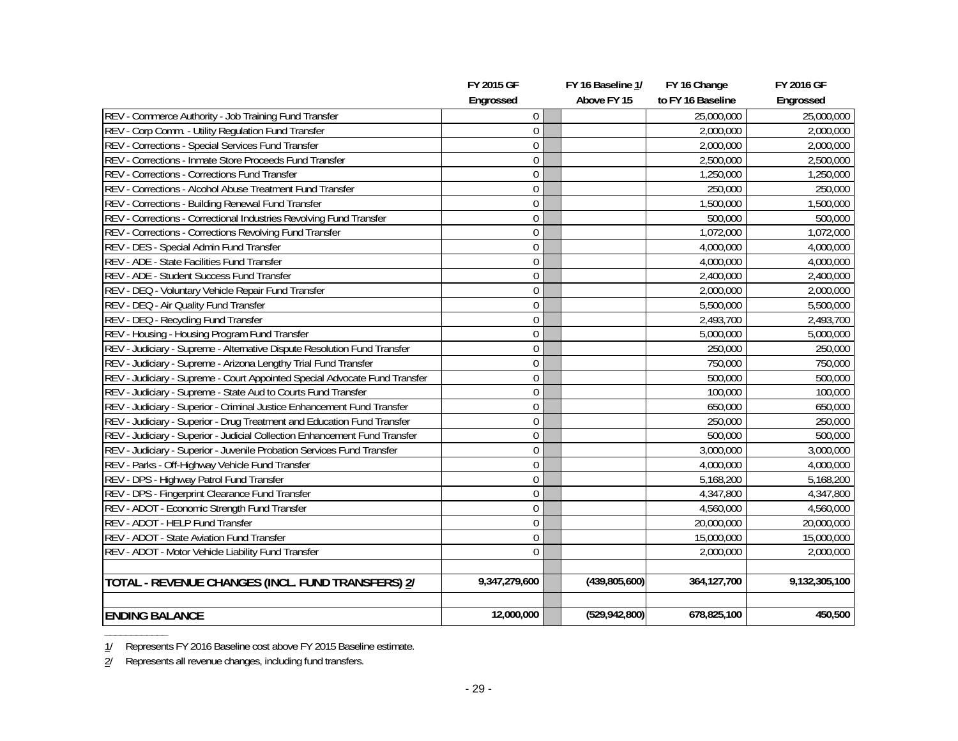|                                                                            | FY 2015 GF     | FY 16 Baseline 1/ | FY 16 Change      | FY 2016 GF    |
|----------------------------------------------------------------------------|----------------|-------------------|-------------------|---------------|
|                                                                            | Engrossed      | Above FY 15       | to FY 16 Baseline | Engrossed     |
| REV - Commerce Authority - Job Training Fund Transfer                      | 0              |                   | 25,000,000        | 25,000,000    |
| REV - Corp Comm. - Utility Regulation Fund Transfer                        | $\overline{0}$ |                   | 2,000,000         | 2,000,000     |
| <b>REV</b> - Corrections - Special Services Fund Transfer                  | $\Omega$       |                   | 2,000,000         | 2,000,000     |
| REV - Corrections - Inmate Store Proceeds Fund Transfer                    | $\overline{0}$ |                   | 2,500,000         | 2,500,000     |
| <b>REV</b> - Corrections - Corrections Fund Transfer                       | 0              |                   | 1,250,000         | 1,250,000     |
| REV - Corrections - Alcohol Abuse Treatment Fund Transfer                  | 0              |                   | 250,000           | 250,000       |
| REV - Corrections - Building Renewal Fund Transfer                         | 0              |                   | 1,500,000         | 1,500,000     |
| REV - Corrections - Correctional Industries Revolving Fund Transfer        | 0              |                   | 500,000           | 500,000       |
| REV - Corrections - Corrections Revolving Fund Transfer                    | 0              |                   | 1,072,000         | 1,072,000     |
| REV - DES - Special Admin Fund Transfer                                    | 0              |                   | 4,000,000         | 4,000,000     |
| REV - ADE - State Facilities Fund Transfer                                 | $\mathbf{0}$   |                   | 4,000,000         | 4,000,000     |
| REV - ADE - Student Success Fund Transfer                                  | $\mathbf{0}$   |                   | 2,400,000         | 2,400,000     |
| REV - DEQ - Voluntary Vehicle Repair Fund Transfer                         | $\mathbf{0}$   |                   | 2,000,000         | 2,000,000     |
| REV - DEQ - Air Quality Fund Transfer                                      | $\overline{0}$ |                   | 5,500,000         | 5,500,000     |
| REV - DEQ - Recycling Fund Transfer                                        | 0              |                   | 2,493,700         | 2,493,700     |
| REV - Housing - Housing Program Fund Transfer                              | 0              |                   | 5,000,000         | 5,000,000     |
| REV - Judiciary - Supreme - Alternative Dispute Resolution Fund Transfer   | $\mathbf 0$    |                   | 250,000           | 250,000       |
| REV - Judiciary - Supreme - Arizona Lengthy Trial Fund Transfer            | 0              |                   | 750,000           | 750,000       |
| REV - Judiciary - Supreme - Court Appointed Special Advocate Fund Transfer | $\overline{0}$ |                   | 500,000           | 500,000       |
| REV - Judiciary - Supreme - State Aud to Courts Fund Transfer              | $\mathbf 0$    |                   | 100,000           | 100,000       |
| REV - Judiciary - Superior - Criminal Justice Enhancement Fund Transfer    | 0              |                   | 650,000           | 650,000       |
| REV - Judiciary - Superior - Drug Treatment and Education Fund Transfer    | $\overline{0}$ |                   | 250,000           | 250,000       |
| REV - Judiciary - Superior - Judicial Collection Enhancement Fund Transfer | 0              |                   | 500,000           | 500,000       |
| REV - Judiciary - Superior - Juvenile Probation Services Fund Transfer     | $\overline{0}$ |                   | 3,000,000         | 3,000,000     |
| REV - Parks - Off-Highway Vehicle Fund Transfer                            | $\Omega$       |                   | 4,000,000         | 4,000,000     |
| REV - DPS - Highway Patrol Fund Transfer                                   | 0              |                   | 5,168,200         | 5,168,200     |
| REV - DPS - Fingerprint Clearance Fund Transfer                            | 0              |                   | 4,347,800         | 4,347,800     |
| REV - ADOT - Economic Strength Fund Transfer                               | 0              |                   | 4,560,000         | 4,560,000     |
| REV - ADOT - HELP Fund Transfer                                            | $\Omega$       |                   | 20,000,000        | 20,000,000    |
| REV - ADOT - State Aviation Fund Transfer                                  | $\overline{0}$ |                   | 15,000,000        | 15,000,000    |
| REV - ADOT - Motor Vehicle Liability Fund Transfer                         | $\overline{0}$ |                   | 2,000,000         | 2,000,000     |
|                                                                            |                |                   |                   |               |
| TOTAL - REVENUE CHANGES (INCL. FUND TRANSFERS) 2/                          | 9,347,279,600  | (439, 805, 600)   | 364, 127, 700     | 9,132,305,100 |
|                                                                            |                |                   |                   |               |
| <b>ENDING BALANCE</b>                                                      | 12,000,000     | (529, 942, 800)   | 678,825,100       | 450,500       |

**\_\_\_\_\_\_\_\_\_\_\_\_** 1/ Represents FY 2016 Baseline cost above FY 2015 Baseline estimate.

<sup>2/</sup> Represents all revenue changes, including fund transfers.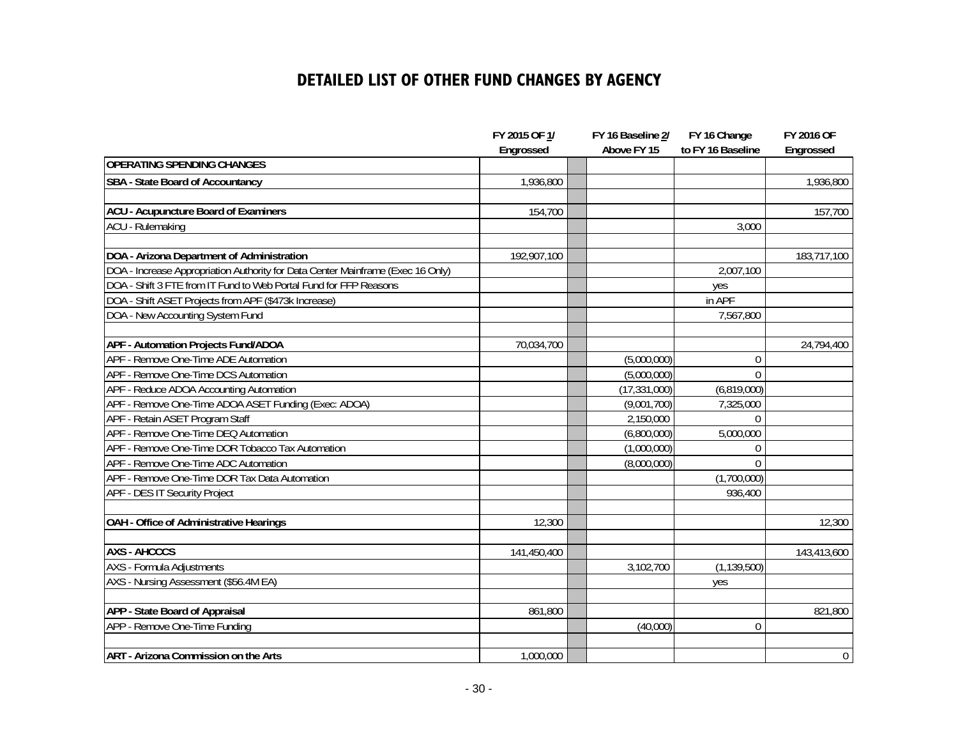## **DETAILED LIST OF OTHER FUND CHANGES BY AGENCY**

|                                                                                 | FY 2015 OF 1/ | FY 16 Baseline 2/ | FY 16 Change      | FY 2016 OF     |
|---------------------------------------------------------------------------------|---------------|-------------------|-------------------|----------------|
|                                                                                 | Engrossed     | Above FY 15       | to FY 16 Baseline | Engrossed      |
| <b>OPERATING SPENDING CHANGES</b>                                               |               |                   |                   |                |
| SBA - State Board of Accountancy                                                | 1,936,800     |                   |                   | 1,936,800      |
|                                                                                 |               |                   |                   |                |
| <b>ACU - Acupuncture Board of Examiners</b>                                     | 154,700       |                   |                   | 157,700        |
| <b>ACU - Rulemaking</b>                                                         |               |                   | 3,000             |                |
|                                                                                 |               |                   |                   |                |
| DOA - Arizona Department of Administration                                      | 192,907,100   |                   |                   | 183,717,100    |
| DOA - Increase Appropriation Authority for Data Center Mainframe (Exec 16 Only) |               |                   | 2,007,100         |                |
| DOA - Shift 3 FTE from IT Fund to Web Portal Fund for FFP Reasons               |               |                   | yes               |                |
| DOA - Shift ASET Projects from APF (\$473k Increase)                            |               |                   | in APF            |                |
| DOA - New Accounting System Fund                                                |               |                   | 7,567,800         |                |
|                                                                                 |               |                   |                   |                |
| APF - Automation Projects Fund/ADOA                                             | 70,034,700    |                   |                   | 24,794,400     |
| APF - Remove One-Time ADE Automation                                            |               | (5,000,000)       | 0                 |                |
| APF - Remove One-Time DCS Automation                                            |               | (5,000,000)       | $\Omega$          |                |
| APF - Reduce ADOA Accounting Automation                                         |               | (17, 331, 000)    | (6,819,000)       |                |
| APF - Remove One-Time ADOA ASET Funding (Exec: ADOA)                            |               | (9,001,700)       | 7,325,000         |                |
| APF - Retain ASET Program Staff                                                 |               | 2,150,000         | $\Omega$          |                |
| APF - Remove One-Time DEQ Automation                                            |               | (6,800,000)       | 5,000,000         |                |
| APF - Remove One-Time DOR Tobacco Tax Automation                                |               | (1,000,000)       | 0                 |                |
| APF - Remove One-Time ADC Automation                                            |               | (8,000,000)       | $\Omega$          |                |
| APF - Remove One-Time DOR Tax Data Automation                                   |               |                   | (1,700,000)       |                |
| APF - DES IT Security Project                                                   |               |                   | 936,400           |                |
|                                                                                 |               |                   |                   |                |
| OAH - Office of Administrative Hearings                                         | 12,300        |                   |                   | 12,300         |
|                                                                                 |               |                   |                   |                |
| <b>AXS - AHCCCS</b>                                                             | 141,450,400   |                   |                   | 143,413,600    |
| AXS - Formula Adjustments                                                       |               | 3,102,700         | (1, 139, 500)     |                |
| AXS - Nursing Assessment (\$56.4M EA)                                           |               |                   | yes               |                |
|                                                                                 |               |                   |                   |                |
| APP - State Board of Appraisal                                                  | 861,800       |                   |                   | 821,800        |
| APP - Remove One-Time Funding                                                   |               | (40,000)          | 0                 |                |
|                                                                                 |               |                   |                   |                |
| <b>ART - Arizona Commission on the Arts</b>                                     | 1,000,000     |                   |                   | $\overline{0}$ |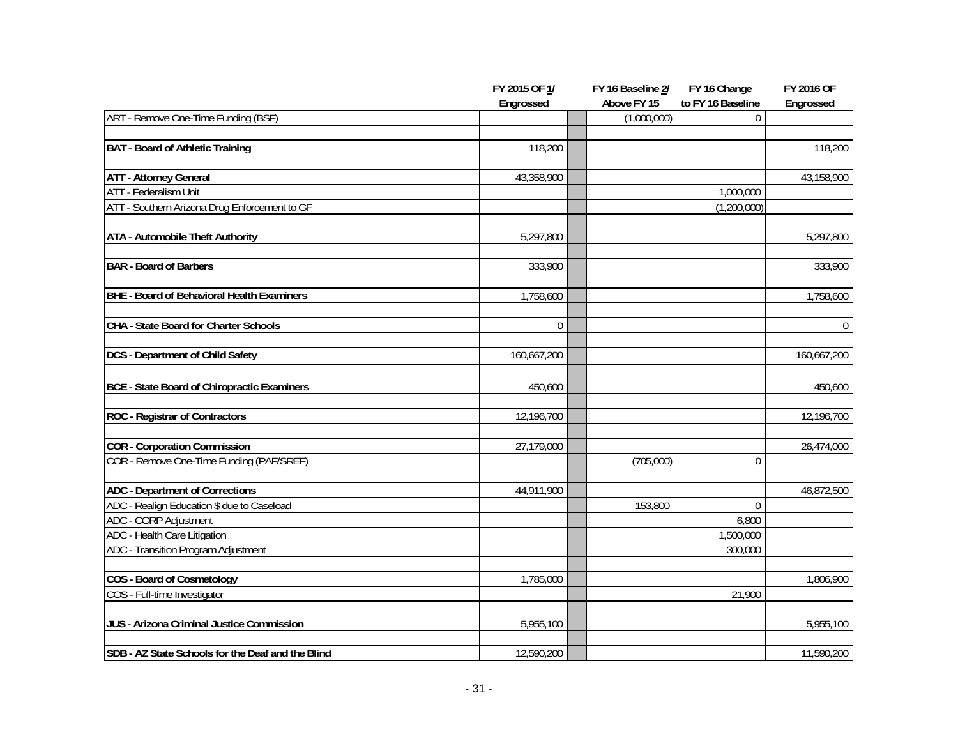|                                                    | FY 2015 OF 1/ | FY 16 Baseline 2/ | FY 16 Change      | FY 2016 OF   |
|----------------------------------------------------|---------------|-------------------|-------------------|--------------|
|                                                    | Engrossed     | Above FY 15       | to FY 16 Baseline | Engrossed    |
| ART - Remove One-Time Funding (BSF)                |               | (1,000,000)       | $\overline{0}$    |              |
| <b>BAT - Board of Athletic Training</b>            | 118,200       |                   |                   | 118,200      |
|                                                    |               |                   |                   |              |
| <b>ATT - Attorney General</b>                      | 43,358,900    |                   |                   | 43,158,900   |
| <b>ATT</b> - Federalism Unit                       |               |                   | 1,000,000         |              |
| ATT - Southern Arizona Drug Enforcement to GF      |               |                   | (1,200,000)       |              |
| <b>ATA - Automobile Theft Authority</b>            | 5,297,800     |                   |                   | 5,297,800    |
| <b>BAR</b> - Board of Barbers                      | 333,900       |                   |                   | 333,900      |
| BHE - Board of Behavioral Health Examiners         | 1,758,600     |                   |                   | 1,758,600    |
| CHA - State Board for Charter Schools              | $\mathbf 0$   |                   |                   | $\mathbf{0}$ |
| <b>DCS</b> - Department of Child Safety            | 160,667,200   |                   |                   | 160,667,200  |
| <b>BCE - State Board of Chiropractic Examiners</b> | 450,600       |                   |                   | 450,600      |
| <b>ROC</b> - Registrar of Contractors              | 12,196,700    |                   |                   | 12,196,700   |
| <b>COR</b> - Corporation Commission                | 27,179,000    |                   |                   | 26,474,000   |
| COR - Remove One-Time Funding (PAF/SREF)           |               | (705,000)         | $\mathbf 0$       |              |
| <b>ADC</b> - Department of Corrections             | 44,911,900    |                   |                   | 46,872,500   |
| ADC - Realign Education \$ due to Caseload         |               | 153,800           | $\Omega$          |              |
| ADC - CORP Adjustment                              |               |                   | 6,800             |              |
| ADC - Health Care Litigation                       |               |                   | 1,500,000         |              |
| ADC - Transition Program Adjustment                |               |                   | 300,000           |              |
| COS - Board of Cosmetology                         | 1,785,000     |                   |                   | 1,806,900    |
| COS - Full-time Investigator                       |               |                   | 21,900            |              |
| JUS - Arizona Criminal Justice Commission          | 5,955,100     |                   |                   | 5,955,100    |
| SDB - AZ State Schools for the Deaf and the Blind  | 12,590,200    |                   |                   | 11,590,200   |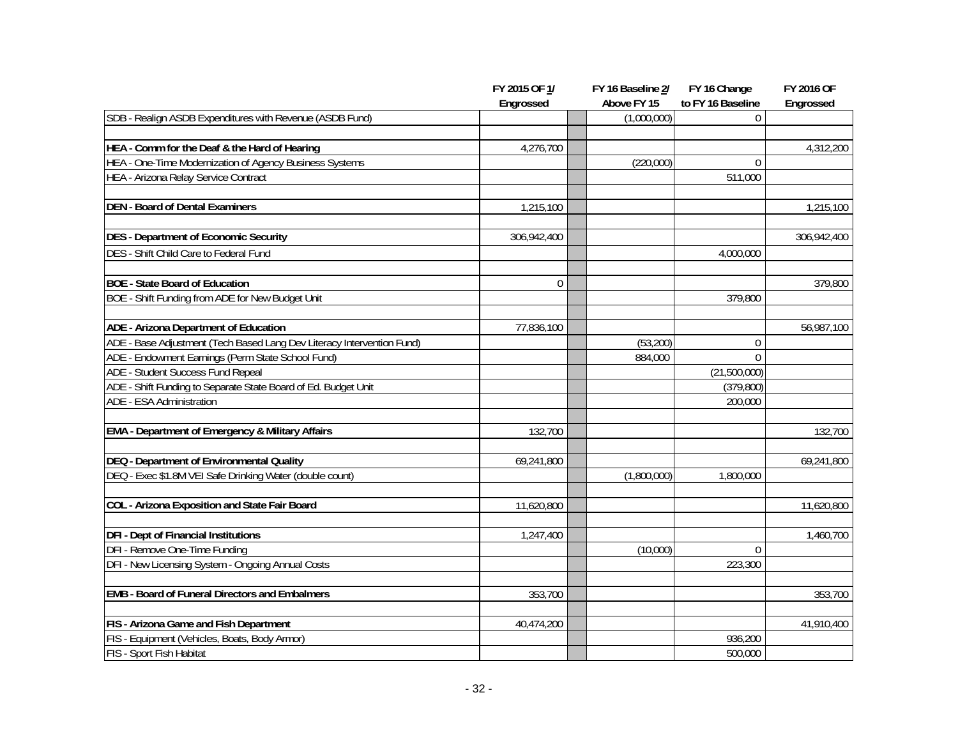|                                                                        | FY 2015 OF 1/ | FY 16 Baseline 2/ | FY 16 Change      | <b>FY 2016 OF</b> |
|------------------------------------------------------------------------|---------------|-------------------|-------------------|-------------------|
|                                                                        | Engrossed     | Above FY 15       | to FY 16 Baseline | Engrossed         |
| SDB - Realign ASDB Expenditures with Revenue (ASDB Fund)               |               | (1,000,000)       | $\overline{0}$    |                   |
| HEA - Comm for the Deaf & the Hard of Hearing                          | 4,276,700     |                   |                   | 4,312,200         |
| HEA - One-Time Modernization of Agency Business Systems                |               | (220,000)         | $\mathbf 0$       |                   |
| HEA - Arizona Relay Service Contract                                   |               |                   | 511,000           |                   |
|                                                                        |               |                   |                   |                   |
| <b>DEN - Board of Dental Examiners</b>                                 | 1,215,100     |                   |                   | 1,215,100         |
| <b>DES - Department of Economic Security</b>                           | 306,942,400   |                   |                   | 306,942,400       |
| DES - Shift Child Care to Federal Fund                                 |               |                   | 4,000,000         |                   |
| <b>BOE - State Board of Education</b>                                  | $\Omega$      |                   |                   | 379,800           |
| BOE - Shift Funding from ADE for New Budget Unit                       |               |                   | 379,800           |                   |
|                                                                        |               |                   |                   |                   |
| ADE - Arizona Department of Education                                  | 77,836,100    |                   |                   | 56,987,100        |
| ADE - Base Adjustment (Tech Based Lang Dev Literacy Intervention Fund) |               | (53,200)          | $\theta$          |                   |
| ADE - Endowment Earnings (Perm State School Fund)                      |               | 884,000           | $\overline{0}$    |                   |
| ADE - Student Success Fund Repeal                                      |               |                   | (21,500,000)      |                   |
| ADE - Shift Funding to Separate State Board of Ed. Budget Unit         |               |                   | (379, 800)        |                   |
| ADE - ESA Administration                                               |               |                   | 200,000           |                   |
| <b>EMA - Department of Emergency &amp; Military Affairs</b>            | 132,700       |                   |                   | 132,700           |
| DEQ - Department of Environmental Quality                              | 69,241,800    |                   |                   | 69,241,800        |
| DEQ - Exec \$1.8M VEI Safe Drinking Water (double count)               |               | (1,800,000)       | 1,800,000         |                   |
|                                                                        |               |                   |                   |                   |
| COL - Arizona Exposition and State Fair Board                          | 11,620,800    |                   |                   | 11,620,800        |
| <b>DFI - Dept of Financial Institutions</b>                            | 1,247,400     |                   |                   | 1,460,700         |
| DFI - Remove One-Time Funding                                          |               | (10,000)          | 0                 |                   |
| DFI - New Licensing System - Ongoing Annual Costs                      |               |                   | 223,300           |                   |
| <b>EMB - Board of Funeral Directors and Embalmers</b>                  | 353,700       |                   |                   | 353,700           |
| FIS - Arizona Game and Fish Department                                 | 40,474,200    |                   |                   | 41,910,400        |
| FIS - Equipment (Vehicles, Boats, Body Armor)                          |               |                   | 936,200           |                   |
| FIS - Sport Fish Habitat                                               |               |                   | 500,000           |                   |
|                                                                        |               |                   |                   |                   |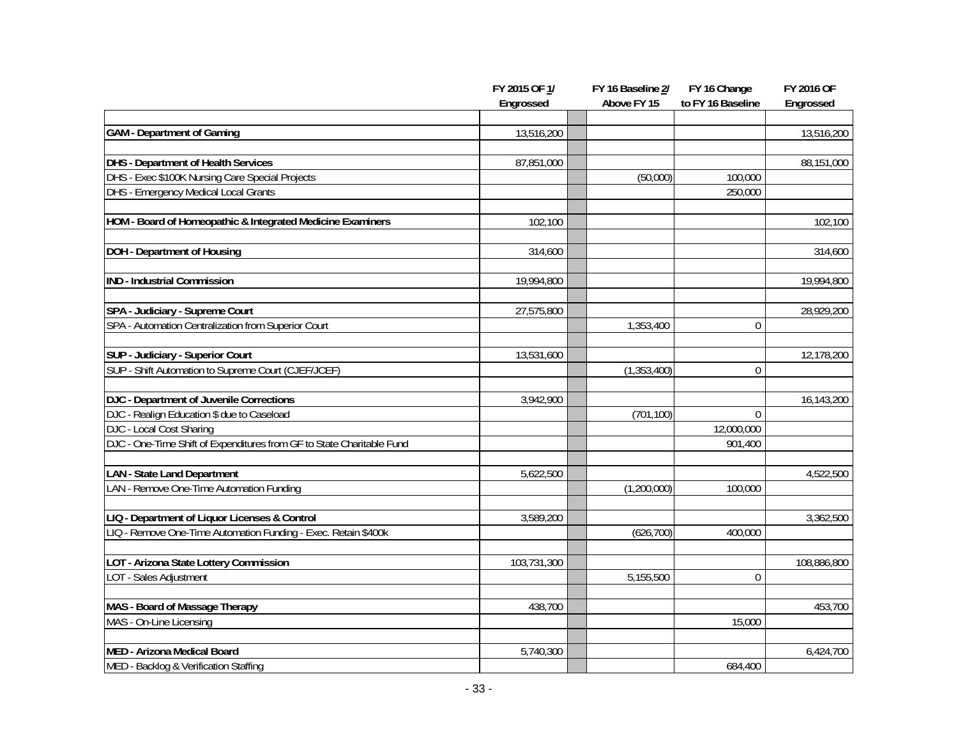|                                                                       | FY 2015 OF 1/ | FY 16 Baseline 2/ | FY 16 Change      | <b>FY 2016 OF</b> |
|-----------------------------------------------------------------------|---------------|-------------------|-------------------|-------------------|
|                                                                       | Engrossed     | Above FY 15       | to FY 16 Baseline | Engrossed         |
|                                                                       |               |                   |                   |                   |
| <b>GAM</b> - Department of Gaming                                     | 13,516,200    |                   |                   | 13,516,200        |
| <b>DHS</b> - Department of Health Services                            | 87,851,000    |                   |                   | 88,151,000        |
| DHS - Exec \$100K Nursing Care Special Projects                       |               | (50,000)          | 100,000           |                   |
| DHS - Emergency Medical Local Grants                                  |               |                   | 250,000           |                   |
| HOM - Board of Homeopathic & Integrated Medicine Examiners            | 102,100       |                   |                   | 102,100           |
| <b>DOH</b> - Department of Housing                                    | 314,600       |                   |                   | 314,600           |
| <b>IND - Industrial Commission</b>                                    | 19,994,800    |                   |                   | 19,994,800        |
| SPA - Judiciary - Supreme Court                                       | 27,575,800    |                   |                   | 28,929,200        |
| SPA - Automation Centralization from Superior Court                   |               | 1,353,400         | $\theta$          |                   |
| SUP - Judiciary - Superior Court                                      | 13,531,600    |                   |                   | 12,178,200        |
| SUP - Shift Automation to Supreme Court (CJEF/JCEF)                   |               | (1, 353, 400)     | 0                 |                   |
| DJC - Department of Juvenile Corrections                              | 3,942,900     |                   |                   | 16,143,200        |
| DJC - Realign Education \$ due to Caseload                            |               | (701, 100)        | $\theta$          |                   |
| <b>DJC - Local Cost Sharing</b>                                       |               |                   | 12,000,000        |                   |
| DJC - One-Time Shift of Expenditures from GF to State Charitable Fund |               |                   | 901,400           |                   |
| <b>LAN</b> - State Land Department                                    | 5,622,500     |                   |                   | 4,522,500         |
| LAN - Remove One-Time Automation Funding                              |               | (1,200,000)       | 100,000           |                   |
| LIQ - Department of Liquor Licenses & Control                         | 3,589,200     |                   |                   | 3,362,500         |
| LIQ - Remove One-Time Automation Funding - Exec. Retain \$400k        |               | (626, 700)        | 400,000           |                   |
| LOT - Arizona State Lottery Commission                                | 103,731,300   |                   |                   | 108,886,800       |
| LOT - Sales Adjustment                                                |               | 5,155,500         | $\overline{0}$    |                   |
| MAS - Board of Massage Therapy                                        | 438,700       |                   |                   | 453,700           |
| MAS - On-Line Licensing                                               |               |                   | 15,000            |                   |
| MED - Arizona Medical Board                                           | 5,740,300     |                   |                   | 6,424,700         |
| MED - Backlog & Verification Staffing                                 |               |                   | 684,400           |                   |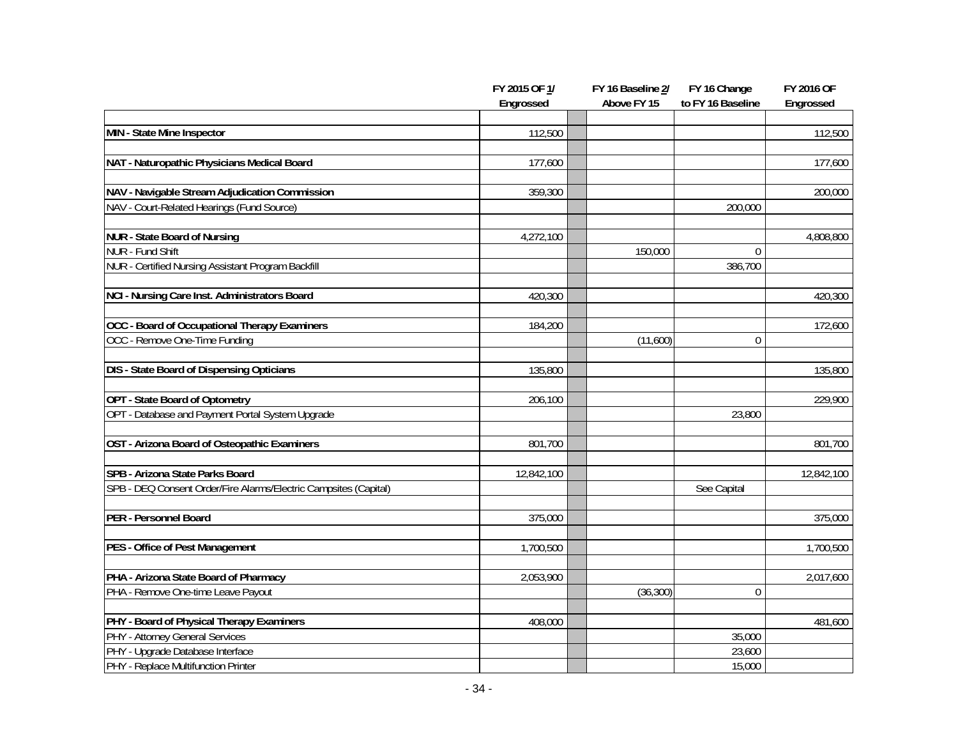|                                                                  | FY 2015 OF 1/<br>Engrossed | FY 16 Baseline 2/<br>Above FY 15 | FY 16 Change<br>to FY 16 Baseline | <b>FY 2016 OF</b><br>Engrossed |
|------------------------------------------------------------------|----------------------------|----------------------------------|-----------------------------------|--------------------------------|
|                                                                  |                            |                                  |                                   |                                |
| MIN - State Mine Inspector                                       | 112,500                    |                                  |                                   | 112,500                        |
| NAT - Naturopathic Physicians Medical Board                      | 177,600                    |                                  |                                   | 177,600                        |
| NAV - Navigable Stream Adjudication Commission                   | 359,300                    |                                  |                                   | 200,000                        |
| NAV - Court-Related Hearings (Fund Source)                       |                            |                                  | 200,000                           |                                |
| <b>NUR - State Board of Nursing</b>                              | 4,272,100                  |                                  |                                   | 4,808,800                      |
| NUR - Fund Shift                                                 |                            | 150,000                          | $\mathbf{0}$                      |                                |
| NUR - Certified Nursing Assistant Program Backfill               |                            |                                  | 386,700                           |                                |
| NCI - Nursing Care Inst. Administrators Board                    | 420,300                    |                                  |                                   | 420,300                        |
| OCC - Board of Occupational Therapy Examiners                    | 184,200                    |                                  |                                   | 172,600                        |
| OCC - Remove One-Time Funding                                    |                            | (11,600)                         | $\Omega$                          |                                |
| <b>DIS - State Board of Dispensing Opticians</b>                 | 135,800                    |                                  |                                   | 135,800                        |
| OPT - State Board of Optometry                                   | 206,100                    |                                  |                                   | 229,900                        |
| OPT - Database and Payment Portal System Upgrade                 |                            |                                  | 23,800                            |                                |
| OST - Arizona Board of Osteopathic Examiners                     | 801,700                    |                                  |                                   | 801,700                        |
| SPB - Arizona State Parks Board                                  | 12,842,100                 |                                  |                                   | 12,842,100                     |
| SPB - DEQ Consent Order/Fire Alarms/Electric Campsites (Capital) |                            |                                  | See Capital                       |                                |
| PER - Personnel Board                                            | 375,000                    |                                  |                                   | 375,000                        |
| PES - Office of Pest Management                                  | 1,700,500                  |                                  |                                   | 1,700,500                      |
| PHA - Arizona State Board of Pharmacy                            | 2,053,900                  |                                  |                                   | 2,017,600                      |
| PHA - Remove One-time Leave Payout                               |                            | (36, 300)                        | 0                                 |                                |
| PHY - Board of Physical Therapy Examiners                        | 408,000                    |                                  |                                   | 481,600                        |
| PHY - Attorney General Services                                  |                            |                                  | 35,000                            |                                |
| PHY - Upgrade Database Interface                                 |                            |                                  | 23,600                            |                                |
| PHY - Replace Multifunction Printer                              |                            |                                  | 15,000                            |                                |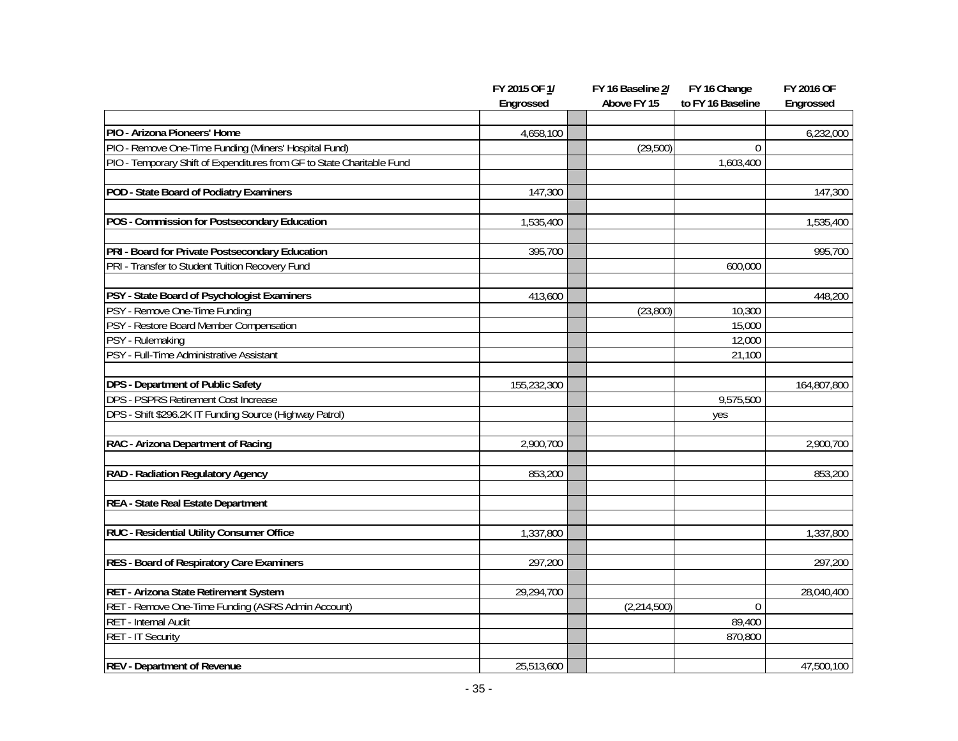|                                                                        | FY 2015 OF 1/<br>Engrossed | FY 16 Baseline 2/<br>Above FY 15 | FY 16 Change<br>to FY 16 Baseline | <b>FY 2016 OF</b><br>Engrossed |
|------------------------------------------------------------------------|----------------------------|----------------------------------|-----------------------------------|--------------------------------|
|                                                                        |                            |                                  |                                   |                                |
| PIO - Arizona Pioneers' Home                                           | 4,658,100                  |                                  |                                   | 6,232,000                      |
| PIO - Remove One-Time Funding (Miners' Hospital Fund)                  |                            | (29,500)                         | $\theta$                          |                                |
| PIO - Temporary Shift of Expenditures from GF to State Charitable Fund |                            |                                  | 1,603,400                         |                                |
|                                                                        |                            |                                  |                                   |                                |
| POD - State Board of Podiatry Examiners                                | 147,300                    |                                  |                                   | 147,300                        |
|                                                                        |                            |                                  |                                   |                                |
| POS - Commission for Postsecondary Education                           | 1,535,400                  |                                  |                                   | 1,535,400                      |
| PRI - Board for Private Postsecondary Education                        | 395,700                    |                                  |                                   | 995,700                        |
| PRI - Transfer to Student Tuition Recovery Fund                        |                            |                                  | 600,000                           |                                |
|                                                                        |                            |                                  |                                   |                                |
| PSY - State Board of Psychologist Examiners                            | 413,600                    |                                  |                                   | 448,200                        |
| PSY - Remove One-Time Funding                                          |                            | (23,800)                         | 10,300                            |                                |
| PSY - Restore Board Member Compensation                                |                            |                                  | 15,000                            |                                |
| PSY - Rulemaking                                                       |                            |                                  | 12,000                            |                                |
| PSY - Full-Time Administrative Assistant                               |                            |                                  | 21,100                            |                                |
| DPS - Department of Public Safety                                      | 155,232,300                |                                  |                                   | 164,807,800                    |
| <b>DPS - PSPRS Retirement Cost Increase</b>                            |                            |                                  | 9,575,500                         |                                |
| DPS - Shift \$296.2K IT Funding Source (Highway Patrol)                |                            |                                  | yes                               |                                |
| RAC - Arizona Department of Racing                                     | 2,900,700                  |                                  |                                   | 2,900,700                      |
| RAD - Radiation Regulatory Agency                                      | 853,200                    |                                  |                                   | 853,200                        |
|                                                                        |                            |                                  |                                   |                                |
| REA - State Real Estate Department                                     |                            |                                  |                                   |                                |
| RUC - Residential Utility Consumer Office                              | 1,337,800                  |                                  |                                   | 1,337,800                      |
| RES - Board of Respiratory Care Examiners                              | 297,200                    |                                  |                                   | 297,200                        |
|                                                                        |                            |                                  |                                   |                                |
| RET - Arizona State Retirement System                                  | 29,294,700                 |                                  |                                   | 28,040,400                     |
| RET - Remove One-Time Funding (ASRS Admin Account)                     |                            | (2, 214, 500)                    | $\mathbf 0$                       |                                |
| RET - Internal Audit                                                   |                            |                                  | 89,400                            |                                |
| RET - IT Security                                                      |                            |                                  | 870,800                           |                                |
| <b>REV</b> - Department of Revenue                                     | 25,513,600                 |                                  |                                   | 47,500,100                     |
|                                                                        |                            |                                  |                                   |                                |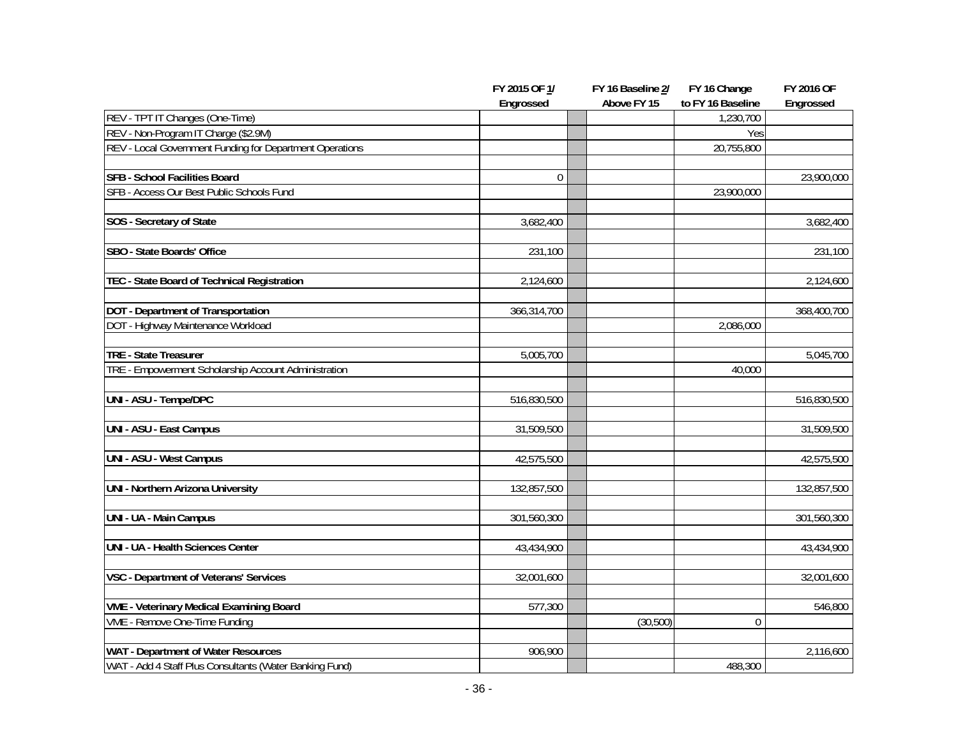|                                                          | FY 2015 OF 1/ | FY 16 Baseline 2/ | FY 16 Change      | <b>FY 2016 OF</b> |
|----------------------------------------------------------|---------------|-------------------|-------------------|-------------------|
|                                                          | Engrossed     | Above FY 15       | to FY 16 Baseline | Engrossed         |
| REV - TPT IT Changes (One-Time)                          |               |                   | 1,230,700         |                   |
| REV - Non-Program IT Charge (\$2.9M)                     |               |                   | Yes               |                   |
| REV - Local Government Funding for Department Operations |               |                   | 20,755,800        |                   |
|                                                          |               |                   |                   |                   |
| <b>SFB - School Facilities Board</b>                     | $\theta$      |                   |                   | 23,900,000        |
| SFB - Access Our Best Public Schools Fund                |               |                   | 23,900,000        |                   |
|                                                          |               |                   |                   |                   |
| SOS - Secretary of State                                 | 3,682,400     |                   |                   | 3,682,400         |
|                                                          |               |                   |                   |                   |
| SBO - State Boards' Office                               | 231,100       |                   |                   | 231,100           |
|                                                          |               |                   |                   |                   |
| TEC - State Board of Technical Registration              | 2,124,600     |                   |                   | 2,124,600         |
|                                                          |               |                   |                   |                   |
| DOT - Department of Transportation                       | 366,314,700   |                   |                   | 368,400,700       |
| DOT - Highway Maintenance Workload                       |               |                   | 2,086,000         |                   |
|                                                          |               |                   |                   |                   |
| TRE - State Treasurer                                    | 5,005,700     |                   |                   | 5,045,700         |
| TRE - Empowerment Scholarship Account Administration     |               |                   | 40,000            |                   |
|                                                          |               |                   |                   |                   |
| UNI - ASU - Tempe/DPC                                    | 516,830,500   |                   |                   | 516,830,500       |
|                                                          |               |                   |                   |                   |
| UNI - ASU - East Campus                                  | 31,509,500    |                   |                   | 31,509,500        |
|                                                          |               |                   |                   |                   |
| UNI - ASU - West Campus                                  | 42,575,500    |                   |                   | 42,575,500        |
| UNI - Northern Arizona University                        | 132,857,500   |                   |                   | 132,857,500       |
|                                                          |               |                   |                   |                   |
| <b>UNI - UA - Main Campus</b>                            | 301,560,300   |                   |                   | 301,560,300       |
|                                                          |               |                   |                   |                   |
| UNI - UA - Health Sciences Center                        | 43,434,900    |                   |                   | 43,434,900        |
|                                                          |               |                   |                   |                   |
| VSC - Department of Veterans' Services                   | 32,001,600    |                   |                   | 32,001,600        |
|                                                          |               |                   |                   |                   |
| <b>VME - Veterinary Medical Examining Board</b>          | 577,300       |                   |                   | 546,800           |
| VME - Remove One-Time Funding                            |               | (30, 500)         | 0                 |                   |
|                                                          |               |                   |                   |                   |
| WAT - Department of Water Resources                      | 906,900       |                   |                   | 2,116,600         |
| WAT - Add 4 Staff Plus Consultants (Water Banking Fund)  |               |                   | 488,300           |                   |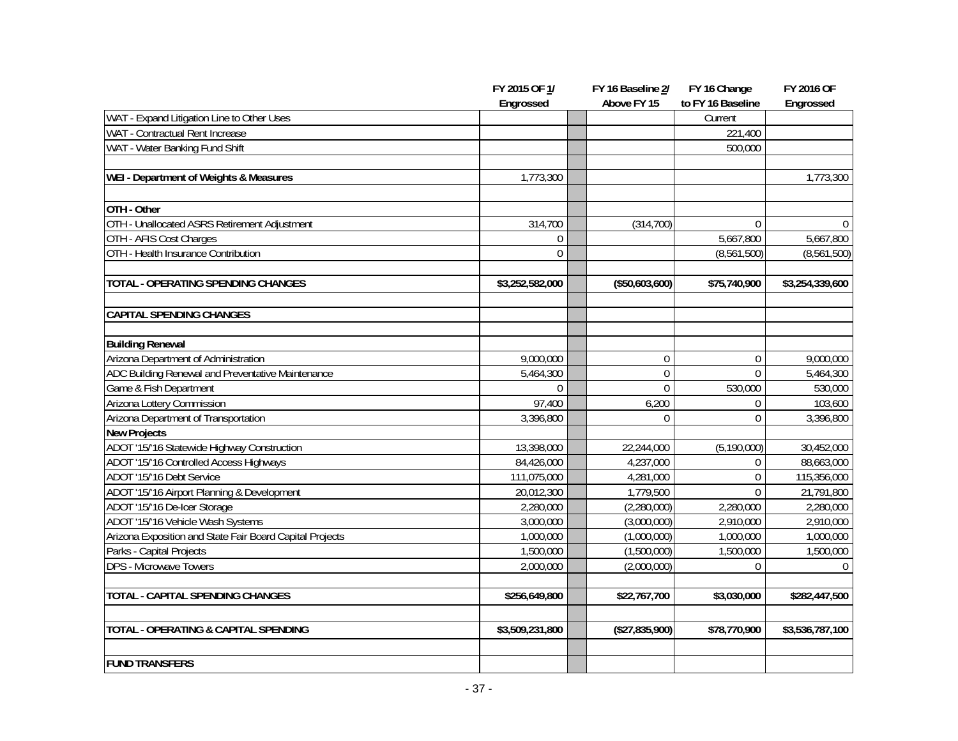|                                                          | FY 2015 OF 1/   | FY 16 Baseline 2/ | FY 16 Change      | <b>FY 2016 OF</b> |
|----------------------------------------------------------|-----------------|-------------------|-------------------|-------------------|
|                                                          | Engrossed       | Above FY 15       | to FY 16 Baseline | Engrossed         |
| WAT - Expand Litigation Line to Other Uses               |                 |                   | Current           |                   |
| WAT - Contractual Rent Increase                          |                 |                   | 221,400           |                   |
| WAT - Water Banking Fund Shift                           |                 |                   | 500,000           |                   |
|                                                          |                 |                   |                   |                   |
| <b>WEI - Department of Weights &amp; Measures</b>        | 1,773,300       |                   |                   | 1,773,300         |
|                                                          |                 |                   |                   |                   |
| OTH - Other                                              |                 |                   |                   |                   |
| OTH - Unallocated ASRS Retirement Adjustment             | 314,700         | (314, 700)        | $\mathbf{0}$      | $\Omega$          |
| OTH - AFIS Cost Charges                                  | $\mathbf{0}$    |                   | 5,667,800         | 5,667,800         |
| OTH - Health Insurance Contribution                      | $\mathbf 0$     |                   | (8,561,500)       | (8,561,500)       |
|                                                          |                 |                   |                   |                   |
| TOTAL - OPERATING SPENDING CHANGES                       | \$3,252,582,000 | (\$50,603,600)    | \$75,740,900      | \$3,254,339,600   |
| <b>CAPITAL SPENDING CHANGES</b>                          |                 |                   |                   |                   |
|                                                          |                 |                   |                   |                   |
| <b>Building Renewal</b>                                  |                 |                   |                   |                   |
| Arizona Department of Administration                     | 9,000,000       | $\mathbf 0$       | 0                 | 9,000,000         |
| ADC Building Renewal and Preventative Maintenance        | 5,464,300       | $\mathbf 0$       | $\Omega$          | 5,464,300         |
| Game & Fish Department                                   | $\Omega$        | $\Omega$          | 530,000           | 530,000           |
| Arizona Lottery Commission                               | 97,400          | 6,200             | 0                 | 103,600           |
| Arizona Department of Transportation                     | 3,396,800       | $\mathbf{0}$      | $\overline{0}$    | 3,396,800         |
| <b>New Projects</b>                                      |                 |                   |                   |                   |
| ADOT '15/'16 Statewide Highway Construction              | 13,398,000      | 22,244,000        | (5, 190, 000)     | 30,452,000        |
| ADOT '15/'16 Controlled Access Highways                  | 84,426,000      | 4,237,000         | 0                 | 88,663,000        |
| ADOT '15/'16 Debt Service                                | 111,075,000     | 4,281,000         | $\overline{0}$    | 115,356,000       |
| ADOT '15/'16 Airport Planning & Development              | 20,012,300      | 1,779,500         | $\Omega$          | 21,791,800        |
| ADOT '15/'16 De-Icer Storage                             | 2,280,000       | (2,280,000)       | 2,280,000         | 2,280,000         |
| ADOT '15/'16 Vehicle Wash Systems                        | 3,000,000       | (3,000,000)       | 2,910,000         | 2,910,000         |
| Arizona Exposition and State Fair Board Capital Projects | 1,000,000       | (1,000,000)       | 1,000,000         | 1,000,000         |
| Parks - Capital Projects                                 | 1,500,000       | (1,500,000)       | 1,500,000         | 1,500,000         |
| DPS - Microwave Towers                                   | 2,000,000       | (2,000,000)       | $\mathbf{0}$      | $\Omega$          |
| <b>TOTAL - CAPITAL SPENDING CHANGES</b>                  | \$256,649,800   | \$22,767,700      | \$3,030,000       | \$282,447,500     |
| TOTAL - OPERATING & CAPITAL SPENDING                     | \$3,509,231,800 | (\$27,835,900)    | \$78,770,900      | \$3,536,787,100   |
|                                                          |                 |                   |                   |                   |
| <b>FUND TRANSFERS</b>                                    |                 |                   |                   |                   |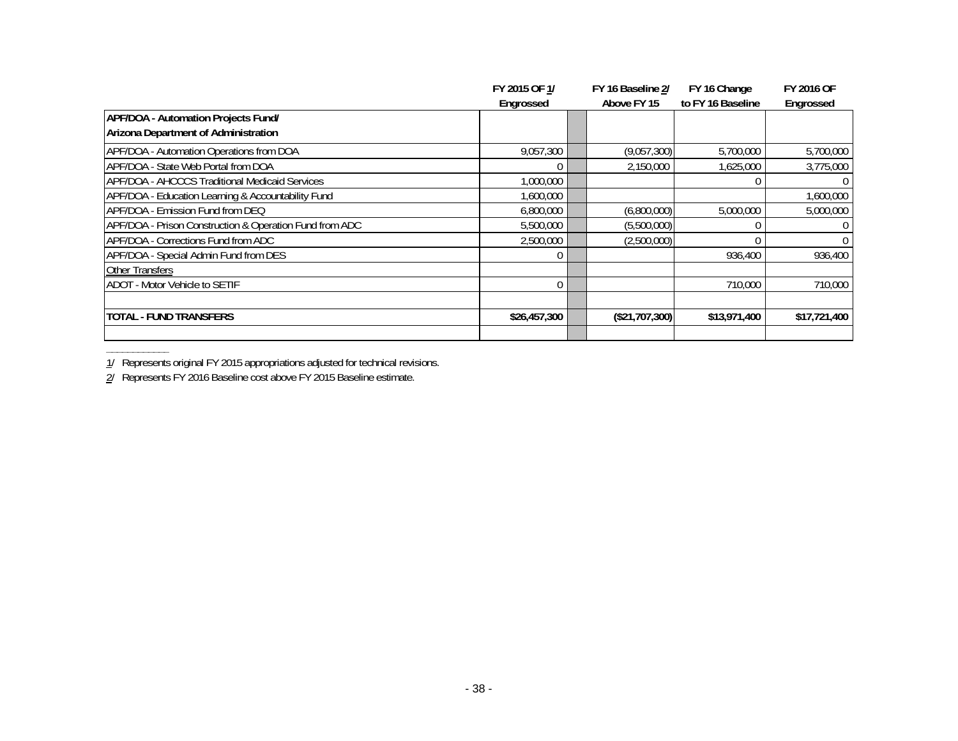|                                                         | FY 2015 OF 1/ | FY 16 Baseline 2/ | FY 16 Change      | <b>FY 2016 OF</b> |
|---------------------------------------------------------|---------------|-------------------|-------------------|-------------------|
|                                                         | Engrossed     | Above FY 15       | to FY 16 Baseline | Engrossed         |
| APF/DOA - Automation Projects Fund/                     |               |                   |                   |                   |
| Arizona Department of Administration                    |               |                   |                   |                   |
| APF/DOA - Automation Operations from DOA                | 9,057,300     | (9,057,300)       | 5,700,000         | 5,700,000         |
| APF/DOA - State Web Portal from DOA                     |               | 2,150,000         | 1,625,000         | 3,775,000         |
| APF/DOA - AHCCCS Traditional Medicaid Services          | 1,000,000     |                   |                   |                   |
| APF/DOA - Education Learning & Accountability Fund      | 1,600,000     |                   |                   | 1,600,000         |
| APF/DOA - Emission Fund from DEQ                        | 6,800,000     | (6,800,000)       | 5,000,000         | 5,000,000         |
| APF/DOA - Prison Construction & Operation Fund from ADC | 5,500,000     | (5,500,000)       |                   |                   |
| APF/DOA - Corrections Fund from ADC                     | 2,500,000     | (2,500,000)       |                   |                   |
| APF/DOA - Special Admin Fund from DES                   |               |                   | 936,400           | 936,400           |
| <b>Other Transfers</b>                                  |               |                   |                   |                   |
| <b>ADOT - Motor Vehicle to SETIF</b>                    | $\Omega$      |                   | 710,000           | 710,000           |
|                                                         |               |                   |                   |                   |
| TOTAL - FUND TRANSFERS                                  | \$26,457,300  | (\$21,707,300)    | \$13,971,400      | \$17,721,400      |
|                                                         |               |                   |                   |                   |

**\_\_\_\_\_\_\_\_\_\_\_\_** 1/ Represents original FY 2015 appropriations adjusted for technical revisions.

2/ Represents FY 2016 Baseline cost above FY 2015 Baseline estimate.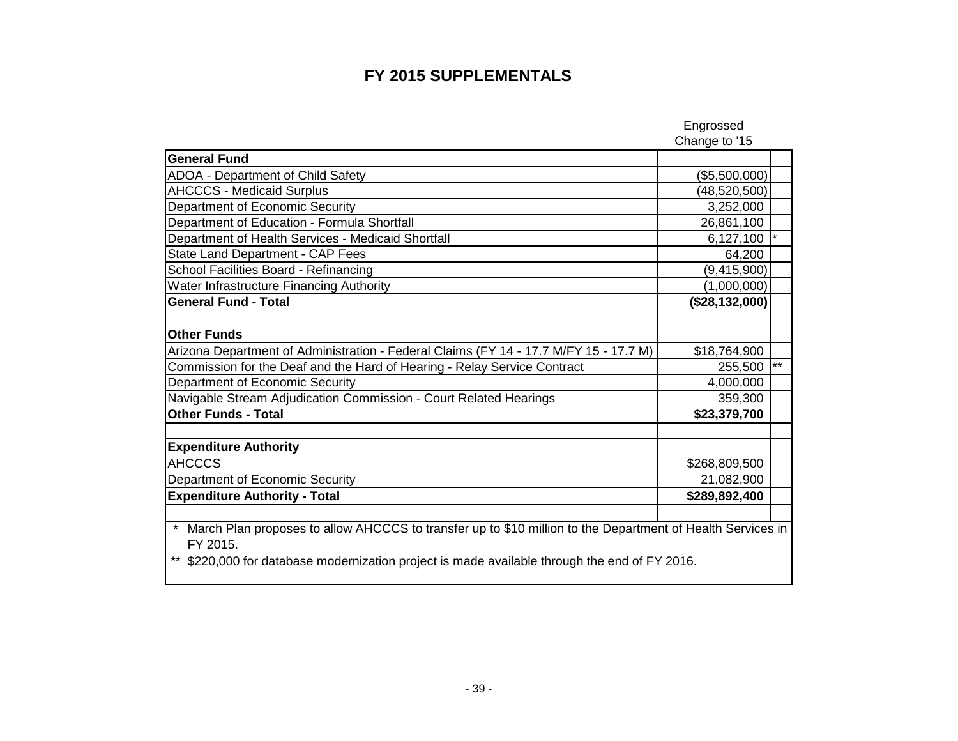### **FY 2015 SUPPLEMENTALS**

|                                                                                                                                                                                                                      | Engrossed      |       |
|----------------------------------------------------------------------------------------------------------------------------------------------------------------------------------------------------------------------|----------------|-------|
|                                                                                                                                                                                                                      | Change to '15  |       |
| <b>General Fund</b>                                                                                                                                                                                                  |                |       |
| <b>ADOA - Department of Child Safety</b>                                                                                                                                                                             | (\$5,500,000)  |       |
| <b>AHCCCS - Medicaid Surplus</b>                                                                                                                                                                                     | (48, 520, 500) |       |
| Department of Economic Security                                                                                                                                                                                      | 3,252,000      |       |
| Department of Education - Formula Shortfall                                                                                                                                                                          | 26,861,100     |       |
| Department of Health Services - Medicaid Shortfall                                                                                                                                                                   | 6,127,100      |       |
| State Land Department - CAP Fees                                                                                                                                                                                     | 64,200         |       |
| School Facilities Board - Refinancing                                                                                                                                                                                | (9,415,900)    |       |
| Water Infrastructure Financing Authority                                                                                                                                                                             | (1,000,000)    |       |
| <b>General Fund - Total</b>                                                                                                                                                                                          | (\$28,132,000) |       |
|                                                                                                                                                                                                                      |                |       |
| <b>Other Funds</b>                                                                                                                                                                                                   |                |       |
| Arizona Department of Administration - Federal Claims (FY 14 - 17.7 M/FY 15 - 17.7 M)                                                                                                                                | \$18,764,900   |       |
| Commission for the Deaf and the Hard of Hearing - Relay Service Contract                                                                                                                                             | 255,500        | $***$ |
| Department of Economic Security                                                                                                                                                                                      | 4,000,000      |       |
| Navigable Stream Adjudication Commission - Court Related Hearings                                                                                                                                                    | 359,300        |       |
| <b>Other Funds - Total</b>                                                                                                                                                                                           | \$23,379,700   |       |
|                                                                                                                                                                                                                      |                |       |
| <b>Expenditure Authority</b>                                                                                                                                                                                         |                |       |
| <b>AHCCCS</b>                                                                                                                                                                                                        | \$268,809,500  |       |
| Department of Economic Security                                                                                                                                                                                      | 21,082,900     |       |
| <b>Expenditure Authority - Total</b>                                                                                                                                                                                 | \$289,892,400  |       |
|                                                                                                                                                                                                                      |                |       |
| March Plan proposes to allow AHCCCS to transfer up to \$10 million to the Department of Health Services in<br>FY 2015.<br>\$220,000 for database modernization project is made available through the end of FY 2016. |                |       |
|                                                                                                                                                                                                                      |                |       |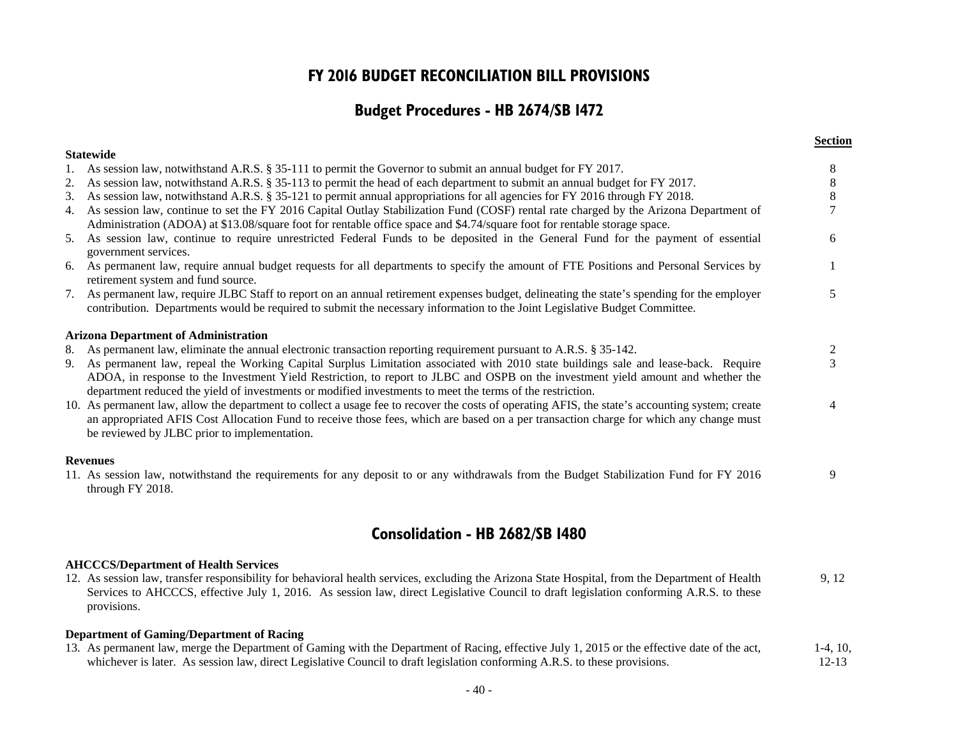### **FY 2016 BUDGET RECONCILIATION BILL PROVISIONS**

### **Budget Procedures - HB 2674/SB 1472**

|    |                                                                                                                                                                                                                                                                                                                                                                                       | <b>Section</b> |
|----|---------------------------------------------------------------------------------------------------------------------------------------------------------------------------------------------------------------------------------------------------------------------------------------------------------------------------------------------------------------------------------------|----------------|
|    | <b>Statewide</b>                                                                                                                                                                                                                                                                                                                                                                      |                |
|    | 1. As session law, notwithstand A.R.S. § 35-111 to permit the Governor to submit an annual budget for FY 2017.                                                                                                                                                                                                                                                                        | 8              |
| 2. | As session law, notwithstand A.R.S. § 35-113 to permit the head of each department to submit an annual budget for FY 2017.                                                                                                                                                                                                                                                            | 8              |
| 3. | As session law, notwithstand A.R.S. § 35-121 to permit annual appropriations for all agencies for FY 2016 through FY 2018.                                                                                                                                                                                                                                                            | 8              |
|    | 4. As session law, continue to set the FY 2016 Capital Outlay Stabilization Fund (COSF) rental rate charged by the Arizona Department of                                                                                                                                                                                                                                              |                |
|    | Administration (ADOA) at \$13.08/square foot for rentable office space and \$4.74/square foot for rentable storage space.                                                                                                                                                                                                                                                             |                |
|    | 5. As session law, continue to require unrestricted Federal Funds to be deposited in the General Fund for the payment of essential<br>government services.                                                                                                                                                                                                                            | 6              |
|    | 6. As permanent law, require annual budget requests for all departments to specify the amount of FTE Positions and Personal Services by<br>retirement system and fund source.                                                                                                                                                                                                         |                |
|    | 7. As permanent law, require JLBC Staff to report on an annual retirement expenses budget, delineating the state's spending for the employer<br>contribution. Departments would be required to submit the necessary information to the Joint Legislative Budget Committee.                                                                                                            | 5              |
|    | <b>Arizona Department of Administration</b>                                                                                                                                                                                                                                                                                                                                           |                |
|    | 8. As permanent law, eliminate the annual electronic transaction reporting requirement pursuant to A.R.S. § 35-142.                                                                                                                                                                                                                                                                   | 2              |
|    | 9. As permanent law, repeal the Working Capital Surplus Limitation associated with 2010 state buildings sale and lease-back. Require<br>ADOA, in response to the Investment Yield Restriction, to report to JLBC and OSPB on the investment yield amount and whether the<br>department reduced the yield of investments or modified investments to meet the terms of the restriction. | 3              |
|    | 10. As permanent law, allow the department to collect a usage fee to recover the costs of operating AFIS, the state's accounting system; create<br>an appropriated AFIS Cost Allocation Fund to receive those fees, which are based on a per transaction charge for which any change must<br>be reviewed by JLBC prior to implementation.                                             |                |
|    | <b>Revenues</b>                                                                                                                                                                                                                                                                                                                                                                       |                |
|    | 11. As session law, notwithstand the requirements for any deposit to or any withdrawals from the Budget Stabilization Fund for FY 2016<br>through FY 2018.                                                                                                                                                                                                                            | 9              |

### **Consolidation - HB 2682/SB 1480**

#### **AHCCCS/Department of Health Services**

12. As session law, transfer responsibility for behavioral health services, excluding the Arizona State Hospital, from the Department of Health Services to AHCCCS, effective July 1, 2016. As session law, direct Legislative Council to draft legislation conforming A.R.S. to these provisions. 9, 12

#### **Department of Gaming/Department of Racing**

| 13. As permanent law, merge the Department of Gaming with the Department of Racing, effective July 1, 2015 or the effective date of the act, | $1-4$ , 10, |
|----------------------------------------------------------------------------------------------------------------------------------------------|-------------|
| whichever is later. As session law, direct Legislative Council to draft legislation conforming A.R.S. to these provisions.                   | 12-13       |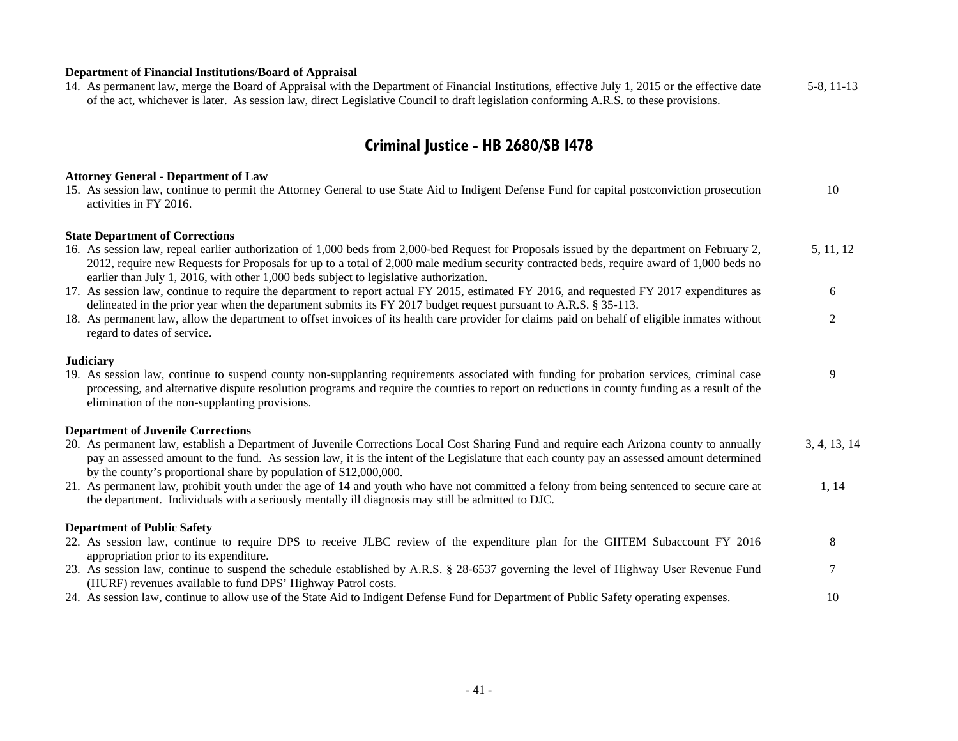### **Department of Financial Institutions/Board of Appraisal**

| 14. As permanent law, merge the Board of Appraisal with the Department of Financial Institutions, effective July 1, 2015 or the effective date | 5-8, 11-13 |
|------------------------------------------------------------------------------------------------------------------------------------------------|------------|
| of the act, whichever is later. As session law, direct Legislative Council to draft legislation conforming A.R.S. to these provisions.         |            |

## **Criminal Justice - HB 2680/SB 1478**

### **Attorney General - Department of Law**

| 15. As session law, continue to permit the Attorney General to use State Aid to Indigent Defense Fund for capital postconviction prosecution<br>activities in FY 2016.                                                                                                                                                                                                            | 10           |
|-----------------------------------------------------------------------------------------------------------------------------------------------------------------------------------------------------------------------------------------------------------------------------------------------------------------------------------------------------------------------------------|--------------|
| <b>State Department of Corrections</b>                                                                                                                                                                                                                                                                                                                                            |              |
| 16. As session law, repeal earlier authorization of 1,000 beds from 2,000-bed Request for Proposals issued by the department on February 2,<br>2012, require new Requests for Proposals for up to a total of 2,000 male medium security contracted beds, require award of 1,000 beds no<br>earlier than July 1, 2016, with other 1,000 beds subject to legislative authorization. | 5, 11, 12    |
| 17. As session law, continue to require the department to report actual FY 2015, estimated FY 2016, and requested FY 2017 expenditures as<br>delineated in the prior year when the department submits its FY 2017 budget request pursuant to A.R.S. § 35-113.                                                                                                                     | 6            |
| 18. As permanent law, allow the department to offset invoices of its health care provider for claims paid on behalf of eligible inmates without<br>regard to dates of service.                                                                                                                                                                                                    | 2            |
| <b>Judiciary</b>                                                                                                                                                                                                                                                                                                                                                                  |              |
| 19. As session law, continue to suspend county non-supplanting requirements associated with funding for probation services, criminal case<br>processing, and alternative dispute resolution programs and require the counties to report on reductions in county funding as a result of the<br>elimination of the non-supplanting provisions.                                      | 9            |
| <b>Department of Juvenile Corrections</b>                                                                                                                                                                                                                                                                                                                                         |              |
| 20. As permanent law, establish a Department of Juvenile Corrections Local Cost Sharing Fund and require each Arizona county to annually<br>pay an assessed amount to the fund. As session law, it is the intent of the Legislature that each county pay an assessed amount determined<br>by the county's proportional share by population of \$12,000,000.                       | 3, 4, 13, 14 |
| 21. As permanent law, prohibit youth under the age of 14 and youth who have not committed a felony from being sentenced to secure care at<br>the department. Individuals with a seriously mentally ill diagnosis may still be admitted to DJC.                                                                                                                                    | 1, 14        |
| <b>Department of Public Safety</b>                                                                                                                                                                                                                                                                                                                                                |              |
| 22. As session law, continue to require DPS to receive JLBC review of the expenditure plan for the GIITEM Subaccount FY 2016<br>appropriation prior to its expenditure.                                                                                                                                                                                                           | 8            |
| 23. As session law, continue to suspend the schedule established by A.R.S. § 28-6537 governing the level of Highway User Revenue Fund<br>(HURF) revenues available to fund DPS' Highway Patrol costs.                                                                                                                                                                             |              |
| 24. As session law, continue to allow use of the State Aid to Indigent Defense Fund for Department of Public Safety operating expenses.                                                                                                                                                                                                                                           | 10           |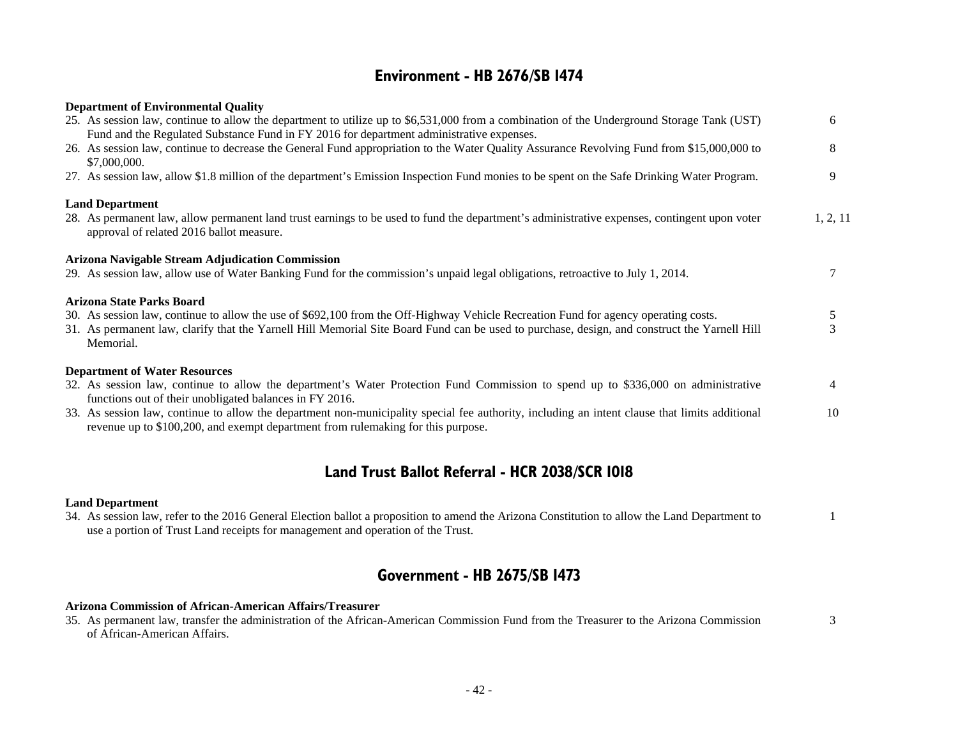### **Environment - HB 2676/SB 1474**

| <b>Department of Environmental Quality</b>                                                                                                                                                                                             |          |
|----------------------------------------------------------------------------------------------------------------------------------------------------------------------------------------------------------------------------------------|----------|
| 25. As session law, continue to allow the department to utilize up to \$6,531,000 from a combination of the Underground Storage Tank (UST)<br>Fund and the Regulated Substance Fund in FY 2016 for department administrative expenses. | 6        |
| 26. As session law, continue to decrease the General Fund appropriation to the Water Quality Assurance Revolving Fund from \$15,000,000 to<br>\$7,000,000.                                                                             | 8        |
| 27. As session law, allow \$1.8 million of the department's Emission Inspection Fund monies to be spent on the Safe Drinking Water Program.                                                                                            | 9        |
| <b>Land Department</b><br>28. As permanent law, allow permanent land trust earnings to be used to fund the department's administrative expenses, contingent upon voter<br>approval of related 2016 ballot measure.                     | 1, 2, 11 |
| <b>Arizona Navigable Stream Adjudication Commission</b><br>29. As session law, allow use of Water Banking Fund for the commission's unpaid legal obligations, retroactive to July 1, 2014.                                             |          |
| Arizona State Parks Board                                                                                                                                                                                                              |          |
| 30. As session law, continue to allow the use of \$692,100 from the Off-Highway Vehicle Recreation Fund for agency operating costs.                                                                                                    | 5        |
| 31. As permanent law, clarify that the Yarnell Hill Memorial Site Board Fund can be used to purchase, design, and construct the Yarnell Hill<br>Memorial.                                                                              | 3        |
| <b>Department of Water Resources</b>                                                                                                                                                                                                   |          |
| 32. As session law, continue to allow the department's Water Protection Fund Commission to spend up to \$336,000 on administrative<br>functions out of their unobligated balances in FY 2016.                                          | 4        |
| 33. As session law, continue to allow the department non-municipality special fee authority, including an intent clause that limits additional<br>revenue up to \$100,200, and exempt department from rulemaking for this purpose.     | 10       |

### **Land Trust Ballot Referral - HCR 2038/SCR 1018**

#### **Land Department**

| 34. As session law, refer to the 2016 General Election ballot a proposition to amend the Arizona Constitution to allow the Land Department to |  |
|-----------------------------------------------------------------------------------------------------------------------------------------------|--|
| use a portion of Trust Land receipts for management and operation of the Trust.                                                               |  |

### **Government - HB 2675/SB 1473**

#### **Arizona Commission of African-American Affairs/Treasurer**

| 35. As permanent law, transfer the administration of the African-American Commission Fund from the Treasurer to the Arizona Commission |  |
|----------------------------------------------------------------------------------------------------------------------------------------|--|
| of African-American Affairs.                                                                                                           |  |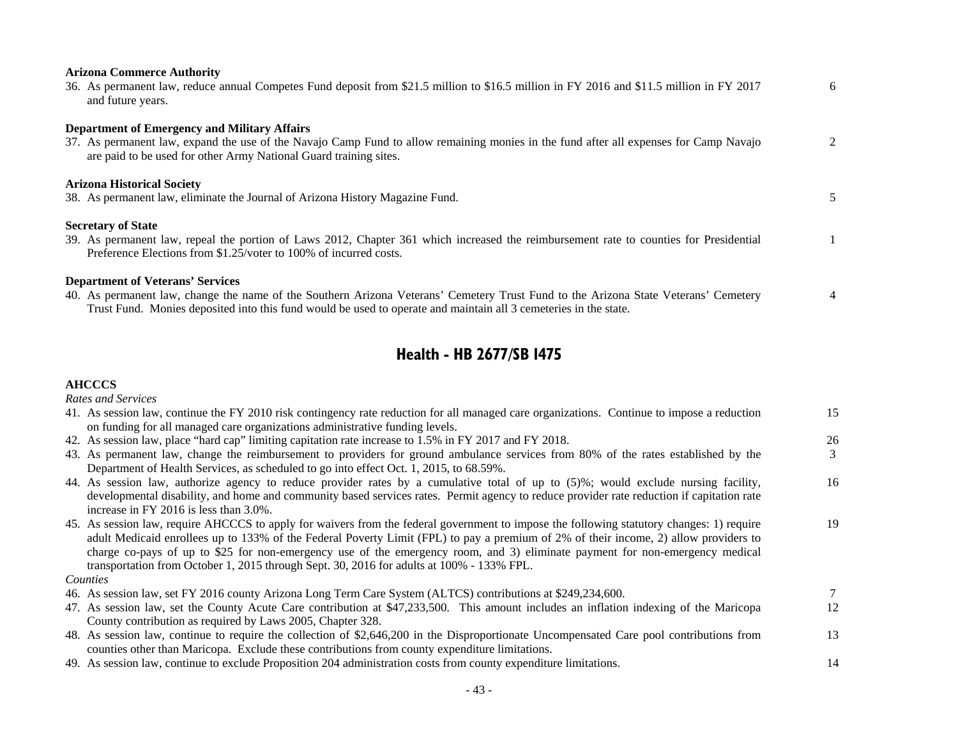| <b>Arizona Commerce Authority</b><br>36. As permanent law, reduce annual Competes Fund deposit from \$21.5 million to \$16.5 million in FY 2016 and \$11.5 million in FY 2017<br>and future years.                                                                                                 | 6             |
|----------------------------------------------------------------------------------------------------------------------------------------------------------------------------------------------------------------------------------------------------------------------------------------------------|---------------|
| <b>Department of Emergency and Military Affairs</b><br>37. As permanent law, expand the use of the Navajo Camp Fund to allow remaining monies in the fund after all expenses for Camp Navajo<br>are paid to be used for other Army National Guard training sites.                                  | $\mathcal{L}$ |
| <b>Arizona Historical Society</b><br>38. As permanent law, eliminate the Journal of Arizona History Magazine Fund.                                                                                                                                                                                 |               |
| <b>Secretary of State</b><br>39. As permanent law, repeal the portion of Laws 2012, Chapter 361 which increased the reimbursement rate to counties for Presidential<br>Preference Elections from \$1.25/voter to 100% of incurred costs.                                                           |               |
| <b>Department of Veterans' Services</b><br>40. As permanent law, change the name of the Southern Arizona Veterans' Cemetery Trust Fund to the Arizona State Veterans' Cemetery<br>Trust Fund. Monies deposited into this fund would be used to operate and maintain all 3 cemeteries in the state. | 4             |

## **Health - HB 2677/SB 1475**

#### **AHCCCS**

*Rates and Services*

| 41. As session law, continue the FY 2010 risk contingency rate reduction for all managed care organizations. Continue to impose a reduction                                                                                                                                     | 15 |
|---------------------------------------------------------------------------------------------------------------------------------------------------------------------------------------------------------------------------------------------------------------------------------|----|
| on funding for all managed care organizations administrative funding levels.                                                                                                                                                                                                    |    |
| 42. As session law, place "hard cap" limiting capitation rate increase to 1.5% in FY 2017 and FY 2018.                                                                                                                                                                          | 26 |
| 43. As permanent law, change the reimbursement to providers for ground ambulance services from 80% of the rates established by the                                                                                                                                              |    |
| Department of Health Services, as scheduled to go into effect Oct. 1, 2015, to 68.59%.                                                                                                                                                                                          |    |
| 44. As session law, authorize agency to reduce provider rates by a cumulative total of up to (5)%; would exclude nursing facility,<br>developmental disability, and home and community based services rates. Permit agency to reduce provider rate reduction if capitation rate | 16 |
| increase in FY 2016 is less than 3.0%.                                                                                                                                                                                                                                          |    |
| 45. As session law, require AHCCCS to apply for waivers from the federal government to impose the following statutory changes: 1) require                                                                                                                                       | 19 |
| adult Medicaid enrollees up to 133% of the Federal Poverty Limit (FPL) to pay a premium of 2% of their income, 2) allow providers to                                                                                                                                            |    |
| charge co-pays of up to \$25 for non-emergency use of the emergency room, and 3) eliminate payment for non-emergency medical                                                                                                                                                    |    |
| transportation from October 1, 2015 through Sept. 30, 2016 for adults at 100% - 133% FPL.                                                                                                                                                                                       |    |
| Counties                                                                                                                                                                                                                                                                        |    |
| 46. As session law, set FY 2016 county Arizona Long Term Care System (ALTCS) contributions at \$249,234,600.                                                                                                                                                                    |    |
| 47. As session law, set the County Acute Care contribution at \$47,233,500. This amount includes an inflation indexing of the Maricopa                                                                                                                                          | 12 |
| County contribution as required by Laws 2005, Chapter 328.                                                                                                                                                                                                                      |    |
| 48. As session law, continue to require the collection of \$2,646,200 in the Disproportionate Uncompensated Care pool contributions from                                                                                                                                        | 13 |
| counties other than Maricopa. Exclude these contributions from county expenditure limitations.                                                                                                                                                                                  |    |
| 49. As session law, continue to exclude Proposition 204 administration costs from county expenditure limitations.                                                                                                                                                               | 14 |
|                                                                                                                                                                                                                                                                                 |    |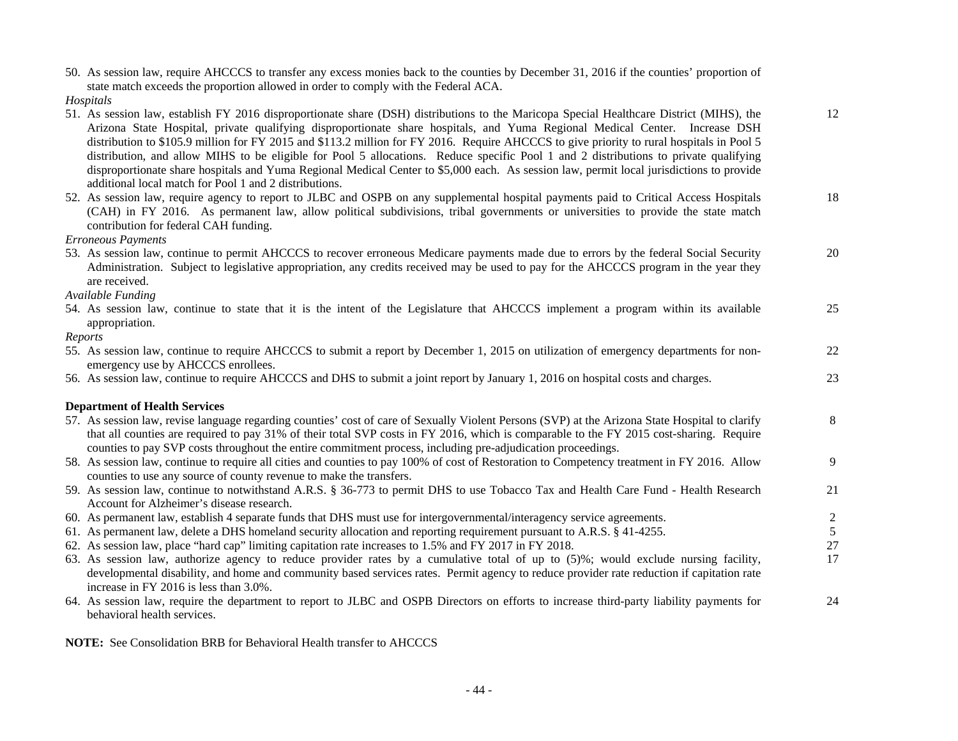| 50. As session law, require AHCCCS to transfer any excess monies back to the counties by December 31, 2016 if the counties' proportion of<br>state match exceeds the proportion allowed in order to comply with the Federal ACA.                                                                                                                                                                                                                                                                                                                                                                                                                                                                                                                                   |             |
|--------------------------------------------------------------------------------------------------------------------------------------------------------------------------------------------------------------------------------------------------------------------------------------------------------------------------------------------------------------------------------------------------------------------------------------------------------------------------------------------------------------------------------------------------------------------------------------------------------------------------------------------------------------------------------------------------------------------------------------------------------------------|-------------|
| Hospitals                                                                                                                                                                                                                                                                                                                                                                                                                                                                                                                                                                                                                                                                                                                                                          |             |
| 51. As session law, establish FY 2016 disproportionate share (DSH) distributions to the Maricopa Special Healthcare District (MIHS), the<br>Arizona State Hospital, private qualifying disproportionate share hospitals, and Yuma Regional Medical Center. Increase DSH<br>distribution to \$105.9 million for FY 2015 and \$113.2 million for FY 2016. Require AHCCCS to give priority to rural hospitals in Pool 5<br>distribution, and allow MIHS to be eligible for Pool 5 allocations. Reduce specific Pool 1 and 2 distributions to private qualifying<br>disproportionate share hospitals and Yuma Regional Medical Center to \$5,000 each. As session law, permit local jurisdictions to provide<br>additional local match for Pool 1 and 2 distributions. | 12          |
| 52. As session law, require agency to report to JLBC and OSPB on any supplemental hospital payments paid to Critical Access Hospitals<br>(CAH) in FY 2016. As permanent law, allow political subdivisions, tribal governments or universities to provide the state match<br>contribution for federal CAH funding.                                                                                                                                                                                                                                                                                                                                                                                                                                                  | 18          |
| <b>Erroneous Payments</b>                                                                                                                                                                                                                                                                                                                                                                                                                                                                                                                                                                                                                                                                                                                                          |             |
| 53. As session law, continue to permit AHCCCS to recover erroneous Medicare payments made due to errors by the federal Social Security<br>Administration. Subject to legislative appropriation, any credits received may be used to pay for the AHCCCS program in the year they<br>are received.                                                                                                                                                                                                                                                                                                                                                                                                                                                                   | 20          |
| Available Funding                                                                                                                                                                                                                                                                                                                                                                                                                                                                                                                                                                                                                                                                                                                                                  |             |
| 54. As session law, continue to state that it is the intent of the Legislature that AHCCCS implement a program within its available<br>appropriation.                                                                                                                                                                                                                                                                                                                                                                                                                                                                                                                                                                                                              | 25          |
| Reports                                                                                                                                                                                                                                                                                                                                                                                                                                                                                                                                                                                                                                                                                                                                                            |             |
| 55. As session law, continue to require AHCCCS to submit a report by December 1, 2015 on utilization of emergency departments for non-<br>emergency use by AHCCCS enrollees.                                                                                                                                                                                                                                                                                                                                                                                                                                                                                                                                                                                       | $22\,$      |
| 56. As session law, continue to require AHCCCS and DHS to submit a joint report by January 1, 2016 on hospital costs and charges.                                                                                                                                                                                                                                                                                                                                                                                                                                                                                                                                                                                                                                  | 23          |
| <b>Department of Health Services</b>                                                                                                                                                                                                                                                                                                                                                                                                                                                                                                                                                                                                                                                                                                                               |             |
| 57. As session law, revise language regarding counties' cost of care of Sexually Violent Persons (SVP) at the Arizona State Hospital to clarify<br>that all counties are required to pay 31% of their total SVP costs in FY 2016, which is comparable to the FY 2015 cost-sharing. Require<br>counties to pay SVP costs throughout the entire commitment process, including pre-adjudication proceedings.                                                                                                                                                                                                                                                                                                                                                          | 8           |
| 58. As session law, continue to require all cities and counties to pay 100% of cost of Restoration to Competency treatment in FY 2016. Allow<br>counties to use any source of county revenue to make the transfers.                                                                                                                                                                                                                                                                                                                                                                                                                                                                                                                                                | 9           |
| 59. As session law, continue to notwithstand A.R.S. § 36-773 to permit DHS to use Tobacco Tax and Health Care Fund - Health Research<br>Account for Alzheimer's disease research.                                                                                                                                                                                                                                                                                                                                                                                                                                                                                                                                                                                  | 21          |
| 60. As permanent law, establish 4 separate funds that DHS must use for intergovernmental/interagency service agreements.                                                                                                                                                                                                                                                                                                                                                                                                                                                                                                                                                                                                                                           |             |
| 61. As permanent law, delete a DHS homeland security allocation and reporting requirement pursuant to A.R.S. § 41-4255.                                                                                                                                                                                                                                                                                                                                                                                                                                                                                                                                                                                                                                            | $rac{2}{5}$ |
| 62. As session law, place "hard cap" limiting capitation rate increases to 1.5% and FY 2017 in FY 2018.                                                                                                                                                                                                                                                                                                                                                                                                                                                                                                                                                                                                                                                            | 27          |
| 63. As session law, authorize agency to reduce provider rates by a cumulative total of up to (5)%; would exclude nursing facility,<br>developmental disability, and home and community based services rates. Permit agency to reduce provider rate reduction if capitation rate<br>increase in FY 2016 is less than 3.0%.                                                                                                                                                                                                                                                                                                                                                                                                                                          | 17          |
| 64. As session law, require the department to report to JLBC and OSPB Directors on efforts to increase third-party liability payments for<br>behavioral health services.                                                                                                                                                                                                                                                                                                                                                                                                                                                                                                                                                                                           | 24          |

**NOTE:** See Consolidation BRB for Behavioral Health transfer to AHCCCS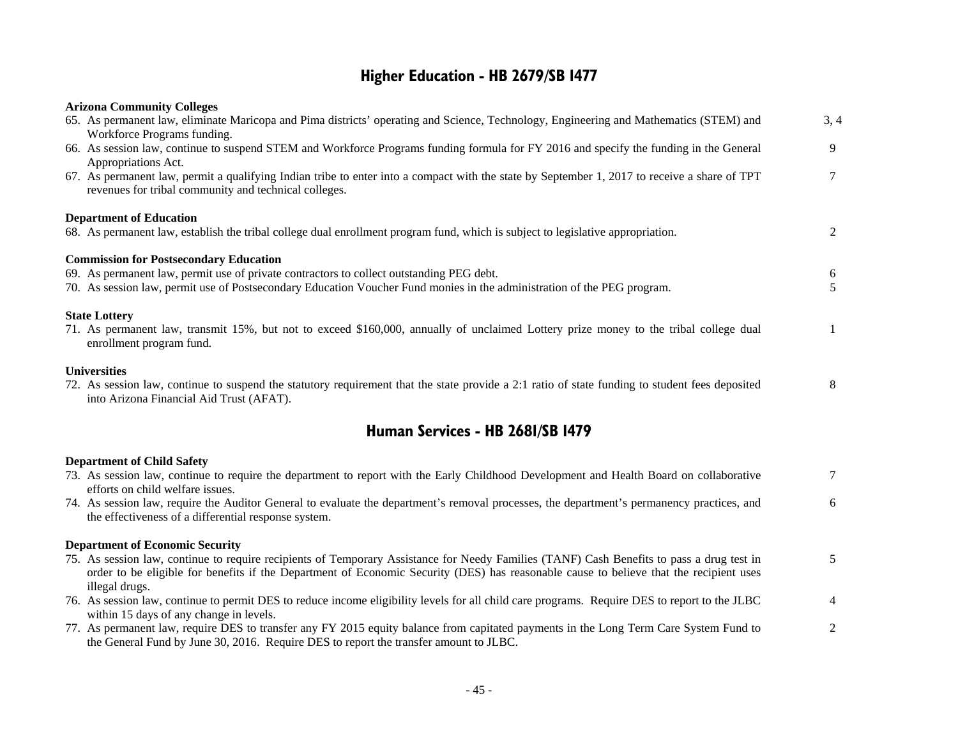## **Higher Education - HB 2679/SB 1477**

| <b>Arizona Community Colleges</b>                                                                                                                                                                                                                                                                     |                 |
|-------------------------------------------------------------------------------------------------------------------------------------------------------------------------------------------------------------------------------------------------------------------------------------------------------|-----------------|
| 65. As permanent law, eliminate Maricopa and Pima districts' operating and Science, Technology, Engineering and Mathematics (STEM) and                                                                                                                                                                | 3, 4            |
| Workforce Programs funding.<br>66. As session law, continue to suspend STEM and Workforce Programs funding formula for FY 2016 and specify the funding in the General<br>Appropriations Act.                                                                                                          | 9               |
| 67. As permanent law, permit a qualifying Indian tribe to enter into a compact with the state by September 1, 2017 to receive a share of TPT<br>revenues for tribal community and technical colleges.                                                                                                 | $7\overline{ }$ |
| <b>Department of Education</b>                                                                                                                                                                                                                                                                        |                 |
| 68. As permanent law, establish the tribal college dual enrollment program fund, which is subject to legislative appropriation.                                                                                                                                                                       | 2               |
| <b>Commission for Postsecondary Education</b>                                                                                                                                                                                                                                                         |                 |
| 69. As permanent law, permit use of private contractors to collect outstanding PEG debt.                                                                                                                                                                                                              | 6               |
| 70. As session law, permit use of Postsecondary Education Voucher Fund monies in the administration of the PEG program.                                                                                                                                                                               | 5               |
| <b>State Lottery</b>                                                                                                                                                                                                                                                                                  |                 |
| 71. As permanent law, transmit 15%, but not to exceed \$160,000, annually of unclaimed Lottery prize money to the tribal college dual<br>enrollment program fund.                                                                                                                                     | $\mathbf{1}$    |
| <b>Universities</b>                                                                                                                                                                                                                                                                                   |                 |
| 72. As session law, continue to suspend the statutory requirement that the state provide a 2:1 ratio of state funding to student fees deposited<br>into Arizona Financial Aid Trust (AFAT).                                                                                                           | 8               |
| Human Services - HB 2681/SB 1479                                                                                                                                                                                                                                                                      |                 |
| <b>Department of Child Safety</b>                                                                                                                                                                                                                                                                     |                 |
| 73. As session law, continue to require the department to report with the Early Childhood Development and Health Board on collaborative<br>efforts on child welfare issues.                                                                                                                           | $7\overline{ }$ |
| 74. As session law, require the Auditor General to evaluate the department's removal processes, the department's permanency practices, and<br>the effectiveness of a differential response system.                                                                                                    | 6               |
| <b>Department of Economic Security</b>                                                                                                                                                                                                                                                                |                 |
| 75. As session law, continue to require recipients of Temporary Assistance for Needy Families (TANF) Cash Benefits to pass a drug test in<br>order to be eligible for benefits if the Department of Economic Security (DES) has reasonable cause to believe that the recipient uses<br>illegal drugs. | 5               |
| 76. As session law, continue to permit DES to reduce income eligibility levels for all child care programs. Require DES to report to the JLBC<br>within 15 days of any change in levels.                                                                                                              | 4               |
| 77. As permanent law, require DES to transfer any FY 2015 equity balance from capitated payments in the Long Term Care System Fund to<br>the General Fund by June 30, 2016. Require DES to report the transfer amount to JLBC.                                                                        | 2               |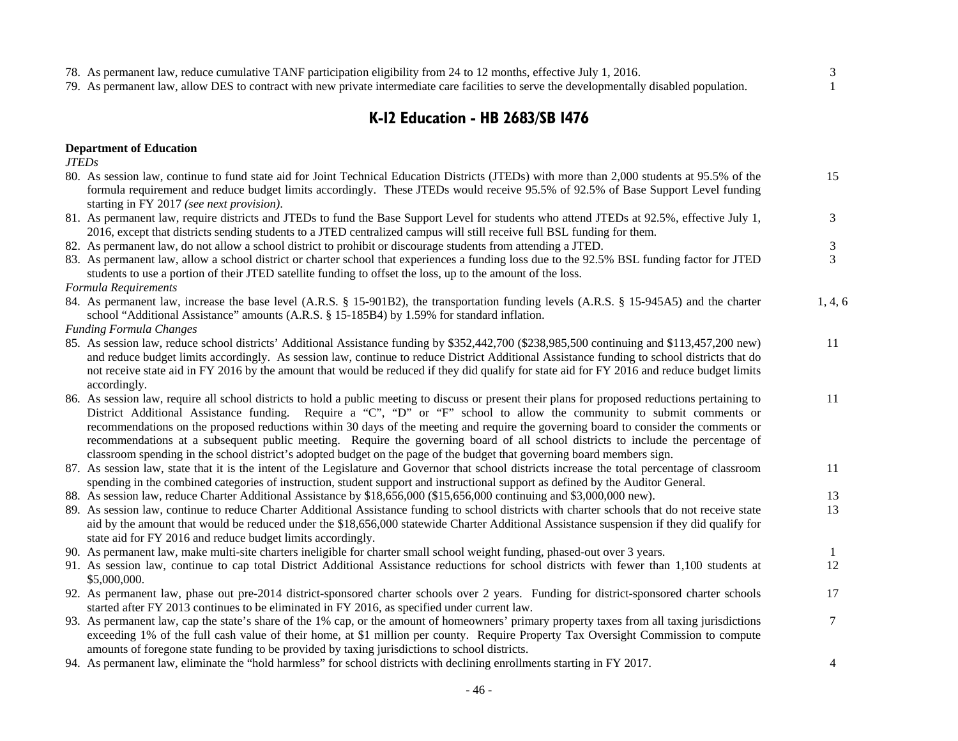| 78. As permanent law, reduce cumulative TANF participation eligibility from 24 to 12 months, effective July 1, 2016.                        |  |
|---------------------------------------------------------------------------------------------------------------------------------------------|--|
| 79. As permanent law, allow DES to contract with new private intermediate care facilities to serve the developmentally disabled population. |  |

## **K-12 Education - HB 2683/SB 1476**

#### **Department of Education**

*JTEDs*

| 80. As session law, continue to fund state aid for Joint Technical Education Districts (JTEDs) with more than 2,000 students at 95.5% of the<br>formula requirement and reduce budget limits accordingly. These JTEDs would receive 95.5% of 92.5% of Base Support Level funding | 15      |
|----------------------------------------------------------------------------------------------------------------------------------------------------------------------------------------------------------------------------------------------------------------------------------|---------|
| starting in FY 2017 (see next provision).                                                                                                                                                                                                                                        |         |
| 81. As permanent law, require districts and JTEDs to fund the Base Support Level for students who attend JTEDs at 92.5%, effective July 1,                                                                                                                                       | 3       |
| 2016, except that districts sending students to a JTED centralized campus will still receive full BSL funding for them.                                                                                                                                                          |         |
| 82. As permanent law, do not allow a school district to prohibit or discourage students from attending a JTED.                                                                                                                                                                   | 3<br>3  |
| 83. As permanent law, allow a school district or charter school that experiences a funding loss due to the 92.5% BSL funding factor for JTED<br>students to use a portion of their JTED satellite funding to offset the loss, up to the amount of the loss.                      |         |
| Formula Requirements                                                                                                                                                                                                                                                             |         |
| 84. As permanent law, increase the base level (A.R.S. § 15-901B2), the transportation funding levels (A.R.S. § 15-945A5) and the charter                                                                                                                                         | 1, 4, 6 |
| school "Additional Assistance" amounts (A.R.S. § 15-185B4) by 1.59% for standard inflation.                                                                                                                                                                                      |         |
| <b>Funding Formula Changes</b>                                                                                                                                                                                                                                                   |         |
| 85. As session law, reduce school districts' Additional Assistance funding by \$352,442,700 (\$238,985,500 continuing and \$113,457,200 new)                                                                                                                                     | 11      |
| and reduce budget limits accordingly. As session law, continue to reduce District Additional Assistance funding to school districts that do                                                                                                                                      |         |
| not receive state aid in FY 2016 by the amount that would be reduced if they did qualify for state aid for FY 2016 and reduce budget limits                                                                                                                                      |         |
| accordingly.                                                                                                                                                                                                                                                                     |         |
| 86. As session law, require all school districts to hold a public meeting to discuss or present their plans for proposed reductions pertaining to                                                                                                                                | 11      |
| District Additional Assistance funding. Require a "C", "D" or "F" school to allow the community to submit comments or                                                                                                                                                            |         |
| recommendations on the proposed reductions within 30 days of the meeting and require the governing board to consider the comments or                                                                                                                                             |         |
| recommendations at a subsequent public meeting. Require the governing board of all school districts to include the percentage of                                                                                                                                                 |         |
| classroom spending in the school district's adopted budget on the page of the budget that governing board members sign.                                                                                                                                                          |         |
| 87. As session law, state that it is the intent of the Legislature and Governor that school districts increase the total percentage of classroom                                                                                                                                 | 11      |
| spending in the combined categories of instruction, student support and instructional support as defined by the Auditor General.                                                                                                                                                 |         |
| 88. As session law, reduce Charter Additional Assistance by \$18,656,000 (\$15,656,000 continuing and \$3,000,000 new).                                                                                                                                                          | 13      |
| 89. As session law, continue to reduce Charter Additional Assistance funding to school districts with charter schools that do not receive state                                                                                                                                  | 13      |
| aid by the amount that would be reduced under the \$18,656,000 statewide Charter Additional Assistance suspension if they did qualify for                                                                                                                                        |         |
| state aid for FY 2016 and reduce budget limits accordingly.                                                                                                                                                                                                                      |         |
| 90. As permanent law, make multi-site charters ineligible for charter small school weight funding, phased-out over 3 years.                                                                                                                                                      | $\perp$ |
| 91. As session law, continue to cap total District Additional Assistance reductions for school districts with fewer than 1,100 students at                                                                                                                                       | 12      |
| \$5,000,000.                                                                                                                                                                                                                                                                     |         |
| 92. As permanent law, phase out pre-2014 district-sponsored charter schools over 2 years. Funding for district-sponsored charter schools                                                                                                                                         | 17      |
| started after FY 2013 continues to be eliminated in FY 2016, as specified under current law.                                                                                                                                                                                     |         |
| 93. As permanent law, cap the state's share of the 1% cap, or the amount of homeowners' primary property taxes from all taxing jurisdictions                                                                                                                                     | 7       |
| exceeding 1% of the full cash value of their home, at \$1 million per county. Require Property Tax Oversight Commission to compute                                                                                                                                               |         |
| amounts of foregone state funding to be provided by taxing jurisdictions to school districts.                                                                                                                                                                                    |         |
| 94. As permanent law, eliminate the "hold harmless" for school districts with declining enrollments starting in FY 2017.                                                                                                                                                         | 4       |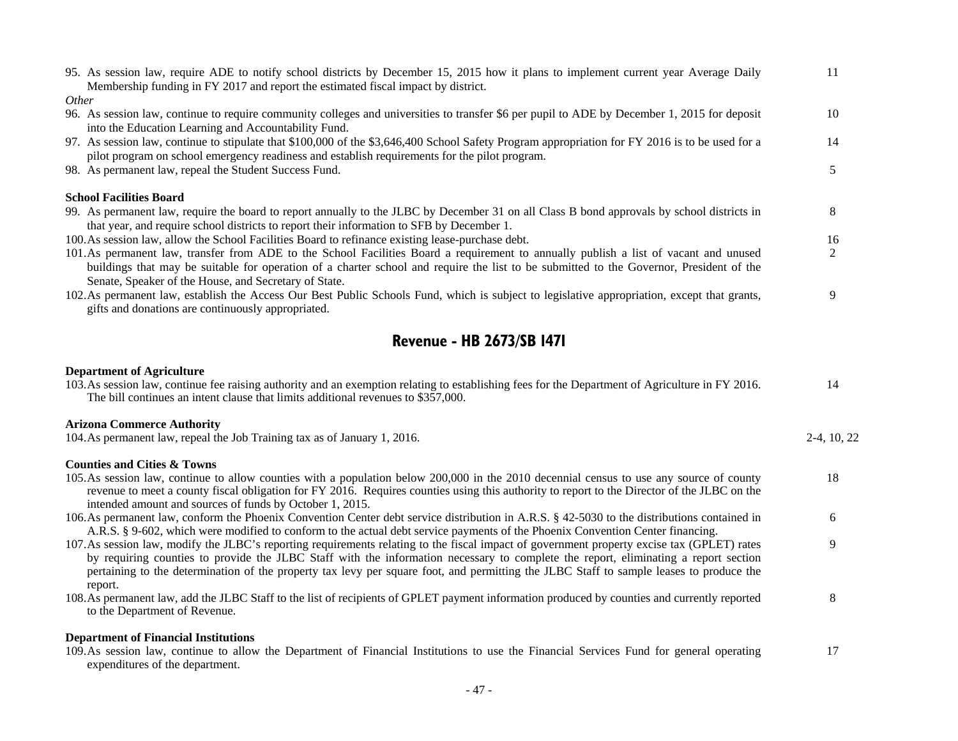| 95. As session law, require ADE to notify school districts by December 15, 2015 how it plans to implement current year Average Daily<br>Membership funding in FY 2017 and report the estimated fiscal impact by district.                                                                                                                                                                                                               | 11             |
|-----------------------------------------------------------------------------------------------------------------------------------------------------------------------------------------------------------------------------------------------------------------------------------------------------------------------------------------------------------------------------------------------------------------------------------------|----------------|
| Other                                                                                                                                                                                                                                                                                                                                                                                                                                   |                |
| 96. As session law, continue to require community colleges and universities to transfer \$6 per pupil to ADE by December 1, 2015 for deposit<br>into the Education Learning and Accountability Fund.                                                                                                                                                                                                                                    | 10             |
| 97. As session law, continue to stipulate that \$100,000 of the \$3,646,400 School Safety Program appropriation for FY 2016 is to be used for a<br>pilot program on school emergency readiness and establish requirements for the pilot program.                                                                                                                                                                                        | 14             |
| 98. As permanent law, repeal the Student Success Fund.                                                                                                                                                                                                                                                                                                                                                                                  | 5              |
| <b>School Facilities Board</b>                                                                                                                                                                                                                                                                                                                                                                                                          |                |
| 99. As permanent law, require the board to report annually to the JLBC by December 31 on all Class B bond approvals by school districts in<br>that year, and require school districts to report their information to SFB by December 1.                                                                                                                                                                                                 | 8              |
| 100. As session law, allow the School Facilities Board to refinance existing lease-purchase debt.                                                                                                                                                                                                                                                                                                                                       | 16             |
| 101.As permanent law, transfer from ADE to the School Facilities Board a requirement to annually publish a list of vacant and unused<br>buildings that may be suitable for operation of a charter school and require the list to be submitted to the Governor, President of the<br>Senate, Speaker of the House, and Secretary of State.                                                                                                | $\overline{2}$ |
| 102. As permanent law, establish the Access Our Best Public Schools Fund, which is subject to legislative appropriation, except that grants,<br>gifts and donations are continuously appropriated.                                                                                                                                                                                                                                      | 9              |
| <b>Revenue - HB 2673/SB 1471</b>                                                                                                                                                                                                                                                                                                                                                                                                        |                |
| <b>Department of Agriculture</b>                                                                                                                                                                                                                                                                                                                                                                                                        |                |
| 103. As session law, continue fee raising authority and an exemption relating to establishing fees for the Department of Agriculture in FY 2016.<br>The bill continues an intent clause that limits additional revenues to \$357,000.                                                                                                                                                                                                   | 14             |
| <b>Arizona Commerce Authority</b>                                                                                                                                                                                                                                                                                                                                                                                                       |                |
| 104. As permanent law, repeal the Job Training tax as of January 1, 2016.                                                                                                                                                                                                                                                                                                                                                               | 2-4, 10, 22    |
| <b>Counties and Cities &amp; Towns</b>                                                                                                                                                                                                                                                                                                                                                                                                  |                |
| 105. As session law, continue to allow counties with a population below 200,000 in the 2010 decennial census to use any source of county<br>revenue to meet a county fiscal obligation for FY 2016. Requires counties using this authority to report to the Director of the JLBC on the<br>intended amount and sources of funds by October 1, 2015.                                                                                     | 18             |
| 106. As permanent law, conform the Phoenix Convention Center debt service distribution in A.R.S. § 42-5030 to the distributions contained in<br>A.R.S. § 9-602, which were modified to conform to the actual debt service payments of the Phoenix Convention Center financing.                                                                                                                                                          | 6              |
| 107.As session law, modify the JLBC's reporting requirements relating to the fiscal impact of government property excise tax (GPLET) rates<br>by requiring counties to provide the JLBC Staff with the information necessary to complete the report, eliminating a report section<br>pertaining to the determination of the property tax levy per square foot, and permitting the JLBC Staff to sample leases to produce the<br>report. | 9              |
| 108. As permanent law, add the JLBC Staff to the list of recipients of GPLET payment information produced by counties and currently reported<br>to the Department of Revenue.                                                                                                                                                                                                                                                           | $\,8\,$        |
| <b>Department of Financial Institutions</b>                                                                                                                                                                                                                                                                                                                                                                                             |                |

109.As session law, continue to allow the Department of Financial Institutions to use the Financial Services Fund for general operating expenditures of the department. 17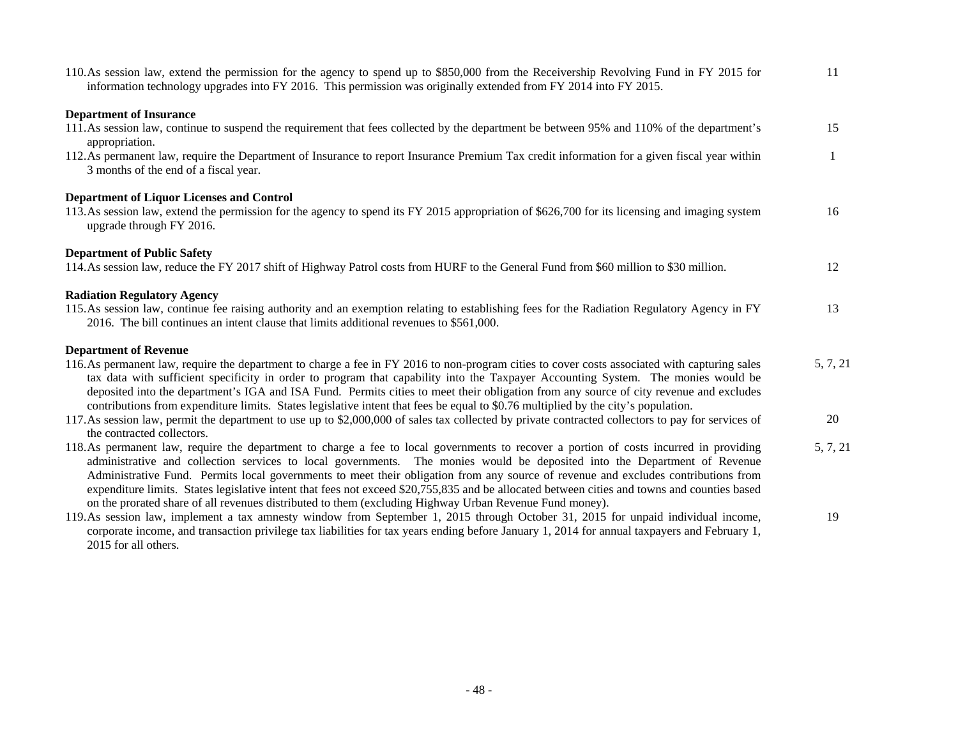| 110. As session law, extend the permission for the agency to spend up to \$850,000 from the Receivership Revolving Fund in FY 2015 for<br>information technology upgrades into FY 2016. This permission was originally extended from FY 2014 into FY 2015.                                                                                                                                                                                                                                                                                                                                                                                                           | 11           |
|----------------------------------------------------------------------------------------------------------------------------------------------------------------------------------------------------------------------------------------------------------------------------------------------------------------------------------------------------------------------------------------------------------------------------------------------------------------------------------------------------------------------------------------------------------------------------------------------------------------------------------------------------------------------|--------------|
| <b>Department of Insurance</b>                                                                                                                                                                                                                                                                                                                                                                                                                                                                                                                                                                                                                                       |              |
| 111. As session law, continue to suspend the requirement that fees collected by the department be between 95% and 110% of the department's<br>appropriation.                                                                                                                                                                                                                                                                                                                                                                                                                                                                                                         | 15           |
| 112. As permanent law, require the Department of Insurance to report Insurance Premium Tax credit information for a given fiscal year within<br>3 months of the end of a fiscal year.                                                                                                                                                                                                                                                                                                                                                                                                                                                                                | $\mathbf{1}$ |
| <b>Department of Liquor Licenses and Control</b>                                                                                                                                                                                                                                                                                                                                                                                                                                                                                                                                                                                                                     |              |
| 113. As session law, extend the permission for the agency to spend its FY 2015 appropriation of \$626,700 for its licensing and imaging system<br>upgrade through FY 2016.                                                                                                                                                                                                                                                                                                                                                                                                                                                                                           | 16           |
| <b>Department of Public Safety</b>                                                                                                                                                                                                                                                                                                                                                                                                                                                                                                                                                                                                                                   |              |
| 114. As session law, reduce the FY 2017 shift of Highway Patrol costs from HURF to the General Fund from \$60 million to \$30 million.                                                                                                                                                                                                                                                                                                                                                                                                                                                                                                                               | 12           |
| <b>Radiation Regulatory Agency</b>                                                                                                                                                                                                                                                                                                                                                                                                                                                                                                                                                                                                                                   |              |
| 115.As session law, continue fee raising authority and an exemption relating to establishing fees for the Radiation Regulatory Agency in FY<br>2016. The bill continues an intent clause that limits additional revenues to \$561,000.                                                                                                                                                                                                                                                                                                                                                                                                                               | 13           |
| <b>Department of Revenue</b>                                                                                                                                                                                                                                                                                                                                                                                                                                                                                                                                                                                                                                         |              |
| 116. As permanent law, require the department to charge a fee in FY 2016 to non-program cities to cover costs associated with capturing sales<br>tax data with sufficient specificity in order to program that capability into the Taxpayer Accounting System. The monies would be<br>deposited into the department's IGA and ISA Fund. Permits cities to meet their obligation from any source of city revenue and excludes<br>contributions from expenditure limits. States legislative intent that fees be equal to \$0.76 multiplied by the city's population.                                                                                                   | 5, 7, 21     |
| 117. As session law, permit the department to use up to \$2,000,000 of sales tax collected by private contracted collectors to pay for services of<br>the contracted collectors.                                                                                                                                                                                                                                                                                                                                                                                                                                                                                     | 20           |
| 118. As permanent law, require the department to charge a fee to local governments to recover a portion of costs incurred in providing<br>administrative and collection services to local governments. The monies would be deposited into the Department of Revenue<br>Administrative Fund. Permits local governments to meet their obligation from any source of revenue and excludes contributions from<br>expenditure limits. States legislative intent that fees not exceed \$20,755,835 and be allocated between cities and towns and counties based<br>on the prorated share of all revenues distributed to them (excluding Highway Urban Revenue Fund money). | 5, 7, 21     |
| 119.As session law, implement a tax amnesty window from September 1, 2015 through October 31, 2015 for unpaid individual income,<br>corporate income, and transaction privilege tax liabilities for tax years ending before January 1, 2014 for annual taxpayers and February 1,<br>2015 for all others.                                                                                                                                                                                                                                                                                                                                                             | 19           |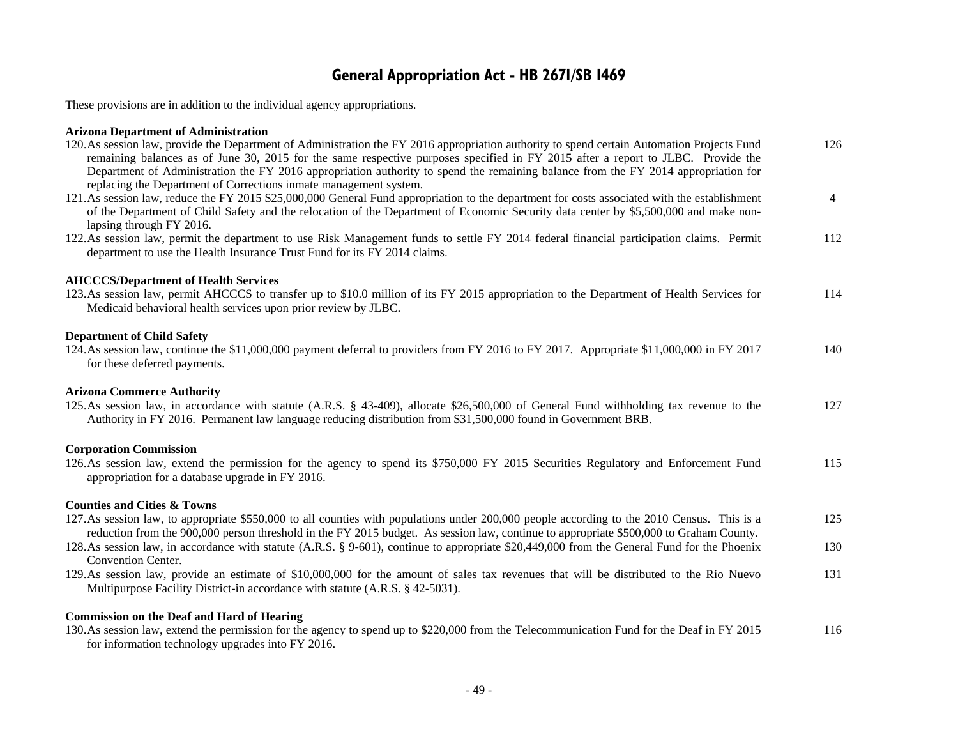## **General Appropriation Act - HB 2671/SB 1469**

These provisions are in addition to the individual agency appropriations.

### **Arizona Department of Administration**

| 120. As session law, provide the Department of Administration the FY 2016 appropriation authority to spend certain Automation Projects Fund<br>remaining balances as of June 30, 2015 for the same respective purposes specified in FY 2015 after a report to JLBC. Provide the<br>Department of Administration the FY 2016 appropriation authority to spend the remaining balance from the FY 2014 appropriation for<br>replacing the Department of Corrections inmate management system. | 126            |
|--------------------------------------------------------------------------------------------------------------------------------------------------------------------------------------------------------------------------------------------------------------------------------------------------------------------------------------------------------------------------------------------------------------------------------------------------------------------------------------------|----------------|
| 121. As session law, reduce the FY 2015 \$25,000,000 General Fund appropriation to the department for costs associated with the establishment<br>of the Department of Child Safety and the relocation of the Department of Economic Security data center by \$5,500,000 and make non-<br>lapsing through FY 2016.                                                                                                                                                                          | $\overline{4}$ |
| 122. As session law, permit the department to use Risk Management funds to settle FY 2014 federal financial participation claims. Permit<br>department to use the Health Insurance Trust Fund for its FY 2014 claims.                                                                                                                                                                                                                                                                      | 112            |
| <b>AHCCCS/Department of Health Services</b><br>123. As session law, permit AHCCCS to transfer up to \$10.0 million of its FY 2015 appropriation to the Department of Health Services for<br>Medicaid behavioral health services upon prior review by JLBC.                                                                                                                                                                                                                                 | 114            |
| <b>Department of Child Safety</b><br>124. As session law, continue the \$11,000,000 payment deferral to providers from FY 2016 to FY 2017. Appropriate \$11,000,000 in FY 2017<br>for these deferred payments.                                                                                                                                                                                                                                                                             | 140            |
| <b>Arizona Commerce Authority</b><br>125. As session law, in accordance with statute (A.R.S. § 43-409), allocate \$26,500,000 of General Fund withholding tax revenue to the<br>Authority in FY 2016. Permanent law language reducing distribution from \$31,500,000 found in Government BRB.                                                                                                                                                                                              | 127            |
| <b>Corporation Commission</b><br>126.As session law, extend the permission for the agency to spend its \$750,000 FY 2015 Securities Regulatory and Enforcement Fund<br>appropriation for a database upgrade in FY 2016.                                                                                                                                                                                                                                                                    | 115            |
| <b>Counties and Cities &amp; Towns</b><br>127. As session law, to appropriate \$550,000 to all counties with populations under 200,000 people according to the 2010 Census. This is a<br>reduction from the 900,000 person threshold in the FY 2015 budget. As session law, continue to appropriate \$500,000 to Graham County.                                                                                                                                                            | 125            |
| 128. As session law, in accordance with statute (A.R.S. § 9-601), continue to appropriate \$20,449,000 from the General Fund for the Phoenix<br>Convention Center.                                                                                                                                                                                                                                                                                                                         | 130            |
| 129.As session law, provide an estimate of \$10,000,000 for the amount of sales tax revenues that will be distributed to the Rio Nuevo<br>Multipurpose Facility District-in accordance with statute (A.R.S. § 42-5031).                                                                                                                                                                                                                                                                    | 131            |
| <b>Commission on the Deaf and Hard of Hearing</b><br>130. As session law, extend the permission for the agency to spend up to \$220,000 from the Telecommunication Fund for the Deaf in FY 2015<br>for information technology upgrades into FY 2016.                                                                                                                                                                                                                                       | 116            |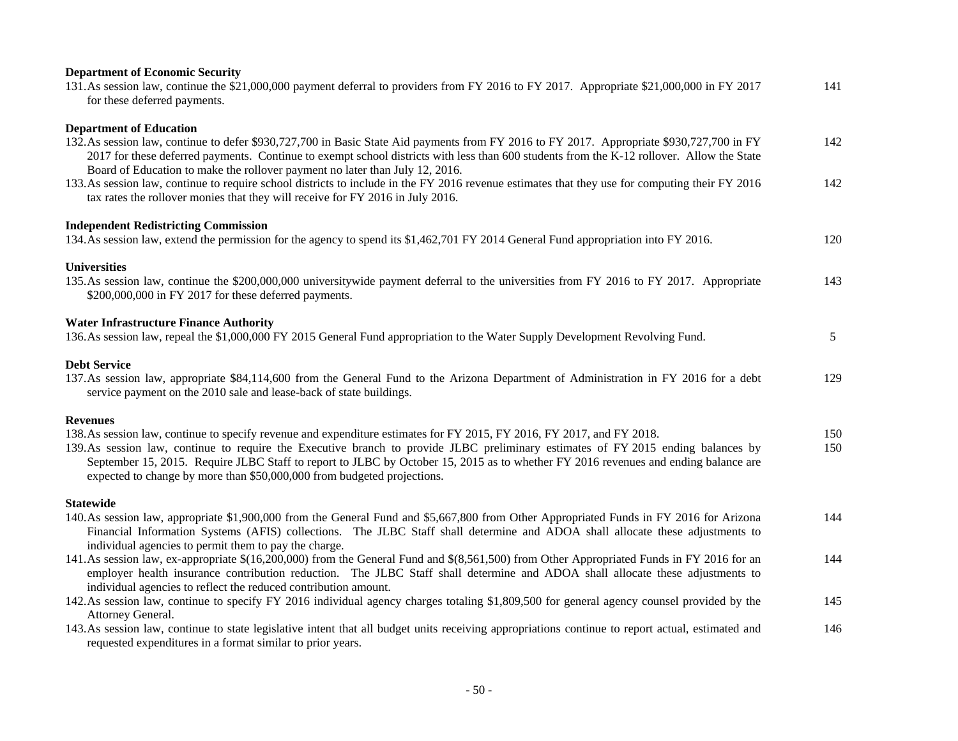| <b>Department of Economic Security</b>                                                                                                                                                                                                                                                                                                                                                                                                                                       |            |
|------------------------------------------------------------------------------------------------------------------------------------------------------------------------------------------------------------------------------------------------------------------------------------------------------------------------------------------------------------------------------------------------------------------------------------------------------------------------------|------------|
| 131. As session law, continue the \$21,000,000 payment deferral to providers from FY 2016 to FY 2017. Appropriate \$21,000,000 in FY 2017<br>for these deferred payments.                                                                                                                                                                                                                                                                                                    | 141        |
| <b>Department of Education</b>                                                                                                                                                                                                                                                                                                                                                                                                                                               |            |
| 132. As session law, continue to defer \$930,727,700 in Basic State Aid payments from FY 2016 to FY 2017. Appropriate \$930,727,700 in FY<br>2017 for these deferred payments. Continue to exempt school districts with less than 600 students from the K-12 rollover. Allow the State<br>Board of Education to make the rollover payment no later than July 12, 2016.                                                                                                       | 142        |
| 133. As session law, continue to require school districts to include in the FY 2016 revenue estimates that they use for computing their FY 2016<br>tax rates the rollover monies that they will receive for FY 2016 in July 2016.                                                                                                                                                                                                                                            | 142        |
| <b>Independent Redistricting Commission</b><br>134. As session law, extend the permission for the agency to spend its \$1,462,701 FY 2014 General Fund appropriation into FY 2016.                                                                                                                                                                                                                                                                                           | 120        |
| <b>Universities</b><br>135. As session law, continue the \$200,000,000 universitywide payment deferral to the universities from FY 2016 to FY 2017. Appropriate<br>\$200,000,000 in FY 2017 for these deferred payments.                                                                                                                                                                                                                                                     | 143        |
| <b>Water Infrastructure Finance Authority</b><br>136. As session law, repeal the \$1,000,000 FY 2015 General Fund appropriation to the Water Supply Development Revolving Fund.                                                                                                                                                                                                                                                                                              | 5          |
| <b>Debt Service</b><br>137.As session law, appropriate \$84,114,600 from the General Fund to the Arizona Department of Administration in FY 2016 for a debt<br>service payment on the 2010 sale and lease-back of state buildings.                                                                                                                                                                                                                                           | 129        |
| <b>Revenues</b>                                                                                                                                                                                                                                                                                                                                                                                                                                                              |            |
| 138. As session law, continue to specify revenue and expenditure estimates for FY 2015, FY 2016, FY 2017, and FY 2018.<br>139. As session law, continue to require the Executive branch to provide JLBC preliminary estimates of FY 2015 ending balances by<br>September 15, 2015. Require JLBC Staff to report to JLBC by October 15, 2015 as to whether FY 2016 revenues and ending balance are<br>expected to change by more than \$50,000,000 from budgeted projections. | 150<br>150 |
| <b>Statewide</b>                                                                                                                                                                                                                                                                                                                                                                                                                                                             |            |
| 140. As session law, appropriate \$1,900,000 from the General Fund and \$5,667,800 from Other Appropriated Funds in FY 2016 for Arizona<br>Financial Information Systems (AFIS) collections. The JLBC Staff shall determine and ADOA shall allocate these adjustments to<br>individual agencies to permit them to pay the charge.                                                                                                                                            | 144        |
| 141. As session law, ex-appropriate \$(16,200,000) from the General Fund and \$(8,561,500) from Other Appropriated Funds in FY 2016 for an<br>employer health insurance contribution reduction. The JLBC Staff shall determine and ADOA shall allocate these adjustments to<br>individual agencies to reflect the reduced contribution amount.                                                                                                                               | 144        |
| 142.As session law, continue to specify FY 2016 individual agency charges totaling \$1,809,500 for general agency counsel provided by the<br>Attorney General.                                                                                                                                                                                                                                                                                                               | 145        |
| 143. As session law, continue to state legislative intent that all budget units receiving appropriations continue to report actual, estimated and<br>requested expenditures in a format similar to prior years.                                                                                                                                                                                                                                                              | 146        |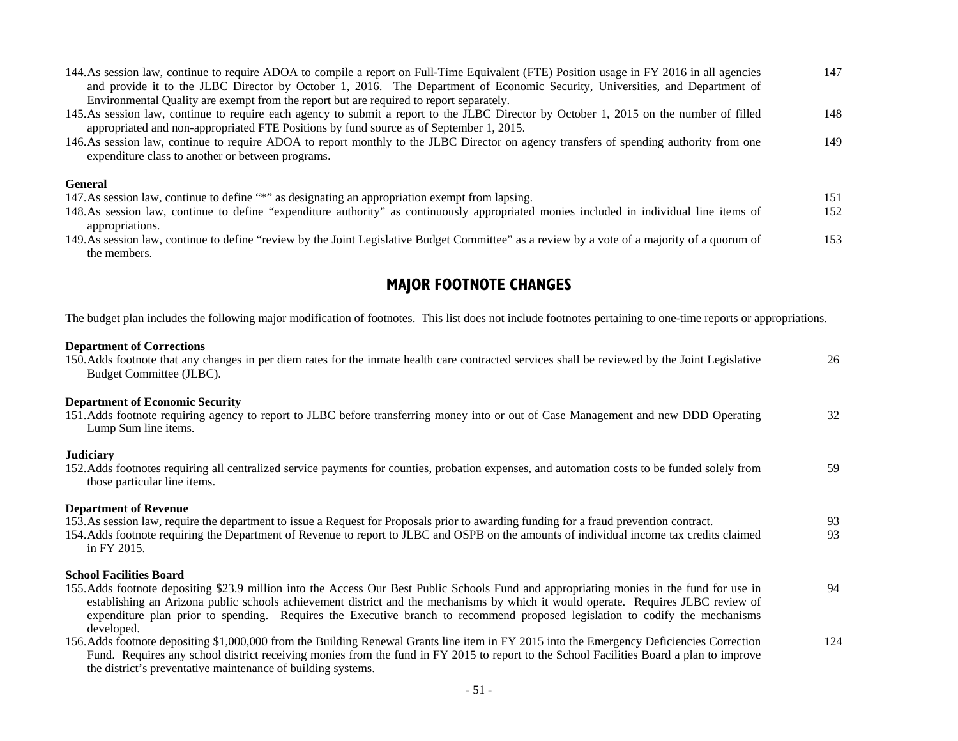| 144. As session law, continue to require ADOA to compile a report on Full-Time Equivalent (FTE) Position usage in FY 2016 in all agencies<br>and provide it to the JLBC Director by October 1, 2016. The Department of Economic Security, Universities, and Department of<br>Environmental Quality are exempt from the report but are required to report separately. | 147 |
|----------------------------------------------------------------------------------------------------------------------------------------------------------------------------------------------------------------------------------------------------------------------------------------------------------------------------------------------------------------------|-----|
| 145. As session law, continue to require each agency to submit a report to the JLBC Director by October 1, 2015 on the number of filled<br>appropriated and non-appropriated FTE Positions by fund source as of September 1, 2015.                                                                                                                                   | 148 |
| 146. As session law, continue to require ADOA to report monthly to the JLBC Director on agency transfers of spending authority from one<br>expenditure class to another or between programs.                                                                                                                                                                         | 149 |
| <b>General</b><br>147. As session law, continue to define "*" as designating an appropriation exempt from lapsing.                                                                                                                                                                                                                                                   | 151 |
| 148. As session law, continue to define "expenditure authority" as continuously appropriated monies included in individual line items of<br>appropriations.                                                                                                                                                                                                          | 152 |
| 149. As session law, continue to define "review by the Joint Legislative Budget Committee" as a review by a vote of a majority of a quorum of<br>the members.                                                                                                                                                                                                        | 153 |
| <b>MAJOR FOOTNOTE CHANGES</b>                                                                                                                                                                                                                                                                                                                                        |     |
| The budget plan includes the following major modification of footnotes. This list does not include footnotes pertaining to one-time reports or appropriations.                                                                                                                                                                                                       |     |
| <b>Department of Corrections</b><br>150. Adds footnote that any changes in per diem rates for the inmate health care contracted services shall be reviewed by the Joint Legislative<br>Budget Committee (JLBC).                                                                                                                                                      | 26  |
| <b>Department of Economic Security</b><br>151.Adds footnote requiring agency to report to JLBC before transferring money into or out of Case Management and new DDD Operating<br>Lump Sum line items.                                                                                                                                                                | 32  |
| <b>Judiciary</b><br>152. Adds footnotes requiring all centralized service payments for counties, probation expenses, and automation costs to be funded solely from<br>those particular line items.                                                                                                                                                                   | 59  |

#### **Department of Revenue**

| 153. As session law, require the department to issue a Request for Proposals prior to awarding funding for a fraud prevention contract.   |    |
|-------------------------------------------------------------------------------------------------------------------------------------------|----|
| 154. Adds footnote requiring the Department of Revenue to report to JLBC and OSPB on the amounts of individual income tax credits claimed | 93 |
| in FY 2015.                                                                                                                               |    |

#### **School Facilities Board**

| 155. Adds footnote depositing \$23.9 million into the Access Our Best Public Schools Fund and appropriating monies in the fund for use in                                                                                                                     | 94 |
|---------------------------------------------------------------------------------------------------------------------------------------------------------------------------------------------------------------------------------------------------------------|----|
| establishing an Arizona public schools achievement district and the mechanisms by which it would operate. Requires JLBC review of                                                                                                                             |    |
| expenditure plan prior to spending. Requires the Executive branch to recommend proposed legislation to codify the mechanisms                                                                                                                                  |    |
| developed.                                                                                                                                                                                                                                                    |    |
| $156$ A 11, $0.11$ , $1.11$ , $1.11$ , $0.00000$ $0.0000$ $1.11$ , $\mathbf{D}$ , $1.11$ , $\mathbf{D}$ , $1.01$ , $1.01$ , $1.11$ , $1.11$ , $1.11$ , $1.11$ , $1.11$ , $1.11$ , $1.11$ , $1.11$ , $1.11$ , $1.11$ , $1.11$ , $1.11$ , $1.11$ , $1.11$ , $1$ |    |

156.Adds footnote depositing \$1,000,000 from the Building Renewal Grants line item in FY 2015 into the Emergency Deficiencies Correction Fund. Requires any school district receiving monies from the fund in FY 2015 to report to the School Facilities Board a plan to improve the district's preventative maintenance of building systems. 124